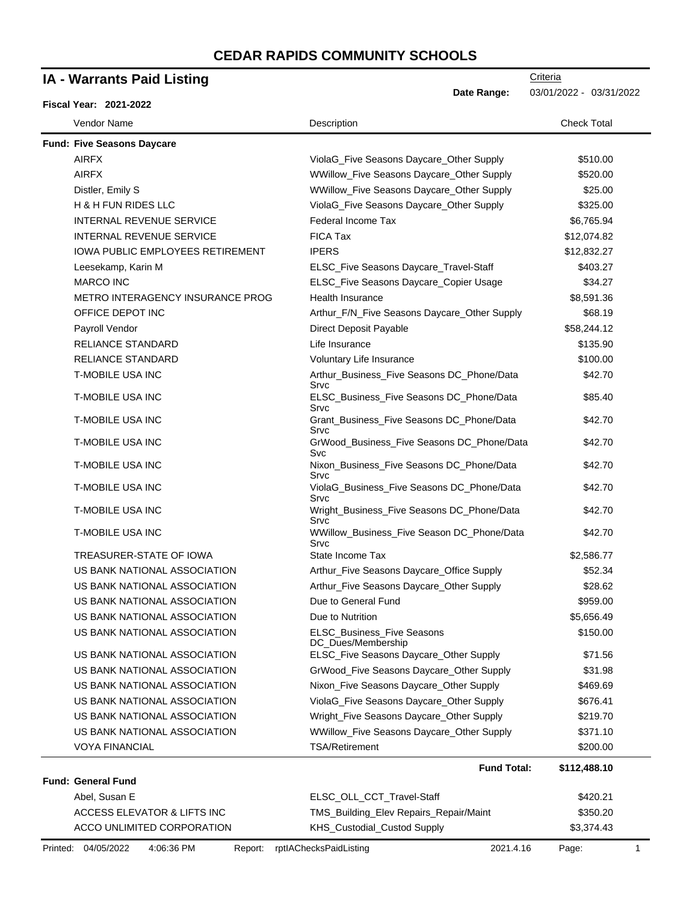#### **Fund: Five Seasons Daycare** AIRFX **CONSIDENT SEALING CONSIDER SEASONS DESCRIPTION** ViolaG Five Seasons Daycare Other Supply \$510.00 AIRFX **AIRFY** SEASON METALLY METALLY METALLY METALLY UNIVERSITY METALLY AND METALLY METALLY AND METALLY AND METAL Distler, Emily S WWillow\_Five Seasons Daycare\_Other Supply \$25.00 H & H FUN RIDES LLC **All Accords** ViolaG Five Seasons Daycare Other Supply \$325.00 INTERNAL REVENUE SERVICE Federal Income Tax \$6,765.94 INTERNAL REVENUE SERVICE FICA Tax **FIGA Tax 12,074.82** IOWA PUBLIC EMPLOYEES RETIREMENT IPERS **Internal State Act ACT 2006** \$12,832.27 Leesekamp, Karin M **ELSC** Five Seasons Daycare Travel-Staff \$403.27 MARCO INC **ELSC\_Five Seasons Daycare\_Copier Usage** \$34.27 METRO INTERAGENCY INSURANCE PROG Health Insurance New York 1985-91.36 OFFICE DEPOT INC **CONSUMED SEALLY ARTHUR F/N** Five Seasons Daycare Other Supply \$68.19 Payroll Vendor **Branch Construct Direct Deposit Payable 1988** 244.12 RELIANCE STANDARD **RELIANCE** STANDARD Life Insurance **by the Insurance** \$135.90 RELIANCE STANDARD **EXAMPLE 2018** Voluntary Life Insurance **100.000** \$100.00 T-MOBILE USA INC **Arthur\_Business\_Five Seasons DC\_Phone/Data** Srvc \$42.70 T-MOBILE USA INC ELSC\_Business\_Five Seasons DC\_Phone/Data Srvc \$85.40 T-MOBILE USA INC Grant\_Business\_Five Seasons DC\_Phone/Data Srvc \$42.70 T-MOBILE USA INC Grammatic Grammatic Grammatic Serve Seasons DC\_Phone/Data Svc \$42.70 T-MOBILE USA INC Nixon\_Business\_Five Seasons DC\_Phone/Data Srvc \$42.70 T-MOBILE USA INC ViolaG\_Business\_Five Seasons DC\_Phone/Data Srvc \$42.70 T-MOBILE USA INC Wright\_Business\_Five Seasons DC\_Phone/Data Srvc \$42.70 T-MOBILE USA INC WWillow\_Business\_Five Season DC\_Phone/Data Srvc \$42.70 TREASURER-STATE OF IOWA State Income Tax State Income Tax S2,586.77 US BANK NATIONAL ASSOCIATION **Arthur\_Five Seasons Daycare\_Office Supply** \$52.34 US BANK NATIONAL ASSOCIATION THE Arthur Five Seasons Daycare Other Supply \$28.62 US BANK NATIONAL ASSOCIATION Due to General Fund \$959.00 US BANK NATIONAL ASSOCIATION Due to Nutrition **Due to Nutrition** 65,656.49 US BANK NATIONAL ASSOCIATION **ELSC** Business Five Seasons DC\_Dues/Membership \$150.00 US BANK NATIONAL ASSOCIATION ELSC\_Five Seasons Daycare\_Other Supply \$71.56 US BANK NATIONAL ASSOCIATION GrWood\_Five Seasons Daycare\_Other Supply \$31.98 US BANK NATIONAL ASSOCIATION Nixon\_Five Seasons Daycare\_Other Supply \$469.69 US BANK NATIONAL ASSOCIATION ViolaG\_Five Seasons Daycare\_Other Supply \$676.41 US BANK NATIONAL ASSOCIATION Wright\_Five Seasons Daycare\_Other Supply \$219.70 US BANK NATIONAL ASSOCIATION WWillow\_Five Seasons Daycare\_Other Supply \$371.10 VOYA FINANCIAL **TSA/Retirement** 6200.00 **Fund Total: \$112,488.10 Fund: General Fund** Abel, Susan E ELSC\_OLL\_CCT\_Travel-Staff \$420.21 ACCESS ELEVATOR & LIFTS INC TMS\_Building\_Elev Repairs\_Repair/Maint \$350.20 ACCO UNLIMITED CORPORATION KHS\_Custodial\_Custod Supply \$3,374.43 **IA - Warrants Paid Listing Fiscal Year: 2021-2022 Criteria Date Range:** 03/01/2022 - 03/31/2022 Vendor Name **Description** Check Total Description Check Total Description Check Total Description Check Total Description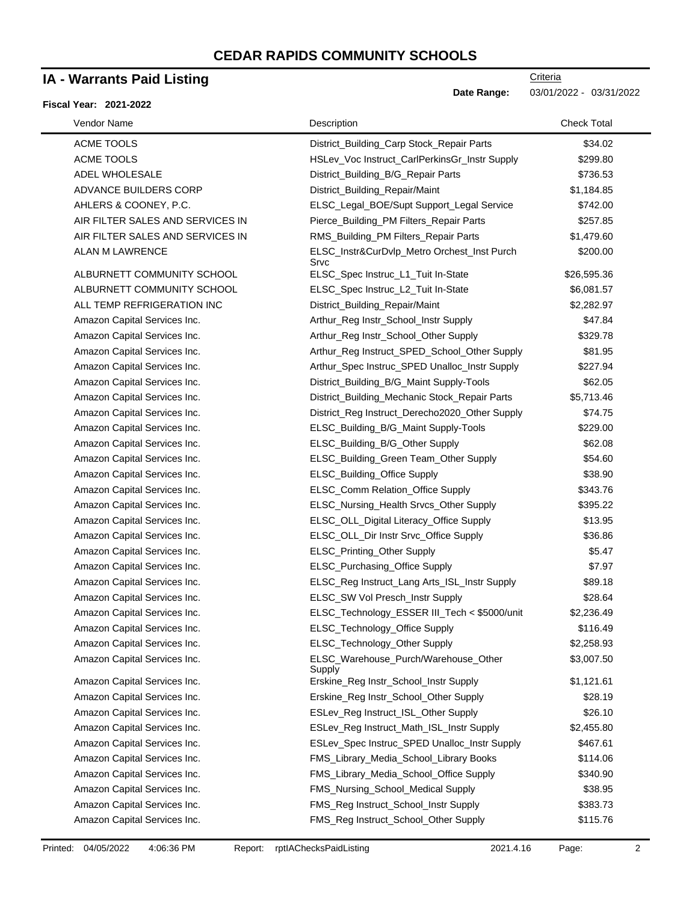### **IA - Warrants Paid Listing**

#### **Fiscal Year: 2021-2022**

Date Range: 03/01/2022 - 03/31/2022

| Vendor Name                      | Description                                         | <b>Check Total</b> |
|----------------------------------|-----------------------------------------------------|--------------------|
| ACME TOOLS                       | District_Building_Carp Stock_Repair Parts           | \$34.02            |
| ACME TOOLS                       | HSLev_Voc Instruct_CarlPerkinsGr_Instr Supply       | \$299.80           |
| ADEL WHOLESALE                   | District_Building_B/G_Repair Parts                  | \$736.53           |
| ADVANCE BUILDERS CORP            | District_Building_Repair/Maint                      | \$1,184.85         |
| AHLERS & COONEY, P.C.            | ELSC_Legal_BOE/Supt Support_Legal Service           | \$742.00           |
| AIR FILTER SALES AND SERVICES IN | Pierce_Building_PM Filters_Repair Parts             | \$257.85           |
| AIR FILTER SALES AND SERVICES IN | RMS_Building_PM Filters_Repair Parts                | \$1,479.60         |
| <b>ALAN M LAWRENCE</b>           | ELSC_Instr&CurDvlp_Metro Orchest_Inst Purch<br>Srvc | \$200.00           |
| ALBURNETT COMMUNITY SCHOOL       | ELSC_Spec Instruc_L1_Tuit In-State                  | \$26,595.36        |
| ALBURNETT COMMUNITY SCHOOL       | ELSC_Spec Instruc_L2_Tuit In-State                  | \$6,081.57         |
| ALL TEMP REFRIGERATION INC       | District_Building_Repair/Maint                      | \$2,282.97         |
| Amazon Capital Services Inc.     | Arthur_Reg Instr_School_Instr Supply                | \$47.84            |
| Amazon Capital Services Inc.     | Arthur_Reg Instr_School_Other Supply                | \$329.78           |
| Amazon Capital Services Inc.     | Arthur_Reg Instruct_SPED_School_Other Supply        | \$81.95            |
| Amazon Capital Services Inc.     | Arthur_Spec Instruc_SPED Unalloc_Instr Supply       | \$227.94           |
| Amazon Capital Services Inc.     | District_Building_B/G_Maint Supply-Tools            | \$62.05            |
| Amazon Capital Services Inc.     | District_Building_Mechanic Stock_Repair Parts       | \$5,713.46         |
| Amazon Capital Services Inc.     | District_Reg Instruct_Derecho2020_Other Supply      | \$74.75            |
| Amazon Capital Services Inc.     | ELSC_Building_B/G_Maint Supply-Tools                | \$229.00           |
| Amazon Capital Services Inc.     | ELSC_Building_B/G_Other Supply                      | \$62.08            |
| Amazon Capital Services Inc.     | ELSC_Building_Green Team_Other Supply               | \$54.60            |
| Amazon Capital Services Inc.     | ELSC_Building_Office Supply                         | \$38.90            |
| Amazon Capital Services Inc.     | ELSC_Comm Relation_Office Supply                    | \$343.76           |
| Amazon Capital Services Inc.     | ELSC_Nursing_Health Srvcs_Other Supply              | \$395.22           |
| Amazon Capital Services Inc.     | ELSC_OLL_Digital Literacy_Office Supply             | \$13.95            |
| Amazon Capital Services Inc.     | ELSC_OLL_Dir Instr Srvc_Office Supply               | \$36.86            |
| Amazon Capital Services Inc.     | ELSC_Printing_Other Supply                          | \$5.47             |
| Amazon Capital Services Inc.     | ELSC_Purchasing_Office Supply                       | \$7.97             |
| Amazon Capital Services Inc.     | ELSC_Reg Instruct_Lang Arts_ISL_Instr Supply        | \$89.18            |
| Amazon Capital Services Inc.     | ELSC_SW Vol Presch_Instr Supply                     | \$28.64            |
| Amazon Capital Services Inc.     | ELSC_Technology_ESSER III_Tech < \$5000/unit        | \$2,236.49         |
| Amazon Capital Services Inc.     | ELSC_Technology_Office Supply                       | \$116.49           |
| Amazon Capital Services Inc.     | ELSC_Technology_Other Supply                        | \$2,258.93         |
| Amazon Capital Services Inc.     | ELSC_Warehouse_Purch/Warehouse_Other<br>Supply      | \$3,007.50         |
| Amazon Capital Services Inc.     | Erskine_Reg Instr_School_Instr Supply               | \$1,121.61         |
| Amazon Capital Services Inc.     | Erskine_Reg Instr_School_Other Supply               | \$28.19            |
| Amazon Capital Services Inc.     | ESLev_Reg Instruct_ISL_Other Supply                 | \$26.10            |
| Amazon Capital Services Inc.     | ESLev_Reg Instruct_Math_ISL_Instr Supply            | \$2,455.80         |
| Amazon Capital Services Inc.     | ESLev_Spec Instruc_SPED Unalloc_Instr Supply        | \$467.61           |
| Amazon Capital Services Inc.     | FMS_Library_Media_School_Library Books              | \$114.06           |
| Amazon Capital Services Inc.     | FMS_Library_Media_School_Office Supply              | \$340.90           |
| Amazon Capital Services Inc.     | FMS_Nursing_School_Medical Supply                   | \$38.95            |
| Amazon Capital Services Inc.     | FMS_Reg Instruct_School_Instr Supply                | \$383.73           |
| Amazon Capital Services Inc.     | FMS_Reg Instruct_School_Other Supply                | \$115.76           |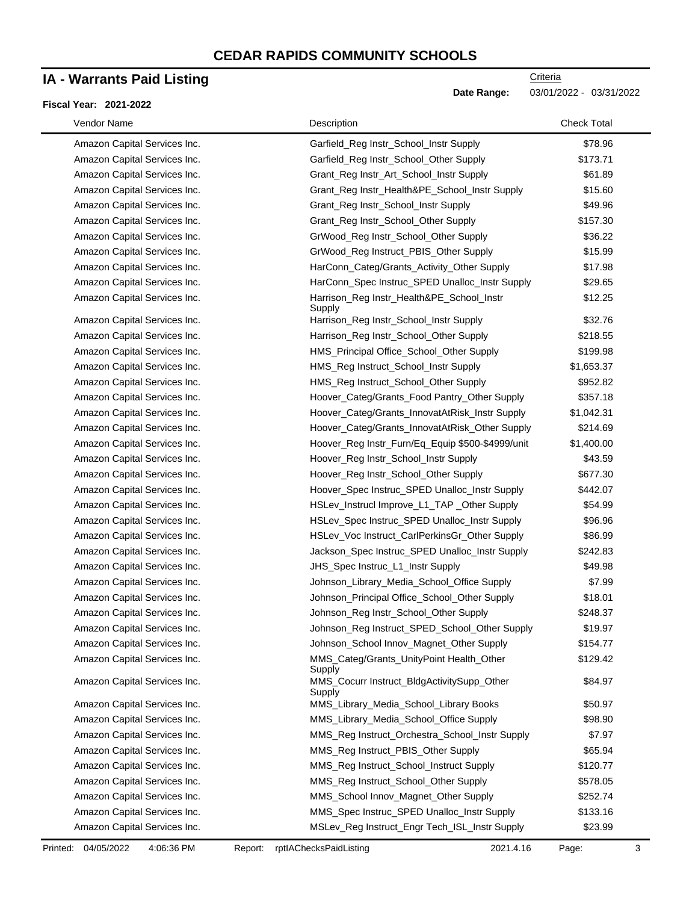### **IA - Warrants Paid Listing**

#### **Fiscal Year: 2021-2022**

| Vendor Name                  | Description                                          | <b>Check Total</b> |
|------------------------------|------------------------------------------------------|--------------------|
| Amazon Capital Services Inc. | Garfield_Reg Instr_School_Instr Supply               | \$78.96            |
| Amazon Capital Services Inc. | Garfield_Reg Instr_School_Other Supply               | \$173.71           |
| Amazon Capital Services Inc. | Grant_Reg Instr_Art_School_Instr Supply              | \$61.89            |
| Amazon Capital Services Inc. | Grant_Reg Instr_Health&PE_School_Instr Supply        | \$15.60            |
| Amazon Capital Services Inc. | Grant_Reg Instr_School_Instr Supply                  | \$49.96            |
| Amazon Capital Services Inc. | Grant_Reg Instr_School_Other Supply                  | \$157.30           |
| Amazon Capital Services Inc. | GrWood_Reg Instr_School_Other Supply                 | \$36.22            |
| Amazon Capital Services Inc. | GrWood_Reg Instruct_PBIS_Other Supply                | \$15.99            |
| Amazon Capital Services Inc. | HarConn_Categ/Grants_Activity_Other Supply           | \$17.98            |
| Amazon Capital Services Inc. | HarConn_Spec Instruc_SPED Unalloc_Instr Supply       | \$29.65            |
| Amazon Capital Services Inc. | Harrison_Reg Instr_Health&PE_School_Instr<br>Supply  | \$12.25            |
| Amazon Capital Services Inc. | Harrison_Reg Instr_School_Instr Supply               | \$32.76            |
| Amazon Capital Services Inc. | Harrison_Reg Instr_School_Other Supply               | \$218.55           |
| Amazon Capital Services Inc. | HMS_Principal Office_School_Other Supply             | \$199.98           |
| Amazon Capital Services Inc. | HMS_Reg Instruct_School_Instr Supply                 | \$1,653.37         |
| Amazon Capital Services Inc. | HMS_Reg Instruct_School_Other Supply                 | \$952.82           |
| Amazon Capital Services Inc. | Hoover_Categ/Grants_Food Pantry_Other Supply         | \$357.18           |
| Amazon Capital Services Inc. | Hoover_Categ/Grants_InnovatAtRisk_Instr Supply       | \$1,042.31         |
| Amazon Capital Services Inc. | Hoover Categ/Grants InnovatAtRisk Other Supply       | \$214.69           |
| Amazon Capital Services Inc. | Hoover_Reg Instr_Furn/Eq_Equip \$500-\$4999/unit     | \$1,400.00         |
| Amazon Capital Services Inc. | Hoover_Reg Instr_School_Instr Supply                 | \$43.59            |
| Amazon Capital Services Inc. | Hoover_Reg Instr_School_Other Supply                 | \$677.30           |
| Amazon Capital Services Inc. | Hoover_Spec Instruc_SPED Unalloc_Instr Supply        | \$442.07           |
| Amazon Capital Services Inc. | HSLev_Instrucl Improve_L1_TAP _Other Supply          | \$54.99            |
| Amazon Capital Services Inc. | HSLev_Spec Instruc_SPED Unalloc_Instr Supply         | \$96.96            |
| Amazon Capital Services Inc. | HSLev_Voc Instruct_CarlPerkinsGr_Other Supply        | \$86.99            |
| Amazon Capital Services Inc. | Jackson_Spec Instruc_SPED Unalloc_Instr Supply       | \$242.83           |
| Amazon Capital Services Inc. | JHS_Spec Instruc_L1_Instr Supply                     | \$49.98            |
| Amazon Capital Services Inc. | Johnson_Library_Media_School_Office Supply           | \$7.99             |
| Amazon Capital Services Inc. | Johnson_Principal Office_School_Other Supply         | \$18.01            |
| Amazon Capital Services Inc. | Johnson_Reg Instr_School_Other Supply                | \$248.37           |
| Amazon Capital Services Inc. | Johnson_Reg Instruct_SPED_School_Other Supply        | \$19.97            |
| Amazon Capital Services Inc. | Johnson_School Innov_Magnet_Other Supply             | \$154.77           |
| Amazon Capital Services Inc. | MMS_Categ/Grants_UnityPoint Health_Other<br>Supply   | \$129.42           |
| Amazon Capital Services Inc. | MMS_Cocurr Instruct_BldgActivitySupp_Other<br>Supply | \$84.97            |
| Amazon Capital Services Inc. | MMS_Library_Media_School_Library Books               | \$50.97            |
| Amazon Capital Services Inc. | MMS_Library_Media_School_Office Supply               | \$98.90            |
| Amazon Capital Services Inc. | MMS_Reg Instruct_Orchestra_School_Instr Supply       | \$7.97             |
| Amazon Capital Services Inc. | MMS_Reg Instruct_PBIS_Other Supply                   | \$65.94            |
| Amazon Capital Services Inc. | MMS_Reg Instruct_School_Instruct Supply              | \$120.77           |
| Amazon Capital Services Inc. | MMS_Reg Instruct_School_Other Supply                 | \$578.05           |
| Amazon Capital Services Inc. | MMS_School Innov_Magnet_Other Supply                 | \$252.74           |
| Amazon Capital Services Inc. | MMS_Spec Instruc_SPED Unalloc_Instr Supply           | \$133.16           |
| Amazon Capital Services Inc. | MSLev_Reg Instruct_Engr Tech_ISL_Instr Supply        | \$23.99            |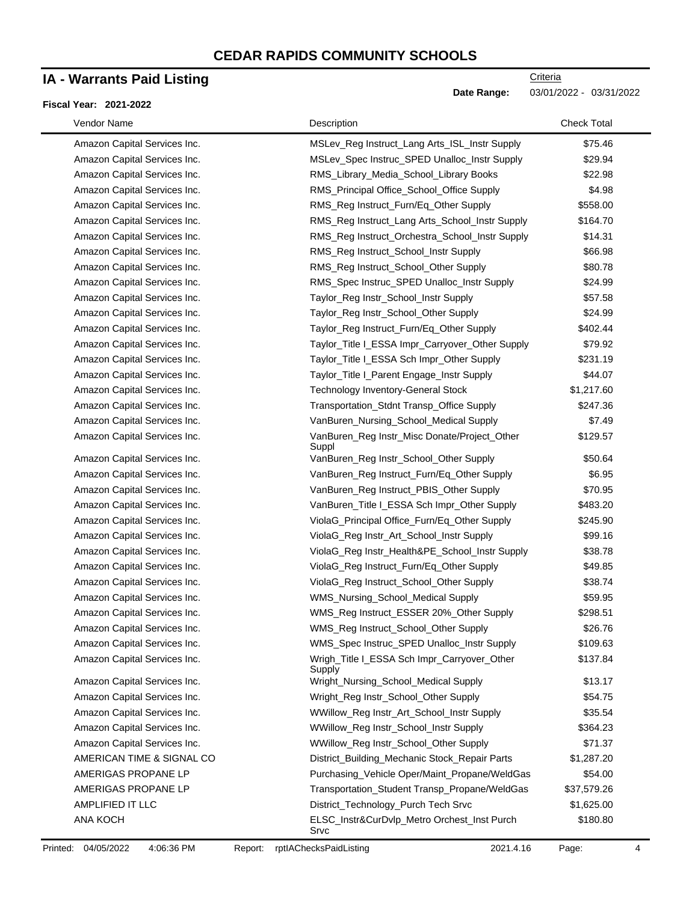### **IA - Warrants Paid Listing**

#### **Fiscal Year: 2021-2022**

| Vendor Name                  | Description                                           | <b>Check Total</b> |
|------------------------------|-------------------------------------------------------|--------------------|
| Amazon Capital Services Inc. | MSLev_Reg Instruct_Lang Arts_ISL_Instr Supply         | \$75.46            |
| Amazon Capital Services Inc. | MSLev_Spec Instruc_SPED Unalloc_Instr Supply          | \$29.94            |
| Amazon Capital Services Inc. | RMS_Library_Media_School_Library Books                | \$22.98            |
| Amazon Capital Services Inc. | RMS_Principal Office_School_Office Supply             | \$4.98             |
| Amazon Capital Services Inc. | RMS_Reg Instruct_Furn/Eq_Other Supply                 | \$558.00           |
| Amazon Capital Services Inc. | RMS_Reg Instruct_Lang Arts_School_Instr Supply        | \$164.70           |
| Amazon Capital Services Inc. | RMS_Reg Instruct_Orchestra_School_Instr Supply        | \$14.31            |
| Amazon Capital Services Inc. | RMS_Reg Instruct_School_Instr Supply                  | \$66.98            |
| Amazon Capital Services Inc. | RMS_Reg Instruct_School_Other Supply                  | \$80.78            |
| Amazon Capital Services Inc. | RMS_Spec Instruc_SPED Unalloc_Instr Supply            | \$24.99            |
| Amazon Capital Services Inc. | Taylor_Reg Instr_School_Instr Supply                  | \$57.58            |
| Amazon Capital Services Inc. | Taylor_Reg Instr_School_Other Supply                  | \$24.99            |
| Amazon Capital Services Inc. | Taylor_Reg Instruct_Furn/Eq_Other Supply              | \$402.44           |
| Amazon Capital Services Inc. | Taylor_Title I_ESSA Impr_Carryover_Other Supply       | \$79.92            |
| Amazon Capital Services Inc. | Taylor_Title I_ESSA Sch Impr_Other Supply             | \$231.19           |
| Amazon Capital Services Inc. | Taylor_Title I_Parent Engage_Instr Supply             | \$44.07            |
| Amazon Capital Services Inc. | <b>Technology Inventory-General Stock</b>             | \$1,217.60         |
| Amazon Capital Services Inc. | Transportation_Stdnt Transp_Office Supply             | \$247.36           |
| Amazon Capital Services Inc. | VanBuren_Nursing_School_Medical Supply                | \$7.49             |
| Amazon Capital Services Inc. | VanBuren_Reg Instr_Misc Donate/Project_Other<br>Suppl | \$129.57           |
| Amazon Capital Services Inc. | VanBuren_Reg Instr_School_Other Supply                | \$50.64            |
| Amazon Capital Services Inc. | VanBuren_Reg Instruct_Furn/Eq_Other Supply            | \$6.95             |
| Amazon Capital Services Inc. | VanBuren_Reg Instruct_PBIS_Other Supply               | \$70.95            |
| Amazon Capital Services Inc. | VanBuren_Title I_ESSA Sch Impr_Other Supply           | \$483.20           |
| Amazon Capital Services Inc. | ViolaG_Principal Office_Furn/Eq_Other Supply          | \$245.90           |
| Amazon Capital Services Inc. | ViolaG_Reg Instr_Art_School_Instr Supply              | \$99.16            |
| Amazon Capital Services Inc. | ViolaG_Reg Instr_Health&PE_School_Instr Supply        | \$38.78            |
| Amazon Capital Services Inc. | ViolaG_Reg Instruct_Furn/Eq_Other Supply              | \$49.85            |
| Amazon Capital Services Inc. | ViolaG_Reg Instruct_School_Other Supply               | \$38.74            |
| Amazon Capital Services Inc. | WMS_Nursing_School_Medical Supply                     | \$59.95            |
| Amazon Capital Services Inc. | WMS_Reg Instruct_ESSER 20%_Other Supply               | \$298.51           |
| Amazon Capital Services Inc. | WMS_Reg Instruct_School_Other Supply                  | \$26.76            |
| Amazon Capital Services Inc. | WMS_Spec Instruc_SPED Unalloc_Instr Supply            | \$109.63           |
| Amazon Capital Services Inc. | Wrigh_Title I_ESSA Sch Impr_Carryover_Other<br>Supply | \$137.84           |
| Amazon Capital Services Inc. | Wright_Nursing_School_Medical Supply                  | \$13.17            |
| Amazon Capital Services Inc. | Wright_Reg Instr_School_Other Supply                  | \$54.75            |
| Amazon Capital Services Inc. | WWillow_Reg Instr_Art_School_Instr Supply             | \$35.54            |
| Amazon Capital Services Inc. | WWillow_Reg Instr_School_Instr Supply                 | \$364.23           |
| Amazon Capital Services Inc. | WWillow_Reg Instr_School_Other Supply                 | \$71.37            |
| AMERICAN TIME & SIGNAL CO    | District_Building_Mechanic Stock_Repair Parts         | \$1,287.20         |
| AMERIGAS PROPANE LP          | Purchasing_Vehicle Oper/Maint_Propane/WeldGas         | \$54.00            |
| AMERIGAS PROPANE LP          | Transportation_Student Transp_Propane/WeldGas         | \$37,579.26        |
| AMPLIFIED IT LLC             | District_Technology_Purch Tech Srvc                   | \$1,625.00         |
| ANA KOCH                     | ELSC_Instr&CurDvlp_Metro Orchest_Inst Purch<br>Srvc   | \$180.80           |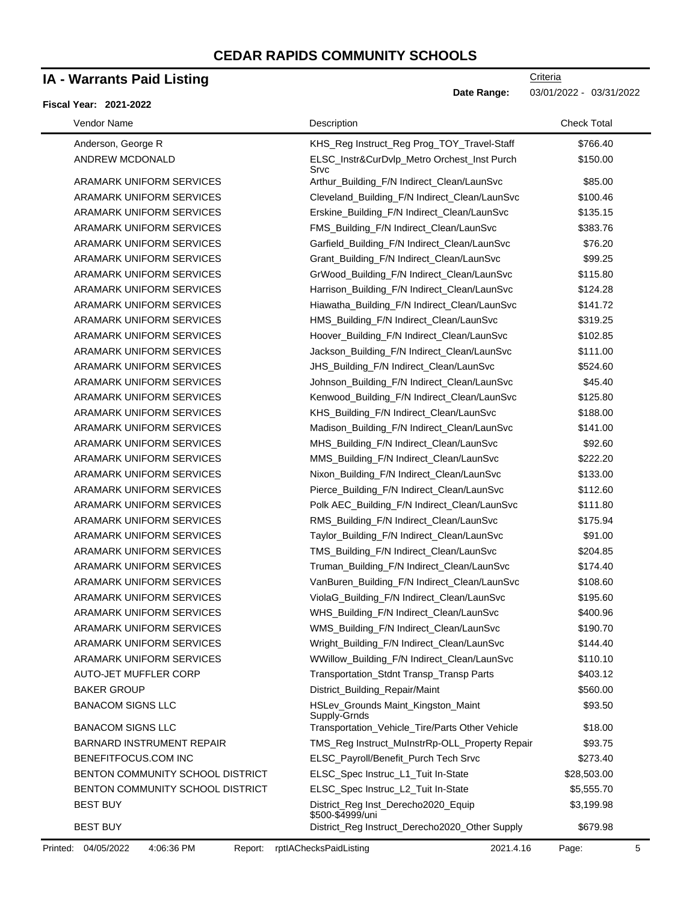### **IA - Warrants Paid Listing**

#### **Fiscal Year: 2021-2022**

| Vendor Name                      | Description                                             | <b>Check Total</b> |
|----------------------------------|---------------------------------------------------------|--------------------|
| Anderson, George R               | KHS_Reg Instruct_Reg Prog_TOY_Travel-Staff              | \$766.40           |
| ANDREW MCDONALD                  | ELSC_Instr&CurDvlp_Metro Orchest_Inst Purch<br>Srvc     | \$150.00           |
| ARAMARK UNIFORM SERVICES         | Arthur_Building_F/N Indirect_Clean/LaunSvc              | \$85.00            |
| ARAMARK UNIFORM SERVICES         | Cleveland_Building_F/N Indirect_Clean/LaunSvc           | \$100.46           |
| ARAMARK UNIFORM SERVICES         | Erskine_Building_F/N Indirect_Clean/LaunSvc             | \$135.15           |
| ARAMARK UNIFORM SERVICES         | FMS_Building_F/N Indirect_Clean/LaunSvc                 | \$383.76           |
| ARAMARK UNIFORM SERVICES         | Garfield_Building_F/N Indirect_Clean/LaunSvc            | \$76.20            |
| ARAMARK UNIFORM SERVICES         | Grant_Building_F/N Indirect_Clean/LaunSvc               | \$99.25            |
| <b>ARAMARK UNIFORM SERVICES</b>  | GrWood_Building_F/N Indirect_Clean/LaunSvc              | \$115.80           |
| ARAMARK UNIFORM SERVICES         | Harrison_Building_F/N Indirect_Clean/LaunSvc            | \$124.28           |
| ARAMARK UNIFORM SERVICES         | Hiawatha_Building_F/N Indirect_Clean/LaunSvc            | \$141.72           |
| ARAMARK UNIFORM SERVICES         | HMS_Building_F/N Indirect_Clean/LaunSvc                 | \$319.25           |
| ARAMARK UNIFORM SERVICES         | Hoover_Building_F/N Indirect_Clean/LaunSvc              | \$102.85           |
| ARAMARK UNIFORM SERVICES         | Jackson_Building_F/N Indirect_Clean/LaunSvc             | \$111.00           |
| ARAMARK UNIFORM SERVICES         | JHS_Building_F/N Indirect_Clean/LaunSvc                 | \$524.60           |
| ARAMARK UNIFORM SERVICES         | Johnson_Building_F/N Indirect_Clean/LaunSvc             | \$45.40            |
| ARAMARK UNIFORM SERVICES         | Kenwood_Building_F/N Indirect_Clean/LaunSvc             | \$125.80           |
| <b>ARAMARK UNIFORM SERVICES</b>  | KHS_Building_F/N Indirect_Clean/LaunSvc                 | \$188.00           |
| <b>ARAMARK UNIFORM SERVICES</b>  | Madison_Building_F/N Indirect_Clean/LaunSvc             | \$141.00           |
| ARAMARK UNIFORM SERVICES         | MHS_Building_F/N Indirect_Clean/LaunSvc                 | \$92.60            |
| ARAMARK UNIFORM SERVICES         | MMS_Building_F/N Indirect_Clean/LaunSvc                 | \$222.20           |
| ARAMARK UNIFORM SERVICES         | Nixon_Building_F/N Indirect_Clean/LaunSvc               | \$133.00           |
| ARAMARK UNIFORM SERVICES         | Pierce_Building_F/N Indirect_Clean/LaunSvc              | \$112.60           |
| ARAMARK UNIFORM SERVICES         | Polk AEC_Building_F/N Indirect_Clean/LaunSvc            | \$111.80           |
| ARAMARK UNIFORM SERVICES         | RMS_Building_F/N Indirect_Clean/LaunSvc                 | \$175.94           |
| ARAMARK UNIFORM SERVICES         | Taylor_Building_F/N Indirect_Clean/LaunSvc              | \$91.00            |
| ARAMARK UNIFORM SERVICES         | TMS_Building_F/N Indirect_Clean/LaunSvc                 | \$204.85           |
| ARAMARK UNIFORM SERVICES         | Truman_Building_F/N Indirect_Clean/LaunSvc              | \$174.40           |
| ARAMARK UNIFORM SERVICES         | VanBuren_Building_F/N Indirect_Clean/LaunSvc            | \$108.60           |
| ARAMARK UNIFORM SERVICES         | ViolaG_Building_F/N Indirect_Clean/LaunSvc              | \$195.60           |
| ARAMARK UNIFORM SERVICES         | WHS_Building_F/N Indirect_Clean/LaunSvc                 | \$400.96           |
| ARAMARK UNIFORM SERVICES         | WMS_Building_F/N Indirect_Clean/LaunSvc                 | \$190.70           |
| ARAMARK UNIFORM SERVICES         | Wright_Building_F/N Indirect_Clean/LaunSvc              | \$144.40           |
| ARAMARK UNIFORM SERVICES         | WWillow_Building_F/N Indirect_Clean/LaunSvc             | \$110.10           |
| <b>AUTO-JET MUFFLER CORP</b>     | Transportation_Stdnt Transp_Transp Parts                | \$403.12           |
| <b>BAKER GROUP</b>               | District_Building_Repair/Maint                          | \$560.00           |
| <b>BANACOM SIGNS LLC</b>         | HSLev_Grounds Maint_Kingston_Maint<br>Supply-Grnds      | \$93.50            |
| <b>BANACOM SIGNS LLC</b>         | Transportation_Vehicle_Tire/Parts Other Vehicle         | \$18.00            |
| <b>BARNARD INSTRUMENT REPAIR</b> | TMS_Reg Instruct_MuInstrRp-OLL_Property Repair          | \$93.75            |
| BENEFITFOCUS.COM INC             | ELSC_Payroll/Benefit_Purch Tech Srvc                    | \$273.40           |
| BENTON COMMUNITY SCHOOL DISTRICT | ELSC_Spec Instruc_L1_Tuit In-State                      | \$28,503.00        |
| BENTON COMMUNITY SCHOOL DISTRICT | ELSC_Spec Instruc_L2_Tuit In-State                      | \$5,555.70         |
| <b>BEST BUY</b>                  | District_Reg Inst_Derecho2020_Equip<br>\$500-\$4999/uni | \$3,199.98         |
| <b>BEST BUY</b>                  | District_Reg Instruct_Derecho2020_Other Supply          | \$679.98           |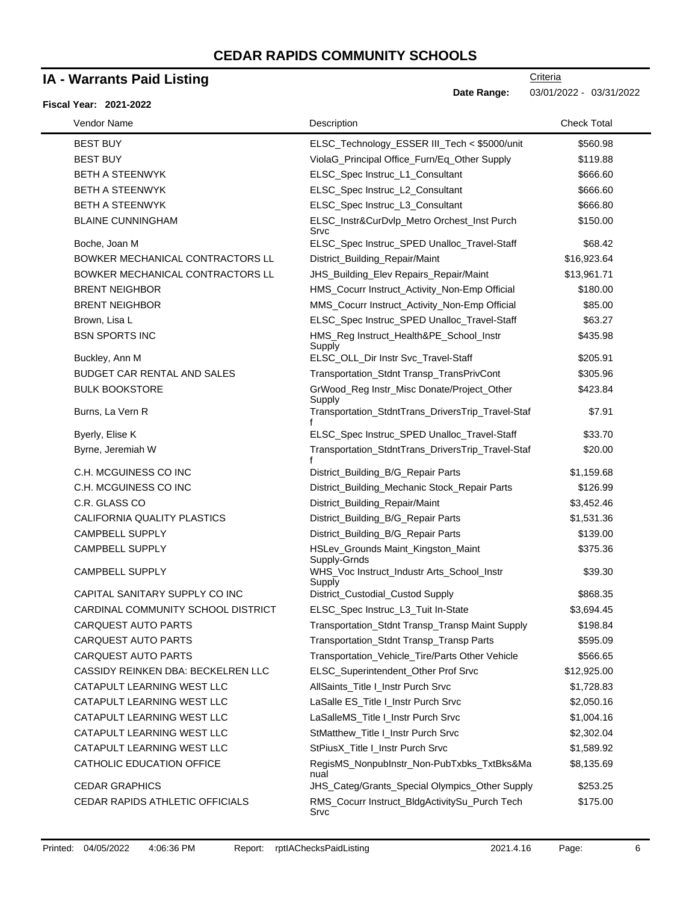### **IA - Warrants Paid Listing**

#### **Fiscal Year: 2021-2022**

**Date Range:** 03/01/2022 - 03/31/2022

| Vendor Name                        | Description                                           | <b>Check Total</b> |
|------------------------------------|-------------------------------------------------------|--------------------|
| <b>BEST BUY</b>                    | ELSC_Technology_ESSER III_Tech < \$5000/unit          | \$560.98           |
| <b>BEST BUY</b>                    | ViolaG_Principal Office_Furn/Eq_Other Supply          | \$119.88           |
| <b>BETH A STEENWYK</b>             | ELSC_Spec Instruc_L1_Consultant                       | \$666.60           |
| <b>BETH A STEENWYK</b>             | ELSC_Spec Instruc_L2_Consultant                       | \$666.60           |
| <b>BETH A STEENWYK</b>             | ELSC_Spec Instruc_L3_Consultant                       | \$666.80           |
| <b>BLAINE CUNNINGHAM</b>           | ELSC_Instr&CurDvlp_Metro Orchest_Inst Purch<br>Srvc   | \$150.00           |
| Boche, Joan M                      | ELSC_Spec Instruc_SPED Unalloc_Travel-Staff           | \$68.42            |
| BOWKER MECHANICAL CONTRACTORS LL   | District_Building_Repair/Maint                        | \$16,923.64        |
| BOWKER MECHANICAL CONTRACTORS LL   | JHS_Building_Elev Repairs_Repair/Maint                | \$13,961.71        |
| <b>BRENT NEIGHBOR</b>              | HMS_Cocurr Instruct_Activity_Non-Emp Official         | \$180.00           |
| <b>BRENT NEIGHBOR</b>              | MMS_Cocurr Instruct_Activity_Non-Emp Official         | \$85.00            |
| Brown, Lisa L                      | ELSC_Spec Instruc_SPED Unalloc_Travel-Staff           | \$63.27            |
| <b>BSN SPORTS INC</b>              | HMS_Reg Instruct_Health&PE_School_Instr<br>Supply     | \$435.98           |
| Buckley, Ann M                     | ELSC_OLL_Dir Instr Svc_Travel-Staff                   | \$205.91           |
| BUDGET CAR RENTAL AND SALES        | Transportation_Stdnt Transp_TransPrivCont             | \$305.96           |
| <b>BULK BOOKSTORE</b>              | GrWood_Reg Instr_Misc Donate/Project_Other<br>Supply  | \$423.84           |
| Burns, La Vern R                   | Transportation_StdntTrans_DriversTrip_Travel-Staf     | \$7.91             |
| Byerly, Elise K                    | ELSC_Spec Instruc_SPED Unalloc_Travel-Staff           | \$33.70            |
| Byrne, Jeremiah W                  | Transportation_StdntTrans_DriversTrip_Travel-Staf     | \$20.00            |
| C.H. MCGUINESS CO INC              | District_Building_B/G_Repair Parts                    | \$1,159.68         |
| C.H. MCGUINESS CO INC              | District_Building_Mechanic Stock_Repair Parts         | \$126.99           |
| C.R. GLASS CO                      | District_Building_Repair/Maint                        | \$3,452.46         |
| CALIFORNIA QUALITY PLASTICS        | District_Building_B/G_Repair Parts                    | \$1,531.36         |
| <b>CAMPBELL SUPPLY</b>             | District_Building_B/G_Repair Parts                    | \$139.00           |
| <b>CAMPBELL SUPPLY</b>             | HSLev_Grounds Maint_Kingston_Maint<br>Supply-Grnds    | \$375.36           |
| CAMPBELL SUPPLY                    | WHS_Voc Instruct_Industr Arts_School_Instr<br>Supply  | \$39.30            |
| CAPITAL SANITARY SUPPLY CO INC     | District_Custodial_Custod Supply                      | \$868.35           |
| CARDINAL COMMUNITY SCHOOL DISTRICT | ELSC_Spec Instruc_L3_Tuit In-State                    | \$3,694.45         |
| CARQUEST AUTO PARTS                | Transportation_Stdnt Transp_Transp Maint Supply       | \$198.84           |
| <b>CARQUEST AUTO PARTS</b>         | Transportation_Stdnt Transp_Transp Parts              | \$595.09           |
| CARQUEST AUTO PARTS                | Transportation_Vehicle_Tire/Parts Other Vehicle       | \$566.65           |
| CASSIDY REINKEN DBA: BECKELREN LLC | ELSC_Superintendent_Other Prof Srvc                   | \$12,925.00        |
| CATAPULT LEARNING WEST LLC         | AllSaints_Title I_Instr Purch Srvc                    | \$1,728.83         |
| CATAPULT LEARNING WEST LLC         | LaSalle ES_Title I_Instr Purch Srvc                   | \$2,050.16         |
| CATAPULT LEARNING WEST LLC         | LaSalleMS_Title I_Instr Purch Srvc                    | \$1,004.16         |
| CATAPULT LEARNING WEST LLC         | StMatthew_Title I_Instr Purch Srvc                    | \$2,302.04         |
| CATAPULT LEARNING WEST LLC         | StPiusX_Title I_Instr Purch Srvc                      | \$1,589.92         |
| CATHOLIC EDUCATION OFFICE          | RegisMS_NonpubInstr_Non-PubTxbks_TxtBks&Ma<br>nual    | \$8,135.69         |
| <b>CEDAR GRAPHICS</b>              | JHS_Categ/Grants_Special Olympics_Other Supply        | \$253.25           |
| CEDAR RAPIDS ATHLETIC OFFICIALS    | RMS_Cocurr Instruct_BldgActivitySu_Purch Tech<br>Srvc | \$175.00           |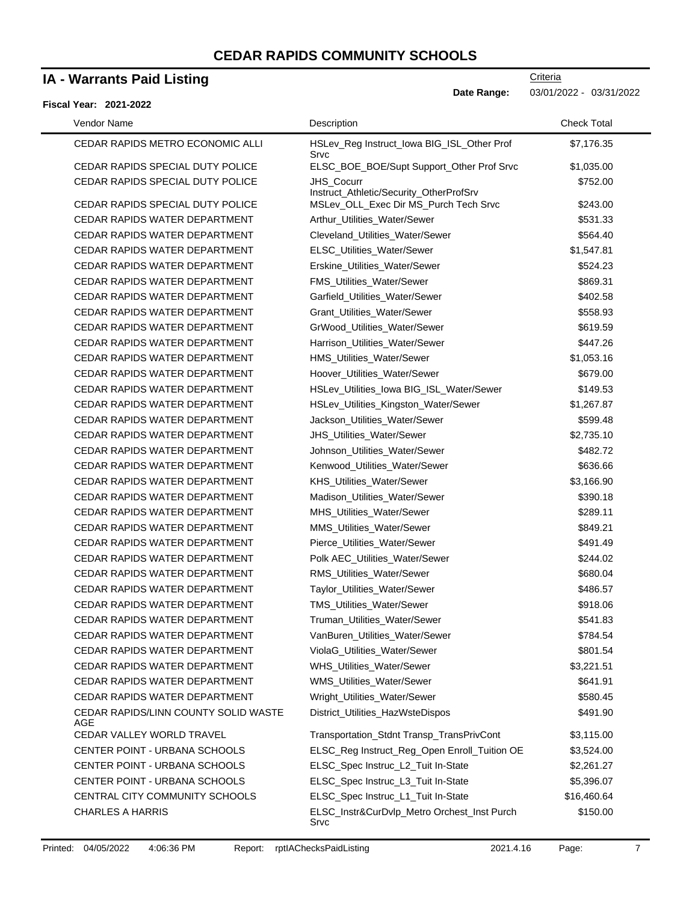# **IA - Warrants Paid Listing**

| <b>IA - Warrants Paid Listing</b>           |                                                   | Criteria                |
|---------------------------------------------|---------------------------------------------------|-------------------------|
| <b>Fiscal Year: 2021-2022</b>               | Date Range:                                       | 03/01/2022 - 03/31/2022 |
| Vendor Name                                 | Description                                       | <b>Check Total</b>      |
| CEDAR RAPIDS METRO ECONOMIC ALLI            | HSLev_Reg Instruct_Iowa BIG_ISL_Other Prof        | \$7,176.35              |
| CEDAR RAPIDS SPECIAL DUTY POLICE            | Srvc<br>ELSC_BOE_BOE/Supt Support_Other Prof Srvc | \$1,035.00              |
| CEDAR RAPIDS SPECIAL DUTY POLICE            | JHS_Cocurr                                        | \$752.00                |
|                                             | Instruct_Athletic/Security_OtherProfSrv           |                         |
| CEDAR RAPIDS SPECIAL DUTY POLICE            | MSLev_OLL_Exec Dir MS_Purch Tech Srvc             | \$243.00                |
| CEDAR RAPIDS WATER DEPARTMENT               | Arthur_Utilities_Water/Sewer                      | \$531.33                |
| CEDAR RAPIDS WATER DEPARTMENT               | Cleveland_Utilities_Water/Sewer                   | \$564.40                |
| CEDAR RAPIDS WATER DEPARTMENT               | ELSC_Utilities_Water/Sewer                        | \$1,547.81              |
| CEDAR RAPIDS WATER DEPARTMENT               | Erskine_Utilities_Water/Sewer                     | \$524.23                |
| CEDAR RAPIDS WATER DEPARTMENT               | FMS_Utilities_Water/Sewer                         | \$869.31                |
| CEDAR RAPIDS WATER DEPARTMENT               | Garfield_Utilities_Water/Sewer                    | \$402.58                |
| CEDAR RAPIDS WATER DEPARTMENT               | Grant_Utilities_Water/Sewer                       | \$558.93                |
| CEDAR RAPIDS WATER DEPARTMENT               | GrWood_Utilities_Water/Sewer                      | \$619.59                |
| CEDAR RAPIDS WATER DEPARTMENT               | Harrison Utilities Water/Sewer                    | \$447.26                |
| CEDAR RAPIDS WATER DEPARTMENT               | HMS_Utilities_Water/Sewer                         | \$1,053.16              |
| CEDAR RAPIDS WATER DEPARTMENT               | Hoover_Utilities_Water/Sewer                      | \$679.00                |
| CEDAR RAPIDS WATER DEPARTMENT               | HSLev_Utilities_lowa BIG_ISL_Water/Sewer          | \$149.53                |
| CEDAR RAPIDS WATER DEPARTMENT               | HSLev_Utilities_Kingston_Water/Sewer              | \$1,267.87              |
| CEDAR RAPIDS WATER DEPARTMENT               | Jackson_Utilities_Water/Sewer                     | \$599.48                |
| CEDAR RAPIDS WATER DEPARTMENT               | JHS_Utilities_Water/Sewer                         | \$2,735.10              |
| CEDAR RAPIDS WATER DEPARTMENT               | Johnson_Utilities_Water/Sewer                     | \$482.72                |
| CEDAR RAPIDS WATER DEPARTMENT               | Kenwood_Utilities_Water/Sewer                     | \$636.66                |
| CEDAR RAPIDS WATER DEPARTMENT               | KHS_Utilities_Water/Sewer                         | \$3,166.90              |
| CEDAR RAPIDS WATER DEPARTMENT               | Madison_Utilities_Water/Sewer                     | \$390.18                |
| CEDAR RAPIDS WATER DEPARTMENT               | MHS Utilities Water/Sewer                         | \$289.11                |
| CEDAR RAPIDS WATER DEPARTMENT               | MMS_Utilities_Water/Sewer                         | \$849.21                |
| CEDAR RAPIDS WATER DEPARTMENT               | Pierce_Utilities_Water/Sewer                      | \$491.49                |
| CEDAR RAPIDS WATER DEPARTMENT               | Polk AEC_Utilities_Water/Sewer                    | \$244.02                |
| <b>CEDAR RAPIDS WATER DEPARTMENT</b>        | RMS_Utilities_Water/Sewer                         | \$680.04                |
| CEDAR RAPIDS WATER DEPARTMENT               | Taylor_Utilities_Water/Sewer                      | \$486.57                |
| CEDAR RAPIDS WATER DEPARTMENT               | TMS_Utilities_Water/Sewer                         | \$918.06                |
| CEDAR RAPIDS WATER DEPARTMENT               | Truman_Utilities_Water/Sewer                      | \$541.83                |
| CEDAR RAPIDS WATER DEPARTMENT               | VanBuren_Utilities_Water/Sewer                    | \$784.54                |
| CEDAR RAPIDS WATER DEPARTMENT               | ViolaG_Utilities_Water/Sewer                      | \$801.54                |
| CEDAR RAPIDS WATER DEPARTMENT               | WHS_Utilities_Water/Sewer                         | \$3,221.51              |
| CEDAR RAPIDS WATER DEPARTMENT               | WMS_Utilities_Water/Sewer                         | \$641.91                |
| CEDAR RAPIDS WATER DEPARTMENT               | Wright_Utilities_Water/Sewer                      | \$580.45                |
| CEDAR RAPIDS/LINN COUNTY SOLID WASTE<br>AGE | District_Utilities_HazWsteDispos                  | \$491.90                |
| CEDAR VALLEY WORLD TRAVEL                   | Transportation_Stdnt Transp_TransPrivCont         | \$3,115.00              |
| CENTER POINT - URBANA SCHOOLS               | ELSC_Reg Instruct_Reg_Open Enroll_Tuition OE      | \$3,524.00              |
| CENTER POINT - URBANA SCHOOLS               | ELSC_Spec Instruc_L2_Tuit In-State                | \$2,261.27              |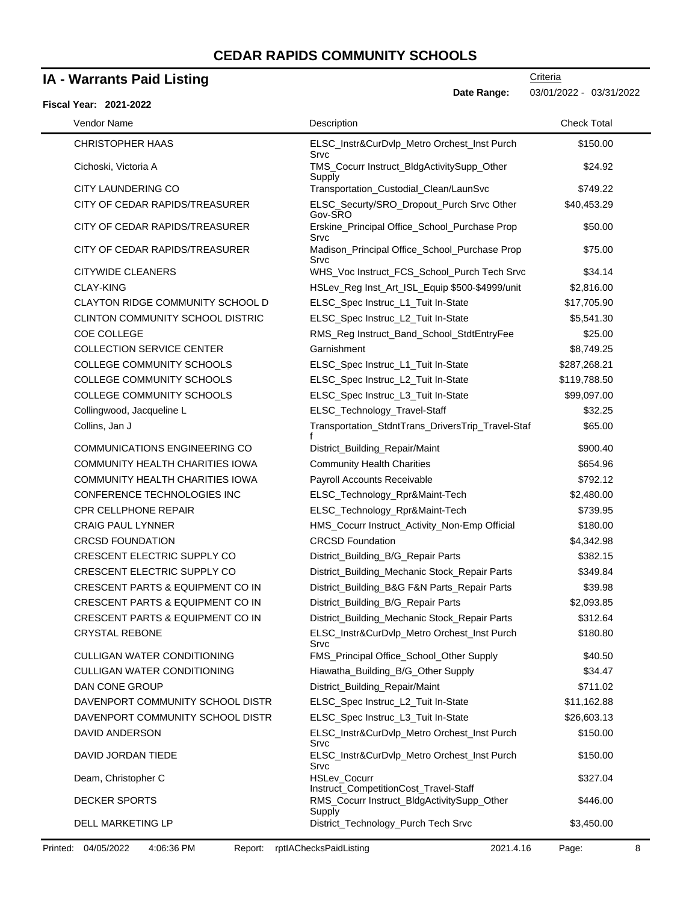### **IA - Warrants Paid Listing**

#### **Fiscal Year: 2021-2022**

| Vendor Name                                 | Description                                                  | <b>Check Total</b> |
|---------------------------------------------|--------------------------------------------------------------|--------------------|
| <b>CHRISTOPHER HAAS</b>                     | ELSC_Instr&CurDvlp_Metro Orchest_Inst Purch<br>Srvc          | \$150.00           |
| Cichoski, Victoria A                        | TMS_Cocurr Instruct_BldgActivitySupp_Other<br>Supply         | \$24.92            |
| <b>CITY LAUNDERING CO</b>                   | Transportation_Custodial_Clean/LaunSvc                       | \$749.22           |
| CITY OF CEDAR RAPIDS/TREASURER              | ELSC_Securty/SRO_Dropout_Purch Srvc Other<br>Gov-SRO         | \$40,453.29        |
| CITY OF CEDAR RAPIDS/TREASURER              | Erskine_Principal Office_School_Purchase Prop<br>Srvc        | \$50.00            |
| CITY OF CEDAR RAPIDS/TREASURER              | Madison_Principal Office_School_Purchase Prop<br>Srvc        | \$75.00            |
| <b>CITYWIDE CLEANERS</b>                    | WHS_Voc Instruct_FCS_School_Purch Tech Srvc                  | \$34.14            |
| <b>CLAY-KING</b>                            | HSLev_Reg Inst_Art_ISL_Equip \$500-\$4999/unit               | \$2,816.00         |
| CLAYTON RIDGE COMMUNITY SCHOOL D            | ELSC_Spec Instruc_L1_Tuit In-State                           | \$17,705.90        |
| CLINTON COMMUNITY SCHOOL DISTRIC            | ELSC_Spec Instruc_L2_Tuit In-State                           | \$5,541.30         |
| COE COLLEGE                                 | RMS_Reg Instruct_Band_School_StdtEntryFee                    | \$25.00            |
| <b>COLLECTION SERVICE CENTER</b>            | Garnishment                                                  | \$8,749.25         |
| <b>COLLEGE COMMUNITY SCHOOLS</b>            | ELSC_Spec Instruc_L1_Tuit In-State                           | \$287,268.21       |
| <b>COLLEGE COMMUNITY SCHOOLS</b>            | ELSC_Spec Instruc_L2_Tuit In-State                           | \$119,788.50       |
| COLLEGE COMMUNITY SCHOOLS                   | ELSC_Spec Instruc_L3_Tuit In-State                           | \$99,097.00        |
| Collingwood, Jacqueline L                   | ELSC_Technology_Travel-Staff                                 | \$32.25            |
| Collins, Jan J                              | Transportation_StdntTrans_DriversTrip_Travel-Staf            | \$65.00            |
| <b>COMMUNICATIONS ENGINEERING CO</b>        | District_Building_Repair/Maint                               | \$900.40           |
| COMMUNITY HEALTH CHARITIES IOWA             | <b>Community Health Charities</b>                            | \$654.96           |
| COMMUNITY HEALTH CHARITIES IOWA             | Payroll Accounts Receivable                                  | \$792.12           |
| CONFERENCE TECHNOLOGIES INC                 | ELSC_Technology_Rpr&Maint-Tech                               | \$2,480.00         |
| <b>CPR CELLPHONE REPAIR</b>                 | ELSC_Technology_Rpr&Maint-Tech                               | \$739.95           |
| <b>CRAIG PAUL LYNNER</b>                    | HMS_Cocurr Instruct_Activity_Non-Emp Official                | \$180.00           |
| <b>CRCSD FOUNDATION</b>                     | <b>CRCSD Foundation</b>                                      | \$4,342.98         |
| CRESCENT ELECTRIC SUPPLY CO                 | District_Building_B/G_Repair Parts                           | \$382.15           |
| CRESCENT ELECTRIC SUPPLY CO                 | District_Building_Mechanic Stock_Repair Parts                | \$349.84           |
| <b>CRESCENT PARTS &amp; EQUIPMENT CO IN</b> | District_Building_B&G F&N Parts_Repair Parts                 | \$39.98            |
| CRESCENT PARTS & EQUIPMENT CO IN            | District_Building_B/G_Repair Parts                           | \$2,093.85         |
| CRESCENT PARTS & EQUIPMENT CO IN            | District_Building_Mechanic Stock_Repair Parts                | \$312.64           |
| <b>CRYSTAL REBONE</b>                       | ELSC_Instr&CurDvlp_Metro Orchest_Inst Purch<br>Srvc          | \$180.80           |
| <b>CULLIGAN WATER CONDITIONING</b>          | FMS_Principal Office_School_Other Supply                     | \$40.50            |
| <b>CULLIGAN WATER CONDITIONING</b>          | Hiawatha_Building_B/G_Other Supply                           | \$34.47            |
| DAN CONE GROUP                              | District_Building_Repair/Maint                               | \$711.02           |
| DAVENPORT COMMUNITY SCHOOL DISTR            | ELSC_Spec Instruc_L2_Tuit In-State                           | \$11,162.88        |
| DAVENPORT COMMUNITY SCHOOL DISTR            | ELSC_Spec Instruc_L3_Tuit In-State                           | \$26,603.13        |
| DAVID ANDERSON                              | ELSC_Instr&CurDvlp_Metro Orchest_Inst Purch<br>Srvc          | \$150.00           |
| DAVID JORDAN TIEDE                          | ELSC_Instr&CurDvlp_Metro Orchest_Inst Purch<br>Srvc          | \$150.00           |
| Deam, Christopher C                         | <b>HSLev Cocurr</b><br>Instruct_CompetitionCost_Travel-Staff | \$327.04           |
| <b>DECKER SPORTS</b>                        | RMS_Cocurr Instruct_BldgActivitySupp_Other<br>Supply         | \$446.00           |
| DELL MARKETING LP                           | District_Technology_Purch Tech Srvc                          | \$3,450.00         |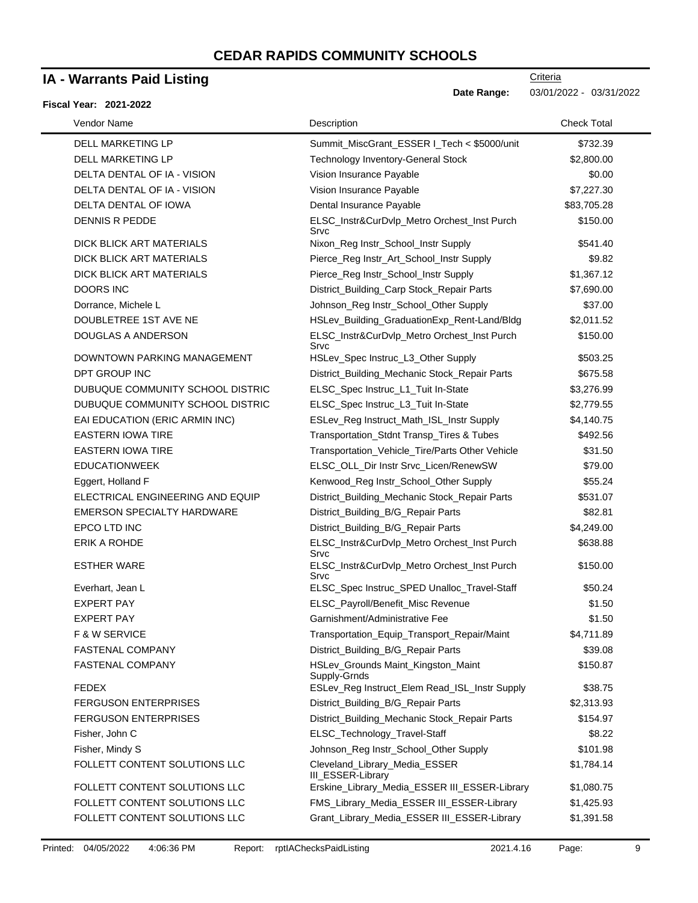### **IA - Warrants Paid Listing**

### **Fiscal Year: 2021-2022**

| Vendor Name                        | Description                                         | <b>Check Total</b> |
|------------------------------------|-----------------------------------------------------|--------------------|
| <b>DELL MARKETING LP</b>           | Summit_MiscGrant_ESSER I_Tech < \$5000/unit         | \$732.39           |
| DELL MARKETING LP                  | Technology Inventory-General Stock                  | \$2,800.00         |
| DELTA DENTAL OF IA - VISION        | Vision Insurance Payable                            | \$0.00             |
| DELTA DENTAL OF IA - VISION        | Vision Insurance Payable                            | \$7,227.30         |
| DELTA DENTAL OF IOWA               | Dental Insurance Payable                            | \$83,705.28        |
| <b>DENNIS R PEDDE</b>              | ELSC_Instr&CurDvlp_Metro Orchest_Inst Purch<br>Srvc | \$150.00           |
| DICK BLICK ART MATERIALS           | Nixon_Reg Instr_School_Instr Supply                 | \$541.40           |
| DICK BLICK ART MATERIALS           | Pierce_Reg Instr_Art_School_Instr Supply            | \$9.82             |
| DICK BLICK ART MATERIALS           | Pierce_Reg Instr_School_Instr Supply                | \$1,367.12         |
| <b>DOORS INC</b>                   | District_Building_Carp Stock_Repair Parts           | \$7,690.00         |
| Dorrance, Michele L                | Johnson_Reg Instr_School_Other Supply               | \$37.00            |
| DOUBLETREE 1ST AVE NE              | HSLev_Building_GraduationExp_Rent-Land/Bldg         | \$2,011.52         |
| DOUGLAS A ANDERSON                 | ELSC_Instr&CurDvlp_Metro Orchest_Inst Purch<br>Srvc | \$150.00           |
| <b>DOWNTOWN PARKING MANAGEMENT</b> | HSLev_Spec Instruc_L3_Other Supply                  | \$503.25           |
| DPT GROUP INC                      | District_Building_Mechanic Stock_Repair Parts       | \$675.58           |
| DUBUQUE COMMUNITY SCHOOL DISTRIC   | ELSC_Spec Instruc_L1_Tuit In-State                  | \$3,276.99         |
| DUBUQUE COMMUNITY SCHOOL DISTRIC   | ELSC_Spec Instruc_L3_Tuit In-State                  | \$2,779.55         |
| EAI EDUCATION (ERIC ARMIN INC)     | ESLev_Reg Instruct_Math_ISL_Instr Supply            | \$4,140.75         |
| <b>EASTERN IOWA TIRE</b>           | Transportation_Stdnt Transp_Tires & Tubes           | \$492.56           |
| <b>EASTERN IOWA TIRE</b>           | Transportation_Vehicle_Tire/Parts Other Vehicle     | \$31.50            |
| <b>EDUCATIONWEEK</b>               | ELSC_OLL_Dir Instr Srvc_Licen/RenewSW               | \$79.00            |
| Eggert, Holland F                  | Kenwood_Reg Instr_School_Other Supply               | \$55.24            |
| ELECTRICAL ENGINEERING AND EQUIP   | District_Building_Mechanic Stock_Repair Parts       | \$531.07           |
| <b>EMERSON SPECIALTY HARDWARE</b>  | District_Building_B/G_Repair Parts                  | \$82.81            |
| EPCO LTD INC                       | District_Building_B/G_Repair Parts                  | \$4,249.00         |
| ERIK A ROHDE                       | ELSC_Instr&CurDvlp_Metro Orchest_Inst Purch<br>Srvc | \$638.88           |
| <b>ESTHER WARE</b>                 | ELSC_Instr&CurDvlp_Metro Orchest_Inst Purch<br>Srvc | \$150.00           |
| Everhart, Jean L                   | ELSC_Spec Instruc_SPED Unalloc_Travel-Staff         | \$50.24            |
| <b>EXPERT PAY</b>                  | ELSC_Payroll/Benefit_Misc Revenue                   | \$1.50             |
| <b>EXPERT PAY</b>                  | Garnishment/Administrative Fee                      | \$1.50             |
| <b>F &amp; W SERVICE</b>           | Transportation_Equip_Transport_Repair/Maint         | \$4,711.89         |
| <b>FASTENAL COMPANY</b>            | District_Building_B/G_Repair Parts                  | \$39.08            |
| FASTENAL COMPANY                   | HSLev_Grounds Maint_Kingston_Maint<br>Supply-Grnds  | \$150.87           |
| <b>FEDEX</b>                       | ESLev_Reg Instruct_Elem Read_ISL_Instr Supply       | \$38.75            |
| <b>FERGUSON ENTERPRISES</b>        | District_Building_B/G_Repair Parts                  | \$2,313.93         |
| <b>FERGUSON ENTERPRISES</b>        | District_Building_Mechanic Stock_Repair Parts       | \$154.97           |
| Fisher, John C                     | ELSC_Technology_Travel-Staff                        | \$8.22             |
| Fisher, Mindy S                    | Johnson_Reg Instr_School_Other Supply               | \$101.98           |
| FOLLETT CONTENT SOLUTIONS LLC      | Cleveland_Library_Media_ESSER<br>III_ESSER-Library  | \$1,784.14         |
| FOLLETT CONTENT SOLUTIONS LLC      | Erskine_Library_Media_ESSER III_ESSER-Library       | \$1,080.75         |
| FOLLETT CONTENT SOLUTIONS LLC      | FMS_Library_Media_ESSER III_ESSER-Library           | \$1,425.93         |
| FOLLETT CONTENT SOLUTIONS LLC      | Grant_Library_Media_ESSER III_ESSER-Library         | \$1,391.58         |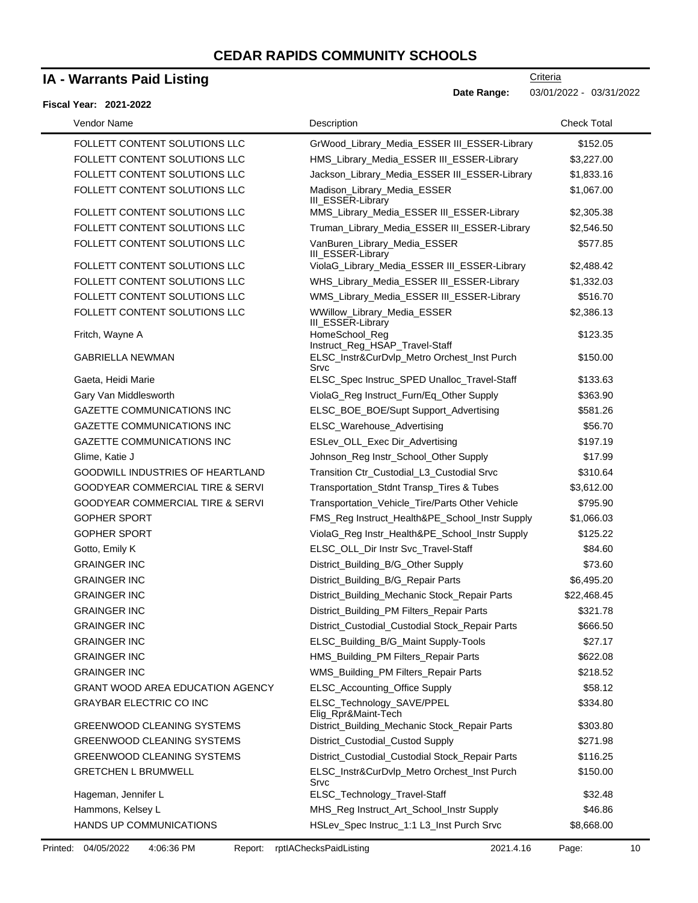### **IA - Warrants Paid Listing**

#### **Fiscal Year: 2021-2022**

**Date Range:** 03/01/2022 - 03/31/2022

| Vendor Name                                 | Description                                         | <b>Check Total</b> |
|---------------------------------------------|-----------------------------------------------------|--------------------|
| FOLLETT CONTENT SOLUTIONS LLC               | GrWood_Library_Media_ESSER III_ESSER-Library        | \$152.05           |
| FOLLETT CONTENT SOLUTIONS LLC               | HMS_Library_Media_ESSER III_ESSER-Library           | \$3,227.00         |
| <b>FOLLETT CONTENT SOLUTIONS LLC</b>        | Jackson_Library_Media_ESSER III_ESSER-Library       | \$1,833.16         |
| FOLLETT CONTENT SOLUTIONS LLC               | Madison_Library_Media_ESSER<br>III_ESSER-Library    | \$1,067.00         |
| FOLLETT CONTENT SOLUTIONS LLC               | MMS_Library_Media_ESSER III_ESSER-Library           | \$2,305.38         |
| FOLLETT CONTENT SOLUTIONS LLC               | Truman_Library_Media_ESSER III_ESSER-Library        | \$2,546.50         |
| FOLLETT CONTENT SOLUTIONS LLC               | VanBuren_Library_Media_ESSER<br>III_ESSER-Library   | \$577.85           |
| FOLLETT CONTENT SOLUTIONS LLC               | ViolaG_Library_Media_ESSER III_ESSER-Library        | \$2,488.42         |
| FOLLETT CONTENT SOLUTIONS LLC               | WHS_Library_Media_ESSER III_ESSER-Library           | \$1,332.03         |
| FOLLETT CONTENT SOLUTIONS LLC               | WMS_Library_Media_ESSER III_ESSER-Library           | \$516.70           |
| FOLLETT CONTENT SOLUTIONS LLC               | WWillow_Library_Media_ESSER<br>III_ESSER-Library    | \$2,386.13         |
| Fritch, Wayne A                             | HomeSchool_Reg<br>Instruct_Reg_HSAP_Travel-Staff    | \$123.35           |
| <b>GABRIELLA NEWMAN</b>                     | ELSC_Instr&CurDvlp_Metro Orchest_Inst Purch<br>Srvc | \$150.00           |
| Gaeta, Heidi Marie                          | ELSC Spec Instruc SPED Unalloc Travel-Staff         | \$133.63           |
| Gary Van Middlesworth                       | ViolaG_Reg Instruct_Furn/Eq_Other Supply            | \$363.90           |
| <b>GAZETTE COMMUNICATIONS INC</b>           | ELSC_BOE_BOE/Supt Support_Advertising               | \$581.26           |
| <b>GAZETTE COMMUNICATIONS INC</b>           | ELSC_Warehouse_Advertising                          | \$56.70            |
| <b>GAZETTE COMMUNICATIONS INC</b>           | ESLev_OLL_Exec Dir_Advertising                      | \$197.19           |
| Glime, Katie J                              | Johnson_Reg Instr_School_Other Supply               | \$17.99            |
| GOODWILL INDUSTRIES OF HEARTLAND            | Transition Ctr_Custodial_L3_Custodial Srvc          | \$310.64           |
| <b>GOODYEAR COMMERCIAL TIRE &amp; SERVI</b> | Transportation_Stdnt Transp_Tires & Tubes           | \$3,612.00         |
| <b>GOODYEAR COMMERCIAL TIRE &amp; SERVI</b> | Transportation_Vehicle_Tire/Parts Other Vehicle     | \$795.90           |
| GOPHER SPORT                                | FMS_Reg Instruct_Health&PE_School_Instr Supply      | \$1,066.03         |
| <b>GOPHER SPORT</b>                         | ViolaG_Reg Instr_Health&PE_School_Instr Supply      | \$125.22           |
| Gotto, Emily K                              | ELSC_OLL_Dir Instr Svc_Travel-Staff                 | \$84.60            |
| <b>GRAINGER INC</b>                         | District_Building_B/G_Other Supply                  | \$73.60            |
| <b>GRAINGER INC</b>                         | District_Building_B/G_Repair Parts                  | \$6,495.20         |
| <b>GRAINGER INC</b>                         | District_Building_Mechanic Stock_Repair Parts       | \$22,468.45        |
| <b>GRAINGER INC</b>                         | District_Building_PM Filters_Repair Parts           | \$321.78           |
| GRAINGER INC                                | District_Custodial_Custodial Stock_Repair Parts     | \$666.50           |
| <b>GRAINGER INC</b>                         | ELSC_Building_B/G_Maint Supply-Tools                | \$27.17            |
| <b>GRAINGER INC</b>                         | HMS_Building_PM Filters_Repair Parts                | \$622.08           |
| <b>GRAINGER INC</b>                         | WMS_Building_PM Filters_Repair Parts                | \$218.52           |
| GRANT WOOD AREA EDUCATION AGENCY            | ELSC_Accounting_Office Supply                       | \$58.12            |
| <b>GRAYBAR ELECTRIC CO INC</b>              | ELSC_Technology_SAVE/PPEL<br>Elig Rpr&Maint-Tech    | \$334.80           |
| GREENWOOD CLEANING SYSTEMS                  | District_Building_Mechanic Stock_Repair Parts       | \$303.80           |
| <b>GREENWOOD CLEANING SYSTEMS</b>           | District_Custodial_Custod Supply                    | \$271.98           |
| GREENWOOD CLEANING SYSTEMS                  | District_Custodial_Custodial Stock_Repair Parts     | \$116.25           |
| <b>GRETCHEN L BRUMWELL</b>                  | ELSC_Instr&CurDvlp_Metro Orchest_Inst Purch<br>Srvc | \$150.00           |
| Hageman, Jennifer L                         | ELSC_Technology_Travel-Staff                        | \$32.48            |
| Hammons, Kelsey L                           | MHS_Reg Instruct_Art_School_Instr Supply            | \$46.86            |
| HANDS UP COMMUNICATIONS                     | HSLev_Spec Instruc_1:1 L3_Inst Purch Srvc           | \$8,668.00         |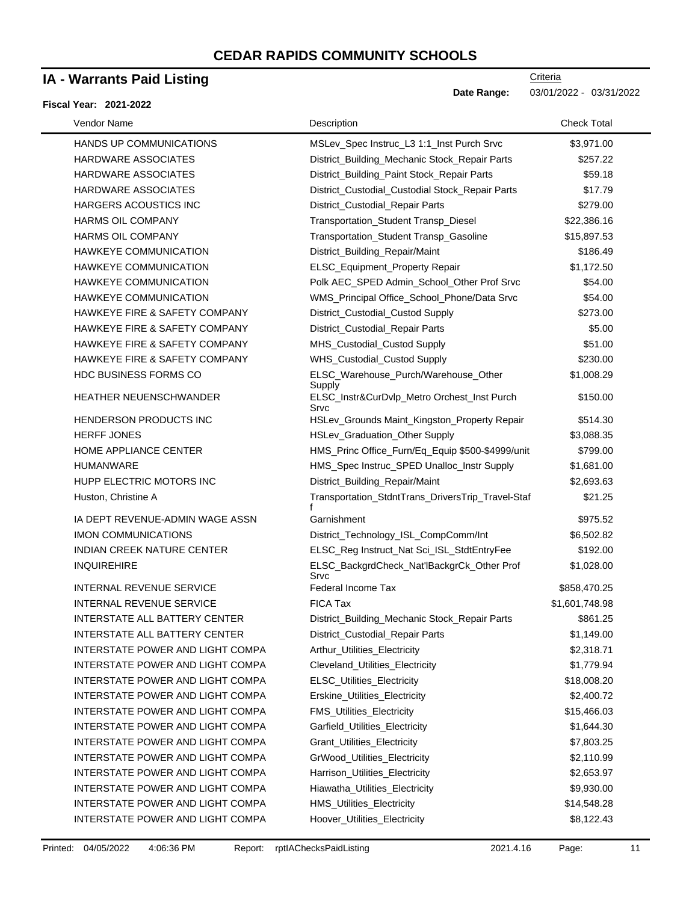### **IA - Warrants Paid Listing**

#### **Fiscal Year: 2021-2022**

| Vendor Name                       | Description                                         | <b>Check Total</b> |
|-----------------------------------|-----------------------------------------------------|--------------------|
| HANDS UP COMMUNICATIONS           | MSLev_Spec Instruc_L3 1:1_Inst Purch Srvc           | \$3,971.00         |
| <b>HARDWARE ASSOCIATES</b>        | District_Building_Mechanic Stock_Repair Parts       | \$257.22           |
| <b>HARDWARE ASSOCIATES</b>        | District_Building_Paint Stock_Repair Parts          | \$59.18            |
| HARDWARE ASSOCIATES               | District_Custodial_Custodial Stock_Repair Parts     | \$17.79            |
| <b>HARGERS ACOUSTICS INC</b>      | District_Custodial_Repair Parts                     | \$279.00           |
| <b>HARMS OIL COMPANY</b>          | Transportation_Student Transp_Diesel                | \$22,386.16        |
| <b>HARMS OIL COMPANY</b>          | Transportation_Student Transp_Gasoline              | \$15,897.53        |
| HAWKEYE COMMUNICATION             | District_Building_Repair/Maint                      | \$186.49           |
| HAWKEYE COMMUNICATION             | ELSC_Equipment_Property Repair                      | \$1,172.50         |
| HAWKEYE COMMUNICATION             | Polk AEC_SPED Admin_School_Other Prof Srvc          | \$54.00            |
| HAWKEYE COMMUNICATION             | WMS_Principal Office_School_Phone/Data Srvc         | \$54.00            |
| HAWKEYE FIRE & SAFETY COMPANY     | District_Custodial_Custod Supply                    | \$273.00           |
| HAWKEYE FIRE & SAFETY COMPANY     | District_Custodial_Repair Parts                     | \$5.00             |
| HAWKEYE FIRE & SAFETY COMPANY     | MHS_Custodial_Custod Supply                         | \$51.00            |
| HAWKEYE FIRE & SAFETY COMPANY     | WHS_Custodial_Custod Supply                         | \$230.00           |
| HDC BUSINESS FORMS CO             | ELSC_Warehouse_Purch/Warehouse_Other<br>Supply      | \$1,008.29         |
| HEATHER NEUENSCHWANDER            | ELSC_Instr&CurDvlp_Metro Orchest_Inst Purch<br>Srvc | \$150.00           |
| <b>HENDERSON PRODUCTS INC</b>     | HSLev_Grounds Maint_Kingston_Property Repair        | \$514.30           |
| <b>HERFF JONES</b>                | HSLev_Graduation_Other Supply                       | \$3,088.35         |
| <b>HOME APPLIANCE CENTER</b>      | HMS_Princ Office_Furn/Eq_Equip \$500-\$4999/unit    | \$799.00           |
| <b>HUMANWARE</b>                  | HMS_Spec Instruc_SPED Unalloc_Instr Supply          | \$1,681.00         |
| HUPP ELECTRIC MOTORS INC          | District_Building_Repair/Maint                      | \$2,693.63         |
| Huston, Christine A               | Transportation_StdntTrans_DriversTrip_Travel-Staf   | \$21.25            |
| IA DEPT REVENUE-ADMIN WAGE ASSN   | Garnishment                                         | \$975.52           |
| <b>IMON COMMUNICATIONS</b>        | District_Technology_ISL_CompComm/Int                | \$6,502.82         |
| <b>INDIAN CREEK NATURE CENTER</b> | ELSC_Reg Instruct_Nat Sci_ISL_StdtEntryFee          | \$192.00           |
| <b>INQUIREHIRE</b>                | ELSC_BackgrdCheck_Nat'lBackgrCk_Other Prof<br>Srvc  | \$1,028.00         |
| <b>INTERNAL REVENUE SERVICE</b>   | Federal Income Tax                                  | \$858,470.25       |
| <b>INTERNAL REVENUE SERVICE</b>   | FICA Tax                                            | \$1,601,748.98     |
| INTERSTATE ALL BATTERY CENTER     | District_Building_Mechanic Stock_Repair Parts       | \$861.25           |
| INTERSTATE ALL BATTERY CENTER     | District_Custodial_Repair Parts                     | \$1,149.00         |
| INTERSTATE POWER AND LIGHT COMPA  | Arthur Utilities Electricity                        | \$2,318.71         |
| INTERSTATE POWER AND LIGHT COMPA  | Cleveland_Utilities_Electricity                     | \$1,779.94         |
| INTERSTATE POWER AND LIGHT COMPA  | ELSC_Utilities_Electricity                          | \$18,008.20        |
| INTERSTATE POWER AND LIGHT COMPA  | Erskine_Utilities_Electricity                       | \$2,400.72         |
| INTERSTATE POWER AND LIGHT COMPA  | <b>FMS Utilities Electricity</b>                    | \$15,466.03        |
| INTERSTATE POWER AND LIGHT COMPA  | Garfield_Utilities_Electricity                      | \$1,644.30         |
| INTERSTATE POWER AND LIGHT COMPA  | <b>Grant_Utilities_Electricity</b>                  | \$7,803.25         |
| INTERSTATE POWER AND LIGHT COMPA  | GrWood_Utilities_Electricity                        | \$2,110.99         |
| INTERSTATE POWER AND LIGHT COMPA  | Harrison_Utilities_Electricity                      | \$2,653.97         |
| INTERSTATE POWER AND LIGHT COMPA  | Hiawatha_Utilities_Electricity                      | \$9,930.00         |
| INTERSTATE POWER AND LIGHT COMPA  | HMS_Utilities_Electricity                           | \$14,548.28        |
| INTERSTATE POWER AND LIGHT COMPA  | Hoover_Utilities_Electricity                        | \$8,122.43         |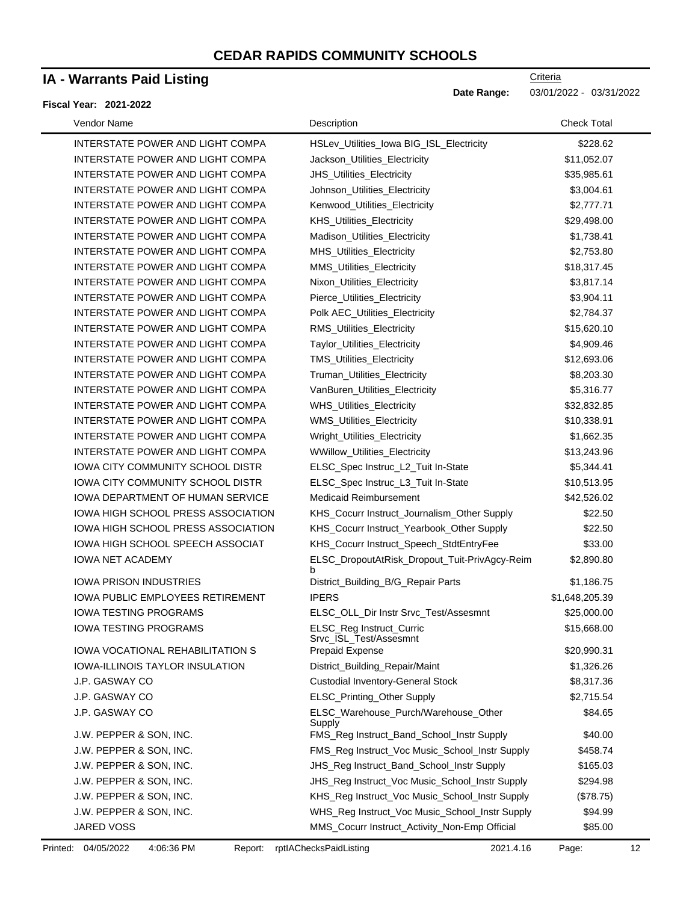### **IA - Warrants Paid Listing**

#### **Fiscal Year: 2021-2022**

| FISCAL LEAL <i>L</i> UZI-ZUZZ           |                                                    |                    |
|-----------------------------------------|----------------------------------------------------|--------------------|
| Vendor Name                             | Description                                        | <b>Check Total</b> |
| INTERSTATE POWER AND LIGHT COMPA        | HSLev_Utilities_Iowa BIG_ISL_Electricity           | \$228.62           |
| INTERSTATE POWER AND LIGHT COMPA        | Jackson_Utilities_Electricity                      | \$11,052.07        |
| INTERSTATE POWER AND LIGHT COMPA        | JHS_Utilities_Electricity                          | \$35,985.61        |
| INTERSTATE POWER AND LIGHT COMPA        | Johnson_Utilities_Electricity                      | \$3,004.61         |
| INTERSTATE POWER AND LIGHT COMPA        | Kenwood_Utilities_Electricity                      | \$2,777.71         |
| INTERSTATE POWER AND LIGHT COMPA        | KHS_Utilities_Electricity                          | \$29,498.00        |
| INTERSTATE POWER AND LIGHT COMPA        | Madison_Utilities_Electricity                      | \$1,738.41         |
| INTERSTATE POWER AND LIGHT COMPA        | MHS_Utilities_Electricity                          | \$2,753.80         |
| INTERSTATE POWER AND LIGHT COMPA        | MMS_Utilities_Electricity                          | \$18,317.45        |
| INTERSTATE POWER AND LIGHT COMPA        | Nixon_Utilities_Electricity                        | \$3,817.14         |
| INTERSTATE POWER AND LIGHT COMPA        | Pierce_Utilities_Electricity                       | \$3,904.11         |
| INTERSTATE POWER AND LIGHT COMPA        | Polk AEC_Utilities_Electricity                     | \$2,784.37         |
| INTERSTATE POWER AND LIGHT COMPA        | RMS_Utilities_Electricity                          | \$15,620.10        |
| INTERSTATE POWER AND LIGHT COMPA        | Taylor_Utilities_Electricity                       | \$4,909.46         |
| INTERSTATE POWER AND LIGHT COMPA        | TMS_Utilities_Electricity                          | \$12,693.06        |
| INTERSTATE POWER AND LIGHT COMPA        | Truman_Utilities_Electricity                       | \$8,203.30         |
| INTERSTATE POWER AND LIGHT COMPA        | VanBuren_Utilities_Electricity                     | \$5,316.77         |
| INTERSTATE POWER AND LIGHT COMPA        | WHS_Utilities_Electricity                          | \$32,832.85        |
| INTERSTATE POWER AND LIGHT COMPA        | WMS_Utilities_Electricity                          | \$10,338.91        |
| INTERSTATE POWER AND LIGHT COMPA        | Wright_Utilities_Electricity                       | \$1,662.35         |
| INTERSTATE POWER AND LIGHT COMPA        | WWillow_Utilities_Electricity                      | \$13,243.96        |
| <b>IOWA CITY COMMUNITY SCHOOL DISTR</b> | ELSC_Spec Instruc_L2_Tuit In-State                 | \$5,344.41         |
| <b>IOWA CITY COMMUNITY SCHOOL DISTR</b> | ELSC_Spec Instruc_L3_Tuit In-State                 | \$10,513.95        |
| IOWA DEPARTMENT OF HUMAN SERVICE        | <b>Medicaid Reimbursement</b>                      | \$42,526.02        |
| IOWA HIGH SCHOOL PRESS ASSOCIATION      | KHS_Cocurr Instruct_Journalism_Other Supply        | \$22.50            |
| IOWA HIGH SCHOOL PRESS ASSOCIATION      | KHS_Cocurr Instruct_Yearbook_Other Supply          | \$22.50            |
| IOWA HIGH SCHOOL SPEECH ASSOCIAT        | KHS_Cocurr Instruct_Speech_StdtEntryFee            | \$33.00            |
| <b>IOWA NET ACADEMY</b>                 | ELSC_DropoutAtRisk_Dropout_Tuit-PrivAgcy-Reim<br>b | \$2,890.80         |
| <b>IOWA PRISON INDUSTRIES</b>           | District_Building_B/G_Repair Parts                 | \$1,186.75         |
| <b>IOWA PUBLIC EMPLOYEES RETIREMENT</b> | <b>IPERS</b>                                       | \$1,648,205.39     |
| <b>IOWA TESTING PROGRAMS</b>            | ELSC_OLL_Dir Instr Srvc_Test/Assesmnt              | \$25,000.00        |
| <b>IOWA TESTING PROGRAMS</b>            | ELSC_Reg Instruct_Curric<br>Srvc_ISL_Test/Assesmnt | \$15,668.00        |
| <b>IOWA VOCATIONAL REHABILITATION S</b> | Prepaid Expense                                    | \$20,990.31        |
| <b>IOWA-ILLINOIS TAYLOR INSULATION</b>  | District_Building_Repair/Maint                     | \$1,326.26         |
| J.P. GASWAY CO                          | <b>Custodial Inventory-General Stock</b>           | \$8,317.36         |
| J.P. GASWAY CO                          | ELSC_Printing_Other Supply                         | \$2,715.54         |
| J.P. GASWAY CO                          | ELSC_Warehouse_Purch/Warehouse_Other<br>Supply     | \$84.65            |
| J.W. PEPPER & SON, INC.                 | FMS_Reg Instruct_Band_School_Instr Supply          | \$40.00            |
| J.W. PEPPER & SON, INC.                 | FMS_Reg Instruct_Voc Music_School_Instr Supply     | \$458.74           |
| J.W. PEPPER & SON, INC.                 | JHS_Reg Instruct_Band_School_Instr Supply          | \$165.03           |
| J.W. PEPPER & SON, INC.                 | JHS_Reg Instruct_Voc Music_School_Instr Supply     | \$294.98           |
| J.W. PEPPER & SON, INC.                 | KHS_Reg Instruct_Voc Music_School_Instr Supply     | (\$78.75)          |
| J.W. PEPPER & SON, INC.                 | WHS_Reg Instruct_Voc Music_School_Instr Supply     | \$94.99            |
| JARED VOSS                              | MMS_Cocurr Instruct_Activity_Non-Emp Official      | \$85.00            |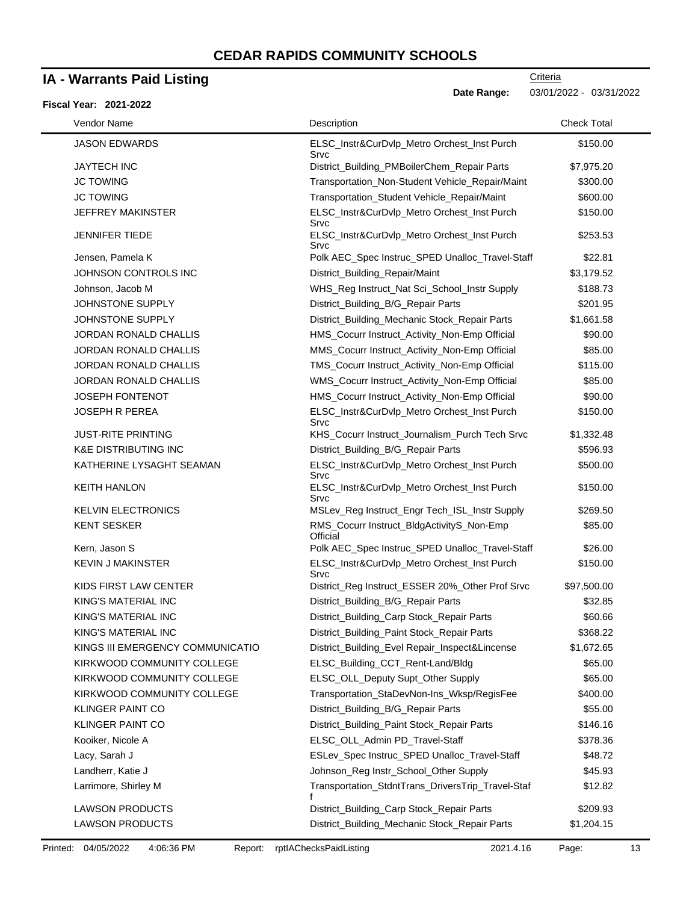### **IA - Warrants Paid Listing**

#### **Fiscal Year: 2021-2022**

| Vendor Name                      | Description                                           | <b>Check Total</b> |
|----------------------------------|-------------------------------------------------------|--------------------|
| <b>JASON EDWARDS</b>             | ELSC_Instr&CurDvlp_Metro Orchest_Inst Purch<br>Srvc   | \$150.00           |
| <b>JAYTECH INC</b>               | District_Building_PMBoilerChem_Repair Parts           | \$7,975.20         |
| <b>JC TOWING</b>                 | Transportation_Non-Student Vehicle_Repair/Maint       | \$300.00           |
| <b>JC TOWING</b>                 | Transportation_Student Vehicle_Repair/Maint           | \$600.00           |
| <b>JEFFREY MAKINSTER</b>         | ELSC_Instr&CurDvlp_Metro Orchest_Inst Purch<br>Srvc   | \$150.00           |
| <b>JENNIFER TIEDE</b>            | ELSC_Instr&CurDvlp_Metro Orchest_Inst Purch<br>Srvc   | \$253.53           |
| Jensen, Pamela K                 | Polk AEC_Spec Instruc_SPED Unalloc_Travel-Staff       | \$22.81            |
| JOHNSON CONTROLS INC             | District_Building_Repair/Maint                        | \$3,179.52         |
| Johnson, Jacob M                 | WHS_Reg Instruct_Nat Sci_School_Instr Supply          | \$188.73           |
| JOHNSTONE SUPPLY                 | District_Building_B/G_Repair Parts                    | \$201.95           |
| JOHNSTONE SUPPLY                 | District_Building_Mechanic Stock_Repair Parts         | \$1,661.58         |
| <b>JORDAN RONALD CHALLIS</b>     | HMS_Cocurr Instruct_Activity_Non-Emp Official         | \$90.00            |
| <b>JORDAN RONALD CHALLIS</b>     | MMS_Cocurr Instruct_Activity_Non-Emp Official         | \$85.00            |
| <b>JORDAN RONALD CHALLIS</b>     | TMS_Cocurr Instruct_Activity_Non-Emp Official         | \$115.00           |
| JORDAN RONALD CHALLIS            | WMS_Cocurr Instruct_Activity_Non-Emp Official         | \$85.00            |
| <b>JOSEPH FONTENOT</b>           | HMS_Cocurr Instruct_Activity_Non-Emp Official         | \$90.00            |
| <b>JOSEPH R PEREA</b>            | ELSC_Instr&CurDvlp_Metro Orchest_Inst Purch<br>Srvc   | \$150.00           |
| <b>JUST-RITE PRINTING</b>        | KHS_Cocurr Instruct_Journalism_Purch Tech Srvc        | \$1,332.48         |
| <b>K&amp;E DISTRIBUTING INC</b>  | District_Building_B/G_Repair Parts                    | \$596.93           |
| KATHERINE LYSAGHT SEAMAN         | ELSC_Instr&CurDvlp_Metro Orchest_Inst Purch<br>Srvc   | \$500.00           |
| <b>KEITH HANLON</b>              | ELSC_Instr&CurDvlp_Metro Orchest_Inst Purch<br>Srvc   | \$150.00           |
| <b>KELVIN ELECTRONICS</b>        | MSLev_Reg Instruct_Engr Tech_ISL_Instr Supply         | \$269.50           |
| <b>KENT SESKER</b>               | RMS_Cocurr Instruct_BldgActivityS_Non-Emp<br>Official | \$85.00            |
| Kern, Jason S                    | Polk AEC_Spec Instruc_SPED Unalloc_Travel-Staff       | \$26.00            |
| <b>KEVIN J MAKINSTER</b>         | ELSC_Instr&CurDvlp_Metro Orchest_Inst Purch<br>Srvc   | \$150.00           |
| KIDS FIRST LAW CENTER            | District_Reg Instruct_ESSER 20%_Other Prof Srvc       | \$97,500.00        |
| KING'S MATERIAL INC              | District_Building_B/G_Repair Parts                    | \$32.85            |
| KING'S MATERIAL INC              | District_Building_Carp Stock_Repair Parts             | \$60.66            |
| KING'S MATERIAL INC              | District_Building_Paint Stock_Repair Parts            | \$368.22           |
| KINGS III EMERGENCY COMMUNICATIO | District_Building_Evel Repair_Inspect&Lincense        | \$1,672.65         |
| KIRKWOOD COMMUNITY COLLEGE       | ELSC_Building_CCT_Rent-Land/Bldg                      | \$65.00            |
| KIRKWOOD COMMUNITY COLLEGE       | ELSC_OLL_Deputy Supt_Other Supply                     | \$65.00            |
| KIRKWOOD COMMUNITY COLLEGE       | Transportation_StaDevNon-Ins_Wksp/RegisFee            | \$400.00           |
| <b>KLINGER PAINT CO</b>          | District_Building_B/G_Repair Parts                    | \$55.00            |
| <b>KLINGER PAINT CO</b>          | District_Building_Paint Stock_Repair Parts            | \$146.16           |
| Kooiker, Nicole A                | ELSC_OLL_Admin PD_Travel-Staff                        | \$378.36           |
| Lacy, Sarah J                    | ESLev_Spec Instruc_SPED Unalloc_Travel-Staff          | \$48.72            |
| Landherr, Katie J                | Johnson_Reg Instr_School_Other Supply                 | \$45.93            |
| Larrimore, Shirley M             | Transportation_StdntTrans_DriversTrip_Travel-Staf     | \$12.82            |
| <b>LAWSON PRODUCTS</b>           | District_Building_Carp Stock_Repair Parts             | \$209.93           |
| <b>LAWSON PRODUCTS</b>           | District_Building_Mechanic Stock_Repair Parts         | \$1,204.15         |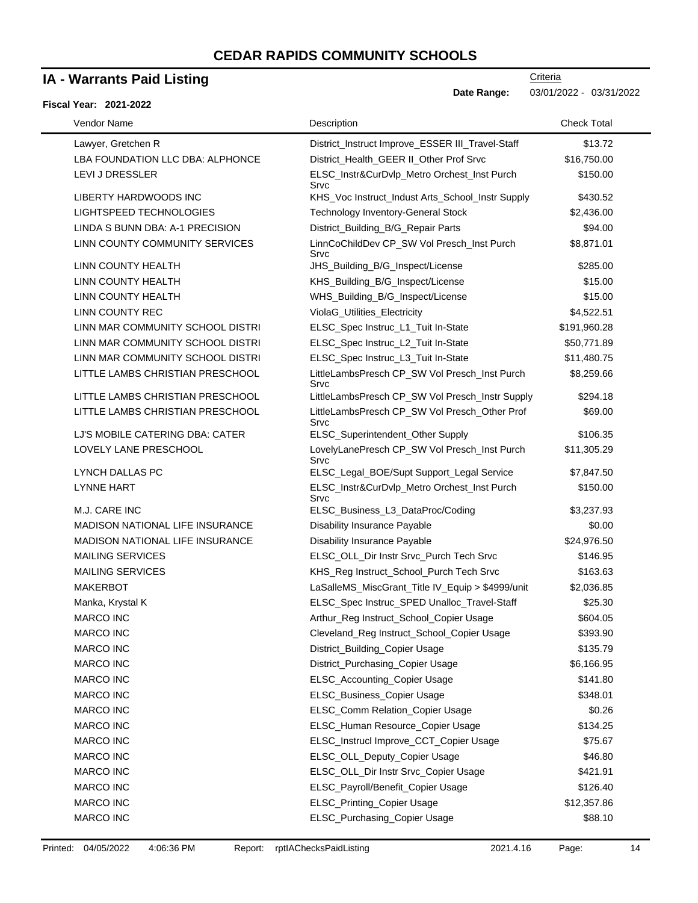### **IA - Warrants Paid Listing**

#### **Fiscal Year: 2021-2022**

| Vendor Name                            | Description                                           | <b>Check Total</b> |
|----------------------------------------|-------------------------------------------------------|--------------------|
| Lawyer, Gretchen R                     | District_Instruct Improve_ESSER III_Travel-Staff      | \$13.72            |
| LBA FOUNDATION LLC DBA: ALPHONCE       | District_Health_GEER II_Other Prof Srvc               | \$16,750.00        |
| LEVI J DRESSLER                        | ELSC_Instr&CurDvlp_Metro Orchest_Inst Purch<br>Srvc   | \$150.00           |
| <b>LIBERTY HARDWOODS INC</b>           | KHS_Voc Instruct_Indust Arts_School_Instr Supply      | \$430.52           |
| LIGHTSPEED TECHNOLOGIES                | Technology Inventory-General Stock                    | \$2,436.00         |
| LINDA S BUNN DBA: A-1 PRECISION        | District_Building_B/G_Repair Parts                    | \$94.00            |
| LINN COUNTY COMMUNITY SERVICES         | LinnCoChildDev CP_SW Vol Presch_Inst Purch<br>Srvc    | \$8,871.01         |
| <b>LINN COUNTY HEALTH</b>              | JHS_Building_B/G_Inspect/License                      | \$285.00           |
| LINN COUNTY HEALTH                     | KHS_Building_B/G_Inspect/License                      | \$15.00            |
| LINN COUNTY HEALTH                     | WHS_Building_B/G_Inspect/License                      | \$15.00            |
| LINN COUNTY REC                        | ViolaG_Utilities_Electricity                          | \$4,522.51         |
| LINN MAR COMMUNITY SCHOOL DISTRI       | ELSC_Spec Instruc_L1_Tuit In-State                    | \$191,960.28       |
| LINN MAR COMMUNITY SCHOOL DISTRI       | ELSC_Spec Instruc_L2_Tuit In-State                    | \$50,771.89        |
| LINN MAR COMMUNITY SCHOOL DISTRI       | ELSC_Spec Instruc_L3_Tuit In-State                    | \$11,480.75        |
| LITTLE LAMBS CHRISTIAN PRESCHOOL       | LittleLambsPresch CP_SW Vol Presch_Inst Purch<br>Srvc | \$8,259.66         |
| LITTLE LAMBS CHRISTIAN PRESCHOOL       | LittleLambsPresch CP_SW Vol Presch_Instr Supply       | \$294.18           |
| LITTLE LAMBS CHRISTIAN PRESCHOOL       | LittleLambsPresch CP_SW Vol Presch_Other Prof<br>Srvc | \$69.00            |
| LJ'S MOBILE CATERING DBA: CATER        | ELSC_Superintendent_Other Supply                      | \$106.35           |
| LOVELY LANE PRESCHOOL                  | LovelyLanePresch CP_SW Vol Presch_Inst Purch<br>Srvc  | \$11,305.29        |
| LYNCH DALLAS PC                        | ELSC_Legal_BOE/Supt Support_Legal Service             | \$7,847.50         |
| <b>LYNNE HART</b>                      | ELSC_Instr&CurDvlp_Metro Orchest_Inst Purch<br>Srvc   | \$150.00           |
| M.J. CARE INC                          | ELSC_Business_L3_DataProc/Coding                      | \$3,237.93         |
| <b>MADISON NATIONAL LIFE INSURANCE</b> | Disability Insurance Payable                          | \$0.00             |
| <b>MADISON NATIONAL LIFE INSURANCE</b> | Disability Insurance Payable                          | \$24,976.50        |
| <b>MAILING SERVICES</b>                | ELSC_OLL_Dir Instr Srvc_Purch Tech Srvc               | \$146.95           |
| <b>MAILING SERVICES</b>                | KHS_Reg Instruct_School_Purch Tech Srvc               | \$163.63           |
| <b>MAKERBOT</b>                        | LaSalleMS_MiscGrant_Title IV_Equip > \$4999/unit      | \$2,036.85         |
| Manka, Krystal K                       | ELSC_Spec Instruc_SPED Unalloc_Travel-Staff           | \$25.30            |
| <b>MARCO INC</b>                       | Arthur_Reg Instruct_School_Copier Usage               | \$604.05           |
| <b>MARCO INC</b>                       | Cleveland_Reg Instruct_School_Copier Usage            | \$393.90           |
| <b>MARCO INC</b>                       | District_Building_Copier Usage                        | \$135.79           |
| <b>MARCO INC</b>                       | District_Purchasing_Copier Usage                      | \$6,166.95         |
| MARCO INC                              | ELSC_Accounting_Copier Usage                          | \$141.80           |
| <b>MARCO INC</b>                       | ELSC_Business_Copier Usage                            | \$348.01           |
| MARCO INC                              | ELSC_Comm Relation_Copier Usage                       | \$0.26             |
| MARCO INC                              | ELSC_Human Resource_Copier Usage                      | \$134.25           |
| <b>MARCO INC</b>                       | ELSC_Instrucl Improve_CCT_Copier Usage                | \$75.67            |
| MARCO INC                              | ELSC_OLL_Deputy_Copier Usage                          | \$46.80            |
| MARCO INC                              | ELSC_OLL_Dir Instr Srvc_Copier Usage                  | \$421.91           |
| MARCO INC                              | ELSC_Payroll/Benefit_Copier Usage                     | \$126.40           |
| MARCO INC                              | ELSC_Printing_Copier Usage                            | \$12,357.86        |
| MARCO INC                              | ELSC_Purchasing_Copier Usage                          | \$88.10            |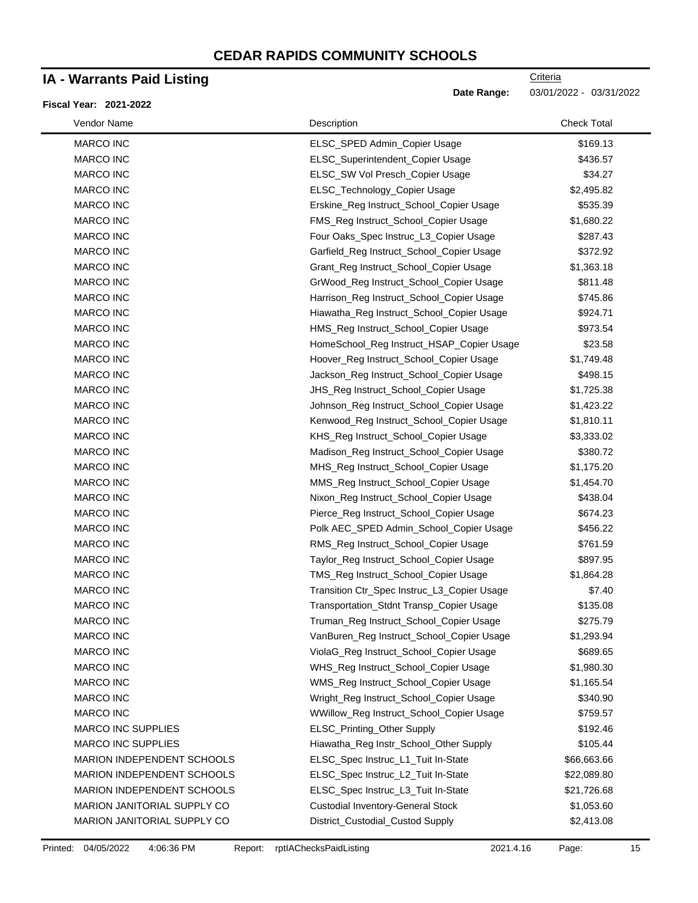### **IA - Warrants Paid Listing**

#### **Fiscal Year: 2021-2022**

| Vendor Name                 | Description                                 | <b>Check Total</b> |  |
|-----------------------------|---------------------------------------------|--------------------|--|
| MARCO INC                   | ELSC_SPED Admin_Copier Usage                | \$169.13           |  |
| <b>MARCO INC</b>            | ELSC_Superintendent_Copier Usage            | \$436.57           |  |
| MARCO INC                   | ELSC_SW Vol Presch_Copier Usage             | \$34.27            |  |
| MARCO INC                   | ELSC_Technology_Copier Usage                | \$2,495.82         |  |
| MARCO INC                   | Erskine_Reg Instruct_School_Copier Usage    | \$535.39           |  |
| MARCO INC                   | FMS_Reg Instruct_School_Copier Usage        | \$1,680.22         |  |
| MARCO INC                   | Four Oaks_Spec Instruc_L3_Copier Usage      | \$287.43           |  |
| <b>MARCO INC</b>            | Garfield_Reg Instruct_School_Copier Usage   | \$372.92           |  |
| MARCO INC                   | Grant_Reg Instruct_School_Copier Usage      | \$1,363.18         |  |
| MARCO INC                   | GrWood_Reg Instruct_School_Copier Usage     | \$811.48           |  |
| MARCO INC                   | Harrison_Reg Instruct_School_Copier Usage   | \$745.86           |  |
| MARCO INC                   | Hiawatha_Reg Instruct_School_Copier Usage   | \$924.71           |  |
| MARCO INC                   | HMS_Reg Instruct_School_Copier Usage        | \$973.54           |  |
| MARCO INC                   | HomeSchool_Reg Instruct_HSAP_Copier Usage   | \$23.58            |  |
| <b>MARCO INC</b>            | Hoover_Reg Instruct_School_Copier Usage     | \$1,749.48         |  |
| <b>MARCO INC</b>            | Jackson_Reg Instruct_School_Copier Usage    | \$498.15           |  |
| <b>MARCO INC</b>            | JHS_Reg Instruct_School_Copier Usage        | \$1,725.38         |  |
| MARCO INC                   | Johnson_Reg Instruct_School_Copier Usage    | \$1,423.22         |  |
| MARCO INC                   | Kenwood_Reg Instruct_School_Copier Usage    | \$1,810.11         |  |
| <b>MARCO INC</b>            | KHS_Reg Instruct_School_Copier Usage        | \$3,333.02         |  |
| MARCO INC                   | Madison_Reg Instruct_School_Copier Usage    | \$380.72           |  |
| MARCO INC                   | MHS_Reg Instruct_School_Copier Usage        | \$1,175.20         |  |
| MARCO INC                   | MMS_Reg Instruct_School_Copier Usage        | \$1,454.70         |  |
| MARCO INC                   | Nixon_Reg Instruct_School_Copier Usage      | \$438.04           |  |
| MARCO INC                   | Pierce_Reg Instruct_School_Copier Usage     | \$674.23           |  |
| MARCO INC                   | Polk AEC_SPED Admin_School_Copier Usage     | \$456.22           |  |
| MARCO INC                   | RMS_Reg Instruct_School_Copier Usage        | \$761.59           |  |
| MARCO INC                   | Taylor_Reg Instruct_School_Copier Usage     | \$897.95           |  |
| MARCO INC                   | TMS_Reg Instruct_School_Copier Usage        | \$1,864.28         |  |
| <b>MARCO INC</b>            | Transition Ctr_Spec Instruc_L3_Copier Usage | \$7.40             |  |
| MARCO INC                   | Transportation_Stdnt Transp_Copier Usage    | \$135.08           |  |
| <b>MARCO INC</b>            | Truman_Reg Instruct_School_Copier Usage     | \$275.79           |  |
| MARCO INC                   | VanBuren_Reg Instruct_School_Copier Usage   | \$1,293.94         |  |
| MARCO INC                   | ViolaG_Reg Instruct_School_Copier Usage     | \$689.65           |  |
| MARCO INC                   | WHS_Reg Instruct_School_Copier Usage        | \$1,980.30         |  |
| MARCO INC                   | WMS_Reg Instruct_School_Copier Usage        | \$1,165.54         |  |
| MARCO INC                   | Wright_Reg Instruct_School_Copier Usage     | \$340.90           |  |
| <b>MARCO INC</b>            | WWillow_Reg Instruct_School_Copier Usage    | \$759.57           |  |
| <b>MARCO INC SUPPLIES</b>   | ELSC_Printing_Other Supply                  | \$192.46           |  |
| <b>MARCO INC SUPPLIES</b>   | Hiawatha_Reg Instr_School_Other Supply      | \$105.44           |  |
| MARION INDEPENDENT SCHOOLS  | ELSC_Spec Instruc_L1_Tuit In-State          | \$66,663.66        |  |
| MARION INDEPENDENT SCHOOLS  | ELSC_Spec Instruc_L2_Tuit In-State          | \$22,089.80        |  |
| MARION INDEPENDENT SCHOOLS  | ELSC_Spec Instruc_L3_Tuit In-State          | \$21,726.68        |  |
| MARION JANITORIAL SUPPLY CO | <b>Custodial Inventory-General Stock</b>    | \$1,053.60         |  |
| MARION JANITORIAL SUPPLY CO | District_Custodial_Custod Supply            | \$2,413.08         |  |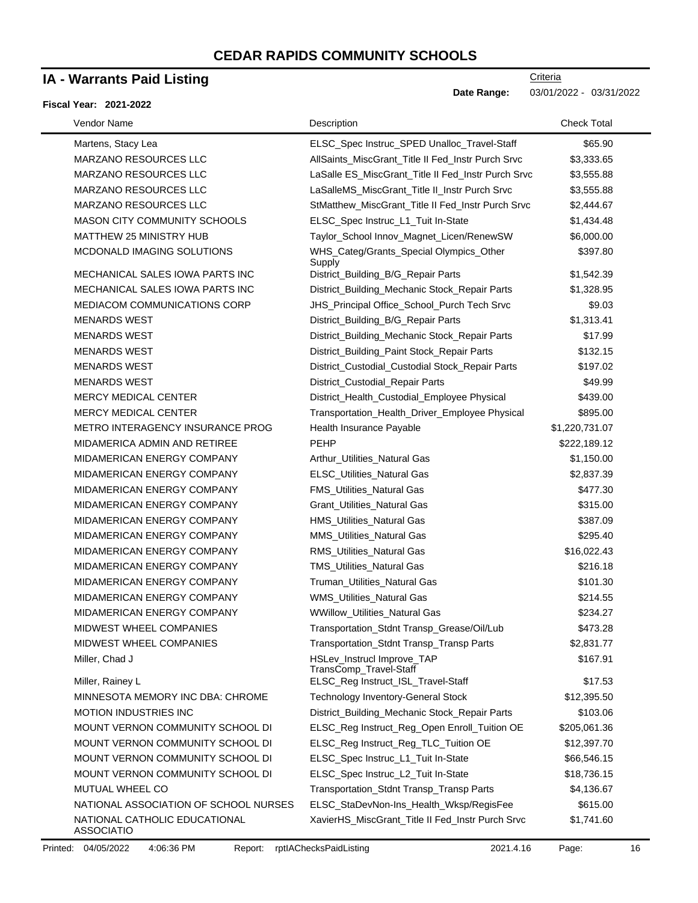## **IA - Warrants Paid Listing**

#### **Fiscal Year: 2021-2022**

| Vendor Name                                        | Description                                          | <b>Check Total</b> |
|----------------------------------------------------|------------------------------------------------------|--------------------|
| Martens, Stacy Lea                                 | ELSC_Spec Instruc_SPED Unalloc_Travel-Staff          | \$65.90            |
| <b>MARZANO RESOURCES LLC</b>                       | AllSaints_MiscGrant_Title II Fed_Instr Purch Srvc    | \$3,333.65         |
| MARZANO RESOURCES LLC                              | LaSalle ES_MiscGrant_Title II Fed_Instr Purch Srvc   | \$3,555.88         |
| <b>MARZANO RESOURCES LLC</b>                       | LaSalleMS_MiscGrant_Title II_Instr Purch Srvc        | \$3,555.88         |
| <b>MARZANO RESOURCES LLC</b>                       | StMatthew_MiscGrant_Title II Fed_Instr Purch Srvc    | \$2,444.67         |
| <b>MASON CITY COMMUNITY SCHOOLS</b>                | ELSC_Spec Instruc_L1_Tuit In-State                   | \$1,434.48         |
| MATTHEW 25 MINISTRY HUB                            | Taylor_School Innov_Magnet_Licen/RenewSW             | \$6,000.00         |
| MCDONALD IMAGING SOLUTIONS                         | WHS_Categ/Grants_Special Olympics_Other<br>Supply    | \$397.80           |
| MECHANICAL SALES IOWA PARTS INC                    | District_Building_B/G_Repair Parts                   | \$1,542.39         |
| MECHANICAL SALES IOWA PARTS INC                    | District_Building_Mechanic Stock_Repair Parts        | \$1,328.95         |
| MEDIACOM COMMUNICATIONS CORP                       | JHS_Principal Office_School_Purch Tech Srvc          | \$9.03             |
| <b>MENARDS WEST</b>                                | District_Building_B/G_Repair Parts                   | \$1,313.41         |
| <b>MENARDS WEST</b>                                | District_Building_Mechanic Stock_Repair Parts        | \$17.99            |
| <b>MENARDS WEST</b>                                | District_Building_Paint Stock_Repair Parts           | \$132.15           |
| <b>MENARDS WEST</b>                                | District_Custodial_Custodial Stock_Repair Parts      | \$197.02           |
| <b>MENARDS WEST</b>                                | District_Custodial_Repair Parts                      | \$49.99            |
| <b>MERCY MEDICAL CENTER</b>                        | District_Health_Custodial_Employee Physical          | \$439.00           |
| <b>MERCY MEDICAL CENTER</b>                        | Transportation_Health_Driver_Employee Physical       | \$895.00           |
| METRO INTERAGENCY INSURANCE PROG                   | Health Insurance Payable                             | \$1,220,731.07     |
| MIDAMERICA ADMIN AND RETIREE                       | <b>PEHP</b>                                          | \$222,189.12       |
| MIDAMERICAN ENERGY COMPANY                         | Arthur_Utilities_Natural Gas                         | \$1,150.00         |
| MIDAMERICAN ENERGY COMPANY                         | ELSC_Utilities_Natural Gas                           | \$2,837.39         |
| MIDAMERICAN ENERGY COMPANY                         | FMS_Utilities_Natural Gas                            | \$477.30           |
| MIDAMERICAN ENERGY COMPANY                         | Grant_Utilities_Natural Gas                          | \$315.00           |
| MIDAMERICAN ENERGY COMPANY                         | HMS_Utilities_Natural Gas                            | \$387.09           |
| MIDAMERICAN ENERGY COMPANY                         | MMS_Utilities_Natural Gas                            | \$295.40           |
| MIDAMERICAN ENERGY COMPANY                         | RMS_Utilities_Natural Gas                            | \$16,022.43        |
| <b>MIDAMERICAN ENERGY COMPANY</b>                  | TMS_Utilities_Natural Gas                            | \$216.18           |
| MIDAMERICAN ENERGY COMPANY                         | Truman_Utilities_Natural Gas                         | \$101.30           |
| MIDAMERICAN ENERGY COMPANY                         | WMS_Utilities_Natural Gas                            | \$214.55           |
| MIDAMERICAN ENERGY COMPANY                         | <b>WWillow_Utilities_Natural Gas</b>                 | \$234.27           |
| MIDWEST WHEEL COMPANIES                            | Transportation_Stdnt Transp_Grease/Oil/Lub           | \$473.28           |
| <b>MIDWEST WHEEL COMPANIES</b>                     | Transportation_Stdnt Transp_Transp Parts             | \$2,831.77         |
| Miller, Chad J                                     | HSLev_Instrucl Improve_TAP<br>TransComp_Travel-Staff | \$167.91           |
| Miller, Rainey L                                   | ELSC_Reg Instruct_ISL_Travel-Staff                   | \$17.53            |
| MINNESOTA MEMORY INC DBA: CHROME                   | Technology Inventory-General Stock                   | \$12,395.50        |
| MOTION INDUSTRIES INC                              | District_Building_Mechanic Stock_Repair Parts        | \$103.06           |
| MOUNT VERNON COMMUNITY SCHOOL DI                   | ELSC_Reg Instruct_Reg_Open Enroll_Tuition OE         | \$205,061.36       |
| MOUNT VERNON COMMUNITY SCHOOL DI                   | ELSC_Reg Instruct_Reg_TLC_Tuition OE                 | \$12,397.70        |
| MOUNT VERNON COMMUNITY SCHOOL DI                   | ELSC_Spec Instruc_L1_Tuit In-State                   | \$66,546.15        |
| MOUNT VERNON COMMUNITY SCHOOL DI                   | ELSC_Spec Instruc_L2_Tuit In-State                   | \$18,736.15        |
| MUTUAL WHEEL CO                                    | Transportation_Stdnt Transp_Transp Parts             | \$4,136.67         |
| NATIONAL ASSOCIATION OF SCHOOL NURSES              | ELSC_StaDevNon-Ins_Health_Wksp/RegisFee              | \$615.00           |
| NATIONAL CATHOLIC EDUCATIONAL<br><b>ASSOCIATIO</b> | XavierHS_MiscGrant_Title II Fed_Instr Purch Srvc     | \$1,741.60         |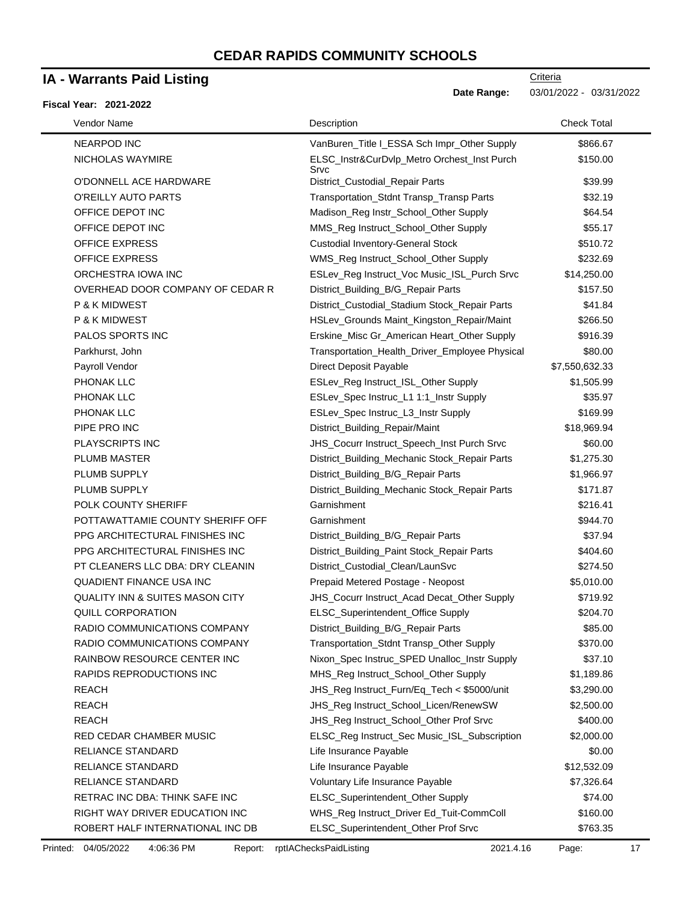### **IA - Warrants Paid Listing**

#### **Fiscal Year: 2021-2022**

Date Range: 03/01/2022 - 03/31/2022

| Vendor Name                                | Description                                         | <b>Check Total</b> |
|--------------------------------------------|-----------------------------------------------------|--------------------|
| <b>NEARPOD INC</b>                         | VanBuren_Title I_ESSA Sch Impr_Other Supply         | \$866.67           |
| NICHOLAS WAYMIRE                           | ELSC_Instr&CurDvlp_Metro Orchest_Inst Purch<br>Srvc | \$150.00           |
| O'DONNELL ACE HARDWARE                     | District_Custodial_Repair Parts                     | \$39.99            |
| O'REILLY AUTO PARTS                        | Transportation_Stdnt Transp_Transp Parts            | \$32.19            |
| OFFICE DEPOT INC                           | Madison_Reg Instr_School_Other Supply               | \$64.54            |
| OFFICE DEPOT INC                           | MMS_Reg Instruct_School_Other Supply                | \$55.17            |
| <b>OFFICE EXPRESS</b>                      | <b>Custodial Inventory-General Stock</b>            | \$510.72           |
| <b>OFFICE EXPRESS</b>                      | WMS_Reg Instruct_School_Other Supply                | \$232.69           |
| ORCHESTRA IOWA INC                         | ESLev_Reg Instruct_Voc Music_ISL_Purch Srvc         | \$14,250.00        |
| OVERHEAD DOOR COMPANY OF CEDAR R           | District_Building_B/G_Repair Parts                  | \$157.50           |
| P & K MIDWEST                              | District_Custodial_Stadium Stock_Repair Parts       | \$41.84            |
| P & K MIDWEST                              | HSLev_Grounds Maint_Kingston_Repair/Maint           | \$266.50           |
| PALOS SPORTS INC                           | Erskine_Misc Gr_American Heart_Other Supply         | \$916.39           |
| Parkhurst, John                            | Transportation_Health_Driver_Employee Physical      | \$80.00            |
| Payroll Vendor                             | Direct Deposit Payable                              | \$7,550,632.33     |
| PHONAK LLC                                 | ESLev_Reg Instruct_ISL_Other Supply                 | \$1,505.99         |
| PHONAK LLC                                 | ESLev_Spec Instruc_L1 1:1_Instr Supply              | \$35.97            |
| PHONAK LLC                                 | ESLev_Spec Instruc_L3_Instr Supply                  | \$169.99           |
| PIPE PRO INC                               | District_Building_Repair/Maint                      | \$18,969.94        |
| PLAYSCRIPTS INC                            | JHS_Cocurr Instruct_Speech_Inst Purch Srvc          | \$60.00            |
| <b>PLUMB MASTER</b>                        | District_Building_Mechanic Stock_Repair Parts       | \$1,275.30         |
| PLUMB SUPPLY                               | District_Building_B/G_Repair Parts                  | \$1,966.97         |
| PLUMB SUPPLY                               | District_Building_Mechanic Stock_Repair Parts       | \$171.87           |
| POLK COUNTY SHERIFF                        | Garnishment                                         | \$216.41           |
| POTTAWATTAMIE COUNTY SHERIFF OFF           | Garnishment                                         | \$944.70           |
| PPG ARCHITECTURAL FINISHES INC             | District_Building_B/G_Repair Parts                  | \$37.94            |
| PPG ARCHITECTURAL FINISHES INC             | District_Building_Paint Stock_Repair Parts          | \$404.60           |
| PT CLEANERS LLC DBA: DRY CLEANIN           | District_Custodial_Clean/LaunSvc                    | \$274.50           |
| <b>QUADIENT FINANCE USA INC</b>            | Prepaid Metered Postage - Neopost                   | \$5,010.00         |
| <b>QUALITY INN &amp; SUITES MASON CITY</b> | JHS_Cocurr Instruct_Acad Decat_Other Supply         | \$719.92           |
| QUILL CORPORATION                          | ELSC_Superintendent_Office Supply                   | \$204.70           |
| RADIO COMMUNICATIONS COMPANY               | District_Building_B/G_Repair Parts                  | \$85.00            |
| RADIO COMMUNICATIONS COMPANY               | Transportation_Stdnt Transp_Other Supply            | \$370.00           |
| RAINBOW RESOURCE CENTER INC                | Nixon_Spec Instruc_SPED Unalloc_Instr Supply        | \$37.10            |
| <b>RAPIDS REPRODUCTIONS INC</b>            | MHS_Reg Instruct_School_Other Supply                | \$1,189.86         |
| <b>REACH</b>                               | JHS_Reg Instruct_Furn/Eq_Tech < \$5000/unit         | \$3,290.00         |
| <b>REACH</b>                               | JHS_Reg Instruct_School_Licen/RenewSW               | \$2,500.00         |
| <b>REACH</b>                               | JHS_Reg Instruct_School_Other Prof Srvc             | \$400.00           |
| RED CEDAR CHAMBER MUSIC                    | ELSC_Reg Instruct_Sec Music_ISL_Subscription        | \$2,000.00         |
| RELIANCE STANDARD                          | Life Insurance Payable                              | \$0.00             |
| RELIANCE STANDARD                          | Life Insurance Payable                              | \$12,532.09        |
| <b>RELIANCE STANDARD</b>                   | Voluntary Life Insurance Payable                    | \$7,326.64         |
| RETRAC INC DBA: THINK SAFE INC             | ELSC_Superintendent_Other Supply                    | \$74.00            |
|                                            |                                                     |                    |
| RIGHT WAY DRIVER EDUCATION INC             | WHS_Reg Instruct_Driver Ed_Tuit-CommColl            | \$160.00           |
| ROBERT HALF INTERNATIONAL INC DB           | ELSC_Superintendent_Other Prof Srvc                 | \$763.35           |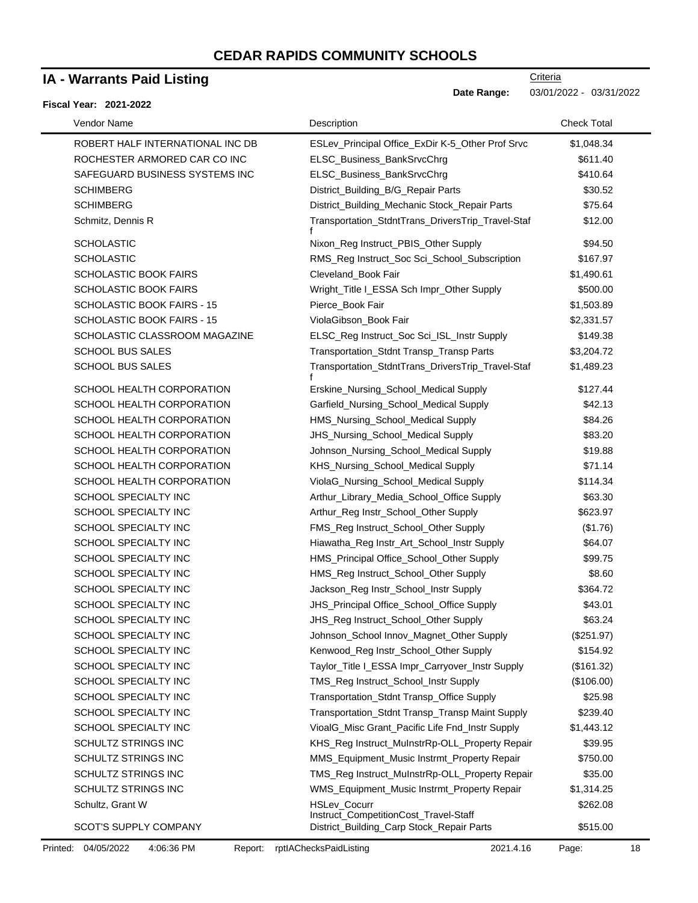### **IA - Warrants Paid Listing**

#### **Fiscal Year: 2021-2022**

Date Range: 03/01/2022 - 03/31/2022

| Vendor Name                       | Description                                                                        | <b>Check Total</b>     |
|-----------------------------------|------------------------------------------------------------------------------------|------------------------|
| ROBERT HALF INTERNATIONAL INC DB  | ESLev_Principal Office_ExDir K-5_Other Prof Srvc                                   | \$1,048.34             |
| ROCHESTER ARMORED CAR CO INC      | ELSC_Business_BankSrvcChrg                                                         | \$611.40               |
| SAFEGUARD BUSINESS SYSTEMS INC    | ELSC_Business_BankSrvcChrg                                                         | \$410.64               |
| <b>SCHIMBERG</b>                  | District_Building_B/G_Repair Parts                                                 | \$30.52                |
| <b>SCHIMBERG</b>                  | District_Building_Mechanic Stock_Repair Parts                                      | \$75.64                |
| Schmitz, Dennis R                 | Transportation_StdntTrans_DriversTrip_Travel-Staf                                  | \$12.00                |
| <b>SCHOLASTIC</b>                 | Nixon_Reg Instruct_PBIS_Other Supply                                               | \$94.50                |
| <b>SCHOLASTIC</b>                 | RMS_Reg Instruct_Soc Sci_School_Subscription                                       | \$167.97               |
| <b>SCHOLASTIC BOOK FAIRS</b>      | Cleveland_Book Fair                                                                | \$1,490.61             |
| <b>SCHOLASTIC BOOK FAIRS</b>      | Wright_Title I_ESSA Sch Impr_Other Supply                                          | \$500.00               |
| SCHOLASTIC BOOK FAIRS - 15        | Pierce_Book Fair                                                                   | \$1,503.89             |
| <b>SCHOLASTIC BOOK FAIRS - 15</b> | ViolaGibson_Book Fair                                                              | \$2,331.57             |
| SCHOLASTIC CLASSROOM MAGAZINE     | ELSC_Reg Instruct_Soc Sci_ISL_Instr Supply                                         | \$149.38               |
| <b>SCHOOL BUS SALES</b>           | Transportation_Stdnt Transp_Transp Parts                                           | \$3,204.72             |
| <b>SCHOOL BUS SALES</b>           | Transportation_StdntTrans_DriversTrip_Travel-Staf                                  | \$1,489.23             |
| SCHOOL HEALTH CORPORATION         | Erskine_Nursing_School_Medical Supply                                              | \$127.44               |
| SCHOOL HEALTH CORPORATION         | Garfield_Nursing_School_Medical Supply                                             | \$42.13                |
| SCHOOL HEALTH CORPORATION         | HMS_Nursing_School_Medical Supply                                                  | \$84.26                |
| SCHOOL HEALTH CORPORATION         | JHS_Nursing_School_Medical Supply                                                  | \$83.20                |
| SCHOOL HEALTH CORPORATION         | Johnson_Nursing_School_Medical Supply                                              | \$19.88                |
| SCHOOL HEALTH CORPORATION         | KHS_Nursing_School_Medical Supply                                                  | \$71.14                |
| SCHOOL HEALTH CORPORATION         | ViolaG_Nursing_School_Medical Supply                                               | \$114.34               |
| SCHOOL SPECIALTY INC              | Arthur_Library_Media_School_Office Supply                                          | \$63.30                |
| SCHOOL SPECIALTY INC              | Arthur_Reg Instr_School_Other Supply                                               | \$623.97               |
| SCHOOL SPECIALTY INC              | FMS_Reg Instruct_School_Other Supply                                               | (\$1.76)               |
| SCHOOL SPECIALTY INC              | Hiawatha_Reg Instr_Art_School_Instr Supply                                         | \$64.07                |
| SCHOOL SPECIALTY INC              | HMS_Principal Office_School_Other Supply                                           | \$99.75                |
| SCHOOL SPECIALTY INC              | HMS_Reg Instruct_School_Other Supply                                               | \$8.60                 |
| SCHOOL SPECIALTY INC              | Jackson_Reg Instr_School_Instr Supply                                              | \$364.72               |
| SCHOOL SPECIALTY INC              | JHS_Principal Office_School_Office Supply                                          | \$43.01                |
| SCHOOL SPECIALTY INC              | JHS_Reg Instruct_School_Other Supply                                               | \$63.24                |
| SCHOOL SPECIALTY INC              | Johnson_School Innov_Magnet_Other Supply                                           | (\$251.97)             |
| SCHOOL SPECIALTY INC              | Kenwood_Reg Instr_School_Other Supply                                              | \$154.92               |
| SCHOOL SPECIALTY INC              | Taylor_Title I_ESSA Impr_Carryover_Instr Supply                                    | (\$161.32)             |
| SCHOOL SPECIALTY INC              | TMS_Reg Instruct_School_Instr Supply                                               | (\$106.00)             |
| SCHOOL SPECIALTY INC              | Transportation_Stdnt Transp_Office Supply                                          | \$25.98                |
| SCHOOL SPECIALTY INC              | Transportation_Stdnt Transp_Transp Maint Supply                                    | \$239.40               |
| SCHOOL SPECIALTY INC              | VioalG_Misc Grant_Pacific Life Fnd_Instr Supply                                    | \$1,443.12             |
| <b>SCHULTZ STRINGS INC</b>        | KHS_Reg Instruct_MuInstrRp-OLL_Property Repair                                     | \$39.95                |
| <b>SCHULTZ STRINGS INC</b>        | MMS_Equipment_Music Instrmt_Property Repair                                        | \$750.00               |
| SCHULTZ STRINGS INC               | TMS_Reg Instruct_MuInstrRp-OLL_Property Repair                                     | \$35.00                |
| SCHULTZ STRINGS INC               | WMS_Equipment_Music Instrmt_Property Repair                                        |                        |
| Schultz, Grant W                  | HSLev_Cocurr                                                                       | \$1,314.25<br>\$262.08 |
| SCOT'S SUPPLY COMPANY             | Instruct_CompetitionCost_Travel-Staff<br>District_Building_Carp Stock_Repair Parts | \$515.00               |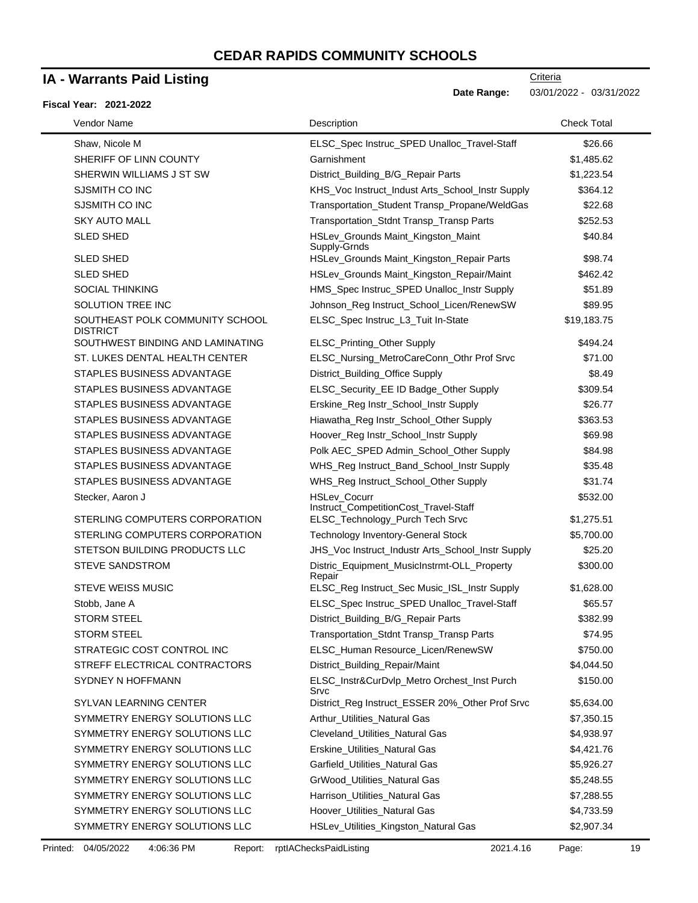### **IA - Warrants Paid Listing**

#### **Fiscal Year: 2021-2022**

| Vendor Name                                        | Description                                                  | <b>Check Total</b> |
|----------------------------------------------------|--------------------------------------------------------------|--------------------|
| Shaw, Nicole M                                     | ELSC_Spec Instruc_SPED Unalloc_Travel-Staff                  | \$26.66            |
| SHERIFF OF LINN COUNTY                             | Garnishment                                                  | \$1,485.62         |
| SHERWIN WILLIAMS J ST SW                           | District_Building_B/G_Repair Parts                           | \$1,223.54         |
| SJSMITH CO INC                                     | KHS_Voc Instruct_Indust Arts_School_Instr Supply             | \$364.12           |
| SJSMITH CO INC                                     | Transportation_Student Transp_Propane/WeldGas                | \$22.68            |
| <b>SKY AUTO MALL</b>                               | Transportation_Stdnt Transp_Transp Parts                     | \$252.53           |
| <b>SLED SHED</b>                                   | HSLev_Grounds Maint_Kingston_Maint<br>Supply-Grnds           | \$40.84            |
| <b>SLED SHED</b>                                   | HSLev_Grounds Maint_Kingston_Repair Parts                    | \$98.74            |
| <b>SLED SHED</b>                                   | HSLev_Grounds Maint_Kingston_Repair/Maint                    | \$462.42           |
| <b>SOCIAL THINKING</b>                             | HMS_Spec Instruc_SPED Unalloc_Instr Supply                   | \$51.89            |
| SOLUTION TREE INC                                  | Johnson_Reg Instruct_School_Licen/RenewSW                    | \$89.95            |
| SOUTHEAST POLK COMMUNITY SCHOOL<br><b>DISTRICT</b> | ELSC_Spec Instruc_L3_Tuit In-State                           | \$19,183.75        |
| SOUTHWEST BINDING AND LAMINATING                   | ELSC_Printing_Other Supply                                   | \$494.24           |
| ST. LUKES DENTAL HEALTH CENTER                     | ELSC_Nursing_MetroCareConn_Othr Prof Srvc                    | \$71.00            |
| STAPLES BUSINESS ADVANTAGE                         | District_Building_Office Supply                              | \$8.49             |
| STAPLES BUSINESS ADVANTAGE                         | ELSC_Security_EE ID Badge_Other Supply                       | \$309.54           |
| STAPLES BUSINESS ADVANTAGE                         | Erskine_Reg Instr_School_Instr Supply                        | \$26.77            |
| STAPLES BUSINESS ADVANTAGE                         | Hiawatha_Reg Instr_School_Other Supply                       | \$363.53           |
| STAPLES BUSINESS ADVANTAGE                         | Hoover_Reg Instr_School_Instr Supply                         | \$69.98            |
| STAPLES BUSINESS ADVANTAGE                         | Polk AEC_SPED Admin_School_Other Supply                      | \$84.98            |
| STAPLES BUSINESS ADVANTAGE                         | WHS_Reg Instruct_Band_School_Instr Supply                    | \$35.48            |
| STAPLES BUSINESS ADVANTAGE                         | WHS_Reg Instruct_School_Other Supply                         | \$31.74            |
| Stecker, Aaron J                                   | <b>HSLev Cocurr</b><br>Instruct_CompetitionCost_Travel-Staff | \$532.00           |
| STERLING COMPUTERS CORPORATION                     | ELSC_Technology_Purch Tech Srvc                              | \$1,275.51         |
| STERLING COMPUTERS CORPORATION                     | Technology Inventory-General Stock                           | \$5,700.00         |
| STETSON BUILDING PRODUCTS LLC                      | JHS_Voc Instruct_Industr Arts_School_Instr Supply            | \$25.20            |
| <b>STEVE SANDSTROM</b>                             | Distric_Equipment_MusicInstrmt-OLL_Property<br>Repair        | \$300.00           |
| <b>STEVE WEISS MUSIC</b>                           | ELSC_Reg Instruct_Sec Music_ISL_Instr Supply                 | \$1,628.00         |
| Stobb, Jane A                                      | ELSC_Spec Instruc_SPED Unalloc_Travel-Staff                  | \$65.57            |
| <b>STORM STEEL</b>                                 | District_Building_B/G_Repair Parts                           | \$382.99           |
| <b>STORM STEEL</b>                                 | Transportation_Stdnt Transp_Transp Parts                     | \$74.95            |
| STRATEGIC COST CONTROL INC                         | ELSC_Human Resource_Licen/RenewSW                            | \$750.00           |
| STREFF ELECTRICAL CONTRACTORS                      | District_Building_Repair/Maint                               | \$4,044.50         |
| SYDNEY N HOFFMANN                                  | ELSC_Instr&CurDvlp_Metro Orchest_Inst Purch<br>Srvc          | \$150.00           |
| SYLVAN LEARNING CENTER                             | District_Reg Instruct_ESSER 20%_Other Prof Srvc              | \$5,634.00         |
| SYMMETRY ENERGY SOLUTIONS LLC                      | Arthur_Utilities_Natural Gas                                 | \$7,350.15         |
| SYMMETRY ENERGY SOLUTIONS LLC                      | Cleveland_Utilities_Natural Gas                              | \$4,938.97         |
| SYMMETRY ENERGY SOLUTIONS LLC                      | Erskine_Utilities_Natural Gas                                | \$4,421.76         |
| SYMMETRY ENERGY SOLUTIONS LLC                      | Garfield_Utilities_Natural Gas                               | \$5,926.27         |
| SYMMETRY ENERGY SOLUTIONS LLC                      | GrWood_Utilities_Natural Gas                                 | \$5,248.55         |
| SYMMETRY ENERGY SOLUTIONS LLC                      | Harrison_Utilities_Natural Gas                               | \$7,288.55         |
| SYMMETRY ENERGY SOLUTIONS LLC                      | Hoover_Utilities_Natural Gas                                 | \$4,733.59         |
| SYMMETRY ENERGY SOLUTIONS LLC                      | HSLev_Utilities_Kingston_Natural Gas                         | \$2,907.34         |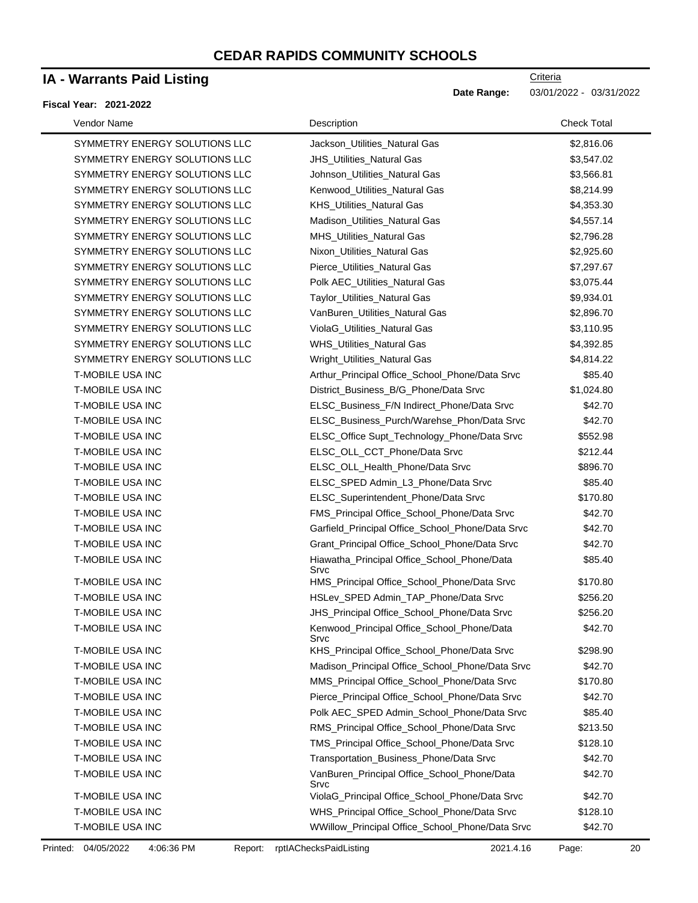### **IA - Warrants Paid Listing**

#### **Fiscal Year: 2021-2022**

| Vendor Name                   | Description                                         | <b>Check Total</b> |
|-------------------------------|-----------------------------------------------------|--------------------|
| SYMMETRY ENERGY SOLUTIONS LLC | Jackson Utilities Natural Gas                       | \$2,816.06         |
| SYMMETRY ENERGY SOLUTIONS LLC | JHS_Utilities_Natural Gas                           | \$3,547.02         |
| SYMMETRY ENERGY SOLUTIONS LLC | Johnson_Utilities_Natural Gas                       | \$3,566.81         |
| SYMMETRY ENERGY SOLUTIONS LLC | Kenwood_Utilities_Natural Gas                       | \$8,214.99         |
| SYMMETRY ENERGY SOLUTIONS LLC | KHS_Utilities_Natural Gas                           | \$4,353.30         |
| SYMMETRY ENERGY SOLUTIONS LLC | Madison_Utilities_Natural Gas                       | \$4,557.14         |
| SYMMETRY ENERGY SOLUTIONS LLC | <b>MHS_Utilities_Natural Gas</b>                    | \$2,796.28         |
| SYMMETRY ENERGY SOLUTIONS LLC | Nixon_Utilities_Natural Gas                         | \$2,925.60         |
| SYMMETRY ENERGY SOLUTIONS LLC | Pierce_Utilities_Natural Gas                        | \$7,297.67         |
| SYMMETRY ENERGY SOLUTIONS LLC | Polk AEC_Utilities_Natural Gas                      | \$3,075.44         |
| SYMMETRY ENERGY SOLUTIONS LLC | Taylor_Utilities_Natural Gas                        | \$9,934.01         |
| SYMMETRY ENERGY SOLUTIONS LLC | VanBuren_Utilities_Natural Gas                      | \$2,896.70         |
| SYMMETRY ENERGY SOLUTIONS LLC | ViolaG_Utilities_Natural Gas                        | \$3,110.95         |
| SYMMETRY ENERGY SOLUTIONS LLC | WHS_Utilities_Natural Gas                           | \$4,392.85         |
| SYMMETRY ENERGY SOLUTIONS LLC | Wright_Utilities_Natural Gas                        | \$4,814.22         |
| <b>T-MOBILE USA INC</b>       | Arthur_Principal Office_School_Phone/Data Srvc      | \$85.40            |
| <b>T-MOBILE USA INC</b>       | District_Business_B/G_Phone/Data Srvc               | \$1,024.80         |
| <b>T-MOBILE USA INC</b>       | ELSC_Business_F/N Indirect_Phone/Data Srvc          | \$42.70            |
| <b>T-MOBILE USA INC</b>       | ELSC Business Purch/Warehse Phon/Data Srvc          | \$42.70            |
| <b>T-MOBILE USA INC</b>       | ELSC_Office Supt_Technology_Phone/Data Srvc         | \$552.98           |
| <b>T-MOBILE USA INC</b>       | ELSC_OLL_CCT_Phone/Data Srvc                        | \$212.44           |
| <b>T-MOBILE USA INC</b>       | ELSC_OLL_Health_Phone/Data Srvc                     | \$896.70           |
| <b>T-MOBILE USA INC</b>       | ELSC_SPED Admin_L3_Phone/Data Srvc                  | \$85.40            |
| <b>T-MOBILE USA INC</b>       | ELSC_Superintendent_Phone/Data Srvc                 | \$170.80           |
| <b>T-MOBILE USA INC</b>       | FMS_Principal Office_School_Phone/Data Srvc         | \$42.70            |
| T-MOBILE USA INC              | Garfield_Principal Office_School_Phone/Data Srvc    | \$42.70            |
| <b>T-MOBILE USA INC</b>       | Grant_Principal Office_School_Phone/Data Srvc       | \$42.70            |
| <b>T-MOBILE USA INC</b>       | Hiawatha_Principal Office_School_Phone/Data<br>Srvc | \$85.40            |
| <b>T-MOBILE USA INC</b>       | HMS_Principal Office_School_Phone/Data Srvc         | \$170.80           |
| <b>T-MOBILE USA INC</b>       | HSLev_SPED Admin_TAP_Phone/Data Srvc                | \$256.20           |
| <b>T-MOBILE USA INC</b>       | JHS_Principal Office_School_Phone/Data Srvc         | \$256.20           |
| T-MOBILE USA INC              | Kenwood_Principal Office_School_Phone/Data<br>Srvc  | \$42.70            |
| T-MOBILE USA INC              | KHS Principal Office School Phone/Data Srvc         | \$298.90           |
| <b>T-MOBILE USA INC</b>       | Madison_Principal Office_School_Phone/Data Srvc     | \$42.70            |
| <b>T-MOBILE USA INC</b>       | MMS_Principal Office_School_Phone/Data Srvc         | \$170.80           |
| T-MOBILE USA INC              | Pierce_Principal Office_School_Phone/Data Srvc      | \$42.70            |
| T-MOBILE USA INC              | Polk AEC_SPED Admin_School_Phone/Data Srvc          | \$85.40            |
| <b>T-MOBILE USA INC</b>       | RMS_Principal Office_School_Phone/Data Srvc         | \$213.50           |
| <b>T-MOBILE USA INC</b>       | TMS_Principal Office_School_Phone/Data Srvc         | \$128.10           |
| T-MOBILE USA INC              | Transportation_Business_Phone/Data Srvc             | \$42.70            |
| T-MOBILE USA INC              | VanBuren_Principal Office_School_Phone/Data<br>Srvc | \$42.70            |
| <b>T-MOBILE USA INC</b>       | ViolaG_Principal Office_School_Phone/Data Srvc      | \$42.70            |
| <b>T-MOBILE USA INC</b>       | WHS_Principal Office_School_Phone/Data Srvc         | \$128.10           |
| T-MOBILE USA INC              | WWillow_Principal Office_School_Phone/Data Srvc     | \$42.70            |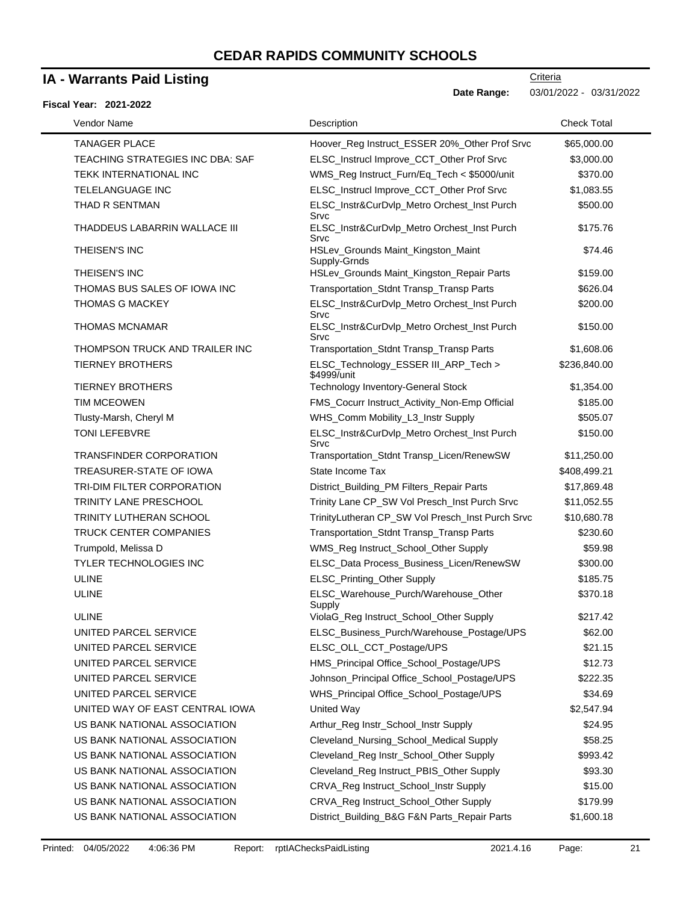### **IA - Warrants Paid Listing**

#### **Fiscal Year: 2021-2022**

**Date Range:** 03/01/2022 - 03/31/2022

| Vendor Name                      | Description                                         | <b>Check Total</b> |
|----------------------------------|-----------------------------------------------------|--------------------|
| <b>TANAGER PLACE</b>             | Hoover_Reg Instruct_ESSER 20%_Other Prof Srvc       | \$65,000.00        |
| TEACHING STRATEGIES INC DBA: SAF | ELSC_Instrucl Improve_CCT_Other Prof Srvc           | \$3,000.00         |
| <b>TEKK INTERNATIONAL INC</b>    | WMS_Reg Instruct_Furn/Eq_Tech < \$5000/unit         | \$370.00           |
| TELELANGUAGE INC                 | ELSC_Instrucl Improve_CCT_Other Prof Srvc           | \$1,083.55         |
| THAD R SENTMAN                   | ELSC_Instr&CurDvlp_Metro Orchest_Inst Purch<br>Srvc | \$500.00           |
| THADDEUS LABARRIN WALLACE III    | ELSC_Instr&CurDvlp_Metro Orchest_Inst Purch<br>Srvc | \$175.76           |
| THEISEN'S INC                    | HSLev_Grounds Maint_Kingston_Maint<br>Supply-Grnds  | \$74.46            |
| THEISEN'S INC                    | HSLev_Grounds Maint_Kingston_Repair Parts           | \$159.00           |
| THOMAS BUS SALES OF IOWA INC     | Transportation_Stdnt Transp_Transp Parts            | \$626.04           |
| <b>THOMAS G MACKEY</b>           | ELSC_Instr&CurDvlp_Metro Orchest_Inst Purch<br>Srvc | \$200.00           |
| <b>THOMAS MCNAMAR</b>            | ELSC_Instr&CurDvlp_Metro Orchest_Inst Purch<br>Srvc | \$150.00           |
| THOMPSON TRUCK AND TRAILER INC   | Transportation_Stdnt Transp_Transp Parts            | \$1,608.06         |
| <b>TIERNEY BROTHERS</b>          | ELSC_Technology_ESSER III_ARP_Tech ><br>\$4999/unit | \$236,840.00       |
| <b>TIERNEY BROTHERS</b>          | <b>Technology Inventory-General Stock</b>           | \$1,354.00         |
| <b>TIM MCEOWEN</b>               | FMS_Cocurr Instruct_Activity_Non-Emp Official       | \$185.00           |
| Tlusty-Marsh, Cheryl M           | WHS_Comm Mobility_L3_Instr Supply                   | \$505.07           |
| <b>TONI LEFEBVRE</b>             | ELSC_Instr&CurDvlp_Metro Orchest_Inst Purch<br>Srvc | \$150.00           |
| TRANSFINDER CORPORATION          | Transportation_Stdnt Transp_Licen/RenewSW           | \$11,250.00        |
| TREASURER-STATE OF IOWA          | State Income Tax                                    | \$408,499.21       |
| TRI-DIM FILTER CORPORATION       | District_Building_PM Filters_Repair Parts           | \$17,869.48        |
| TRINITY LANE PRESCHOOL           | Trinity Lane CP_SW Vol Presch_Inst Purch Srvc       | \$11,052.55        |
| TRINITY LUTHERAN SCHOOL          | TrinityLutheran CP_SW Vol Presch_Inst Purch Srvc    | \$10,680.78        |
| <b>TRUCK CENTER COMPANIES</b>    | Transportation_Stdnt Transp_Transp Parts            | \$230.60           |
| Trumpold, Melissa D              | WMS_Reg Instruct_School_Other Supply                | \$59.98            |
| TYLER TECHNOLOGIES INC           | ELSC_Data Process_Business_Licen/RenewSW            | \$300.00           |
| <b>ULINE</b>                     | ELSC_Printing_Other Supply                          | \$185.75           |
| <b>ULINE</b>                     | ELSC_Warehouse_Purch/Warehouse_Other<br>Supply      | \$370.18           |
| <b>ULINE</b>                     | ViolaG_Reg Instruct_School_Other Supply             | \$217.42           |
| UNITED PARCEL SERVICE            | ELSC Business Purch/Warehouse Postage/UPS           | \$62.00            |
| UNITED PARCEL SERVICE            | ELSC_OLL_CCT_Postage/UPS                            | \$21.15            |
| UNITED PARCEL SERVICE            | HMS_Principal Office_School_Postage/UPS             | \$12.73            |
| UNITED PARCEL SERVICE            | Johnson_Principal Office_School_Postage/UPS         | \$222.35           |
| UNITED PARCEL SERVICE            | WHS_Principal Office_School_Postage/UPS             | \$34.69            |
| UNITED WAY OF EAST CENTRAL IOWA  | <b>United Way</b>                                   | \$2,547.94         |
| US BANK NATIONAL ASSOCIATION     | Arthur_Reg Instr_School_Instr Supply                | \$24.95            |
| US BANK NATIONAL ASSOCIATION     | Cleveland_Nursing_School_Medical Supply             | \$58.25            |
| US BANK NATIONAL ASSOCIATION     | Cleveland_Reg Instr_School_Other Supply             | \$993.42           |
| US BANK NATIONAL ASSOCIATION     | Cleveland_Reg Instruct_PBIS_Other Supply            | \$93.30            |
| US BANK NATIONAL ASSOCIATION     | CRVA_Reg Instruct_School_Instr Supply               | \$15.00            |
| US BANK NATIONAL ASSOCIATION     | CRVA_Reg Instruct_School_Other Supply               | \$179.99           |
| US BANK NATIONAL ASSOCIATION     | District_Building_B&G F&N Parts_Repair Parts        | \$1,600.18         |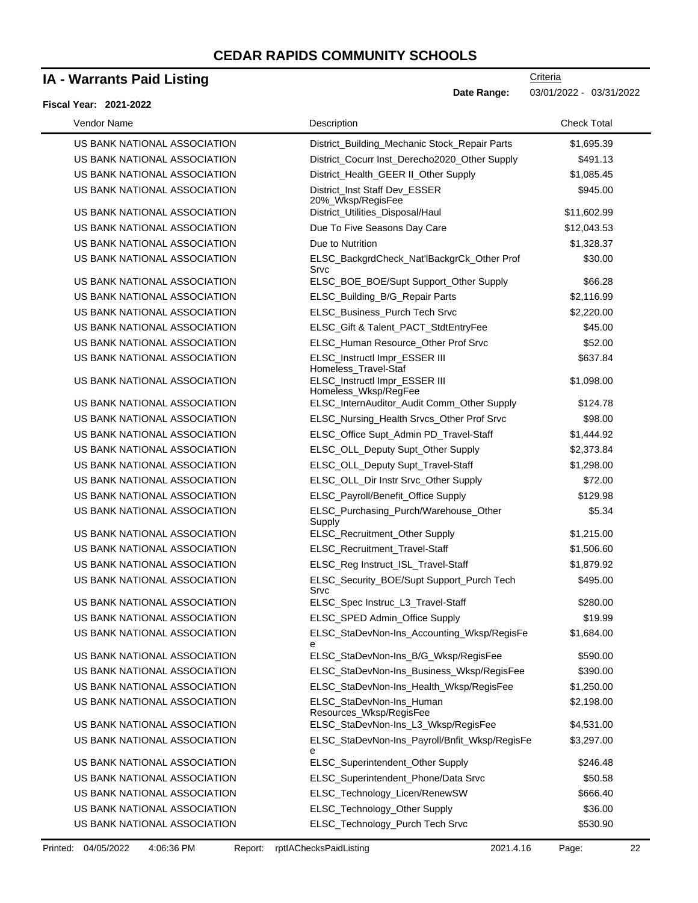# **IA - Warrants Paid Listing**

#### **Fis**

| cal Year: 2021-2022          |                                                       |                    |
|------------------------------|-------------------------------------------------------|--------------------|
| Vendor Name                  | Description                                           | <b>Check Total</b> |
| US BANK NATIONAL ASSOCIATION | District_Building_Mechanic Stock_Repair Parts         | \$1,695.39         |
| US BANK NATIONAL ASSOCIATION | District_Cocurr Inst_Derecho2020_Other Supply         | \$491.13           |
| US BANK NATIONAL ASSOCIATION | District_Health_GEER II_Other Supply                  | \$1,085.45         |
| US BANK NATIONAL ASSOCIATION | District_Inst Staff Dev_ESSER<br>20%_Wksp/RegisFee    | \$945.00           |
| US BANK NATIONAL ASSOCIATION | District_Utilities_Disposal/Haul                      | \$11,602.99        |
| US BANK NATIONAL ASSOCIATION | Due To Five Seasons Day Care                          | \$12,043.53        |
| US BANK NATIONAL ASSOCIATION | Due to Nutrition                                      | \$1,328.37         |
| US BANK NATIONAL ASSOCIATION | ELSC_BackgrdCheck_Nat'lBackgrCk_Other Prof<br>Srvc    | \$30.00            |
| US BANK NATIONAL ASSOCIATION | ELSC_BOE_BOE/Supt Support_Other Supply                | \$66.28            |
| US BANK NATIONAL ASSOCIATION | ELSC_Building_B/G_Repair Parts                        | \$2,116.99         |
| US BANK NATIONAL ASSOCIATION | ELSC_Business_Purch Tech Srvc                         | \$2,220.00         |
| US BANK NATIONAL ASSOCIATION | ELSC_Gift & Talent_PACT_StdtEntryFee                  | \$45.00            |
| US BANK NATIONAL ASSOCIATION | ELSC_Human Resource_Other Prof Srvc                   | \$52.00            |
| US BANK NATIONAL ASSOCIATION | ELSC_Instructl Impr_ESSER III<br>Homeless_Travel-Staf | \$637.84           |
| US BANK NATIONAL ASSOCIATION | ELSC InstructI Impr ESSER III<br>Homeless_Wksp/RegFee | \$1,098.00         |
| US BANK NATIONAL ASSOCIATION | ELSC_InternAuditor_Audit Comm_Other Supply            | \$124.78           |
| US BANK NATIONAL ASSOCIATION | ELSC_Nursing_Health Srvcs_Other Prof Srvc             | \$98.00            |
| US BANK NATIONAL ASSOCIATION | ELSC_Office Supt_Admin PD_Travel-Staff                | \$1,444.92         |
| US BANK NATIONAL ASSOCIATION | ELSC_OLL_Deputy Supt_Other Supply                     | \$2,373.84         |
| US BANK NATIONAL ASSOCIATION | ELSC_OLL_Deputy Supt_Travel-Staff                     | \$1,298.00         |
| US BANK NATIONAL ASSOCIATION | ELSC_OLL_Dir Instr Srvc_Other Supply                  | \$72.00            |
| US BANK NATIONAL ASSOCIATION | ELSC_Payroll/Benefit_Office Supply                    | \$129.98           |
| US BANK NATIONAL ASSOCIATION | ELSC_Purchasing_Purch/Warehouse_Other<br>Supply       | \$5.34             |
| US BANK NATIONAL ASSOCIATION | ELSC_Recruitment_Other Supply                         | \$1,215.00         |
| US BANK NATIONAL ASSOCIATION | ELSC_Recruitment_Travel-Staff                         | \$1,506.60         |
| US BANK NATIONAL ASSOCIATION | ELSC_Reg Instruct_ISL_Travel-Staff                    | \$1,879.92         |
| US BANK NATIONAL ASSOCIATION | ELSC_Security_BOE/Supt Support_Purch Tech<br>Srvc     | \$495.00           |
| US BANK NATIONAL ASSOCIATION | ELSC_Spec Instruc_L3_Travel-Staff                     | \$280.00           |
| US BANK NATIONAL ASSOCIATION | ELSC_SPED Admin_Office Supply                         | \$19.99            |
| US BANK NATIONAL ASSOCIATION | ELSC_StaDevNon-Ins_Accounting_Wksp/RegisFe<br>e       | \$1,684.00         |
| US BANK NATIONAL ASSOCIATION | ELSC_StaDevNon-Ins_B/G_Wksp/RegisFee                  | \$590.00           |
| US BANK NATIONAL ASSOCIATION | ELSC_StaDevNon-Ins_Business_Wksp/RegisFee             | \$390.00           |
| US BANK NATIONAL ASSOCIATION | ELSC_StaDevNon-Ins_Health_Wksp/RegisFee               | \$1,250.00         |
| US BANK NATIONAL ASSOCIATION | ELSC_StaDevNon-Ins_Human<br>Resources_Wksp/RegisFee   | \$2,198.00         |
| US BANK NATIONAL ASSOCIATION | ELSC_StaDevNon-Ins_L3_Wksp/RegisFee                   | \$4,531.00         |
| US BANK NATIONAL ASSOCIATION | ELSC_StaDevNon-Ins_Payroll/Bnfit_Wksp/RegisFe<br>е    | \$3,297.00         |
| US BANK NATIONAL ASSOCIATION | ELSC_Superintendent_Other Supply                      | \$246.48           |
| US BANK NATIONAL ASSOCIATION | ELSC_Superintendent_Phone/Data Srvc                   | \$50.58            |
| US BANK NATIONAL ASSOCIATION | ELSC_Technology_Licen/RenewSW                         | \$666.40           |
| US BANK NATIONAL ASSOCIATION | ELSC_Technology_Other Supply                          | \$36.00            |
| US BANK NATIONAL ASSOCIATION | ELSC_Technology_Purch Tech Srvc                       | \$530.90           |
|                              |                                                       |                    |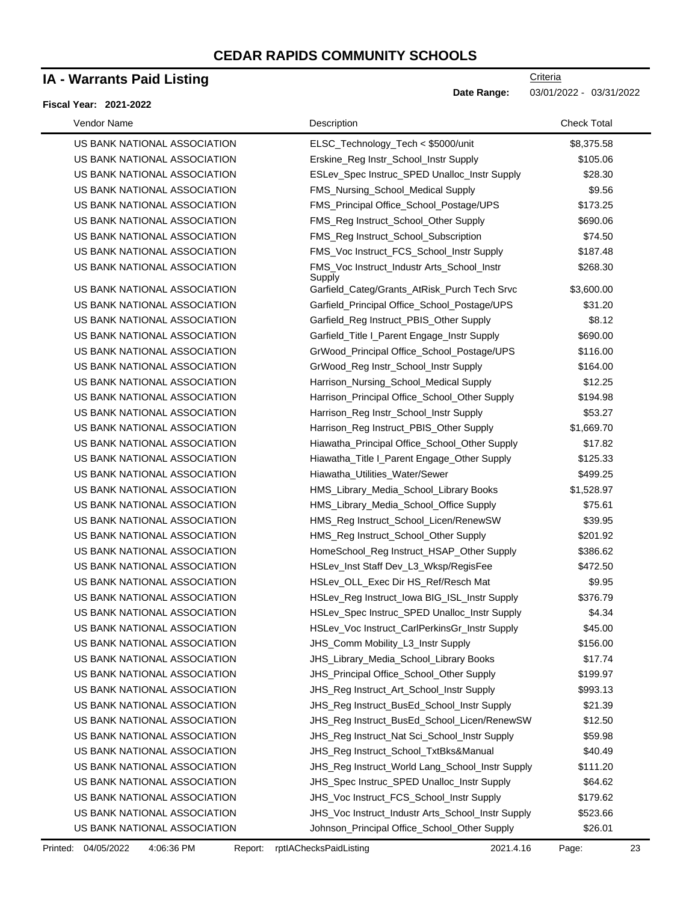### **IA - Warrants Paid Listing**

#### **Fiscal Year: 2021-2022**

| Vendor Name                  | Description                                          | <b>Check Total</b> |
|------------------------------|------------------------------------------------------|--------------------|
| US BANK NATIONAL ASSOCIATION | ELSC_Technology_Tech < \$5000/unit                   | \$8,375.58         |
| US BANK NATIONAL ASSOCIATION | Erskine_Reg Instr_School_Instr Supply                | \$105.06           |
| US BANK NATIONAL ASSOCIATION | ESLev_Spec Instruc_SPED Unalloc_Instr Supply         | \$28.30            |
| US BANK NATIONAL ASSOCIATION | FMS_Nursing_School_Medical Supply                    | \$9.56             |
| US BANK NATIONAL ASSOCIATION | FMS_Principal Office_School_Postage/UPS              | \$173.25           |
| US BANK NATIONAL ASSOCIATION | FMS_Reg Instruct_School_Other Supply                 | \$690.06           |
| US BANK NATIONAL ASSOCIATION | FMS_Reg Instruct_School_Subscription                 | \$74.50            |
| US BANK NATIONAL ASSOCIATION | FMS_Voc Instruct_FCS_School_Instr Supply             | \$187.48           |
| US BANK NATIONAL ASSOCIATION | FMS_Voc Instruct_Industr Arts_School_Instr<br>Supply | \$268.30           |
| US BANK NATIONAL ASSOCIATION | Garfield_Categ/Grants_AtRisk_Purch Tech Srvc         | \$3,600.00         |
| US BANK NATIONAL ASSOCIATION | Garfield_Principal Office_School_Postage/UPS         | \$31.20            |
| US BANK NATIONAL ASSOCIATION | Garfield_Reg Instruct_PBIS_Other Supply              | \$8.12             |
| US BANK NATIONAL ASSOCIATION | Garfield_Title I_Parent Engage_Instr Supply          | \$690.00           |
| US BANK NATIONAL ASSOCIATION | GrWood_Principal Office_School_Postage/UPS           | \$116.00           |
| US BANK NATIONAL ASSOCIATION | GrWood_Reg Instr_School_Instr Supply                 | \$164.00           |
| US BANK NATIONAL ASSOCIATION | Harrison_Nursing_School_Medical Supply               | \$12.25            |
| US BANK NATIONAL ASSOCIATION | Harrison_Principal Office_School_Other Supply        | \$194.98           |
| US BANK NATIONAL ASSOCIATION | Harrison_Reg Instr_School_Instr Supply               | \$53.27            |
| US BANK NATIONAL ASSOCIATION | Harrison_Reg Instruct_PBIS_Other Supply              | \$1,669.70         |
| US BANK NATIONAL ASSOCIATION | Hiawatha_Principal Office_School_Other Supply        | \$17.82            |
| US BANK NATIONAL ASSOCIATION | Hiawatha_Title I_Parent Engage_Other Supply          | \$125.33           |
| US BANK NATIONAL ASSOCIATION | Hiawatha_Utilities_Water/Sewer                       | \$499.25           |
| US BANK NATIONAL ASSOCIATION | HMS_Library_Media_School_Library Books               | \$1,528.97         |
| US BANK NATIONAL ASSOCIATION | HMS_Library_Media_School_Office Supply               | \$75.61            |
| US BANK NATIONAL ASSOCIATION | HMS_Reg Instruct_School_Licen/RenewSW                | \$39.95            |
| US BANK NATIONAL ASSOCIATION | HMS_Reg Instruct_School_Other Supply                 | \$201.92           |
| US BANK NATIONAL ASSOCIATION | HomeSchool_Reg Instruct_HSAP_Other Supply            | \$386.62           |
| US BANK NATIONAL ASSOCIATION | HSLev_Inst Staff Dev_L3_Wksp/RegisFee                | \$472.50           |
| US BANK NATIONAL ASSOCIATION | HSLev_OLL_Exec Dir HS_Ref/Resch Mat                  | \$9.95             |
| US BANK NATIONAL ASSOCIATION | HSLev_Reg Instruct_Iowa BIG_ISL_Instr Supply         | \$376.79           |
| US BANK NATIONAL ASSOCIATION | HSLev_Spec Instruc_SPED Unalloc_Instr Supply         | \$4.34             |
| US BANK NATIONAL ASSOCIATION | HSLev_Voc Instruct_CarlPerkinsGr_Instr Supply        | \$45.00            |
| US BANK NATIONAL ASSOCIATION | JHS_Comm Mobility_L3_Instr Supply                    | \$156.00           |
| US BANK NATIONAL ASSOCIATION | JHS_Library_Media_School_Library Books               | \$17.74            |
| US BANK NATIONAL ASSOCIATION | JHS_Principal Office_School_Other Supply             | \$199.97           |
| US BANK NATIONAL ASSOCIATION | JHS_Reg Instruct_Art_School_Instr Supply             | \$993.13           |
| US BANK NATIONAL ASSOCIATION | JHS_Reg Instruct_BusEd_School_Instr Supply           | \$21.39            |
| US BANK NATIONAL ASSOCIATION | JHS_Reg Instruct_BusEd_School_Licen/RenewSW          | \$12.50            |
| US BANK NATIONAL ASSOCIATION | JHS_Reg Instruct_Nat Sci_School_Instr Supply         | \$59.98            |
| US BANK NATIONAL ASSOCIATION | JHS_Reg Instruct_School_TxtBks&Manual                | \$40.49            |
| US BANK NATIONAL ASSOCIATION | JHS_Reg Instruct_World Lang_School_Instr Supply      | \$111.20           |
| US BANK NATIONAL ASSOCIATION | JHS_Spec Instruc_SPED Unalloc_Instr Supply           | \$64.62            |
| US BANK NATIONAL ASSOCIATION | JHS_Voc Instruct_FCS_School_Instr Supply             | \$179.62           |
| US BANK NATIONAL ASSOCIATION | JHS_Voc Instruct_Industr Arts_School_Instr Supply    | \$523.66           |
| US BANK NATIONAL ASSOCIATION | Johnson_Principal Office_School_Other Supply         | \$26.01            |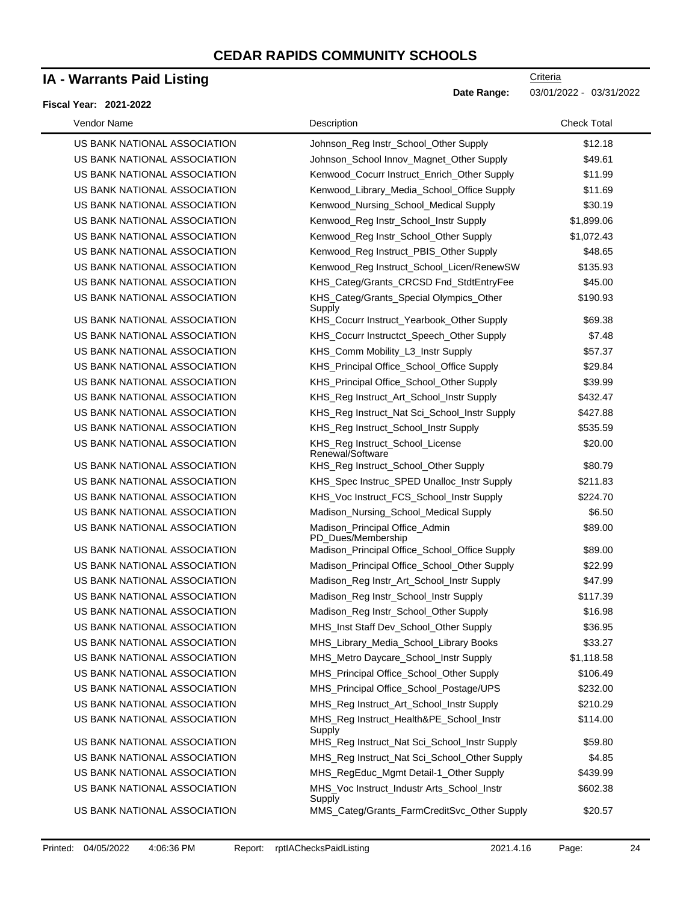### **IA - Warrants Paid Listing**

#### **Fiscal Year: 2021-2022**

| Vendor Name                  | Description                                          | <b>Check Total</b> |
|------------------------------|------------------------------------------------------|--------------------|
| US BANK NATIONAL ASSOCIATION | Johnson_Reg Instr_School_Other Supply                | \$12.18            |
| US BANK NATIONAL ASSOCIATION | Johnson_School Innov_Magnet_Other Supply             | \$49.61            |
| US BANK NATIONAL ASSOCIATION | Kenwood_Cocurr Instruct_Enrich_Other Supply          | \$11.99            |
| US BANK NATIONAL ASSOCIATION | Kenwood_Library_Media_School_Office Supply           | \$11.69            |
| US BANK NATIONAL ASSOCIATION | Kenwood_Nursing_School_Medical Supply                | \$30.19            |
| US BANK NATIONAL ASSOCIATION | Kenwood_Reg Instr_School_Instr Supply                | \$1,899.06         |
| US BANK NATIONAL ASSOCIATION | Kenwood_Reg Instr_School_Other Supply                | \$1,072.43         |
| US BANK NATIONAL ASSOCIATION | Kenwood_Reg Instruct_PBIS_Other Supply               | \$48.65            |
| US BANK NATIONAL ASSOCIATION | Kenwood_Reg Instruct_School_Licen/RenewSW            | \$135.93           |
| US BANK NATIONAL ASSOCIATION | KHS_Categ/Grants_CRCSD Fnd_StdtEntryFee              | \$45.00            |
| US BANK NATIONAL ASSOCIATION | KHS_Categ/Grants_Special Olympics_Other<br>Supply    | \$190.93           |
| US BANK NATIONAL ASSOCIATION | KHS_Cocurr Instruct_Yearbook_Other Supply            | \$69.38            |
| US BANK NATIONAL ASSOCIATION | KHS_Cocurr Instructct_Speech_Other Supply            | \$7.48             |
| US BANK NATIONAL ASSOCIATION | KHS_Comm Mobility_L3_Instr Supply                    | \$57.37            |
| US BANK NATIONAL ASSOCIATION | KHS_Principal Office_School_Office Supply            | \$29.84            |
| US BANK NATIONAL ASSOCIATION | KHS_Principal Office_School_Other Supply             | \$39.99            |
| US BANK NATIONAL ASSOCIATION | KHS_Reg Instruct_Art_School_Instr Supply             | \$432.47           |
| US BANK NATIONAL ASSOCIATION | KHS_Reg Instruct_Nat Sci_School_Instr Supply         | \$427.88           |
| US BANK NATIONAL ASSOCIATION | KHS_Reg Instruct_School_Instr Supply                 | \$535.59           |
| US BANK NATIONAL ASSOCIATION | KHS_Reg Instruct_School_License<br>Renewal/Software  | \$20.00            |
| US BANK NATIONAL ASSOCIATION | KHS_Reg Instruct_School_Other Supply                 | \$80.79            |
| US BANK NATIONAL ASSOCIATION | KHS_Spec Instruc_SPED Unalloc_Instr Supply           | \$211.83           |
| US BANK NATIONAL ASSOCIATION | KHS_Voc Instruct_FCS_School_Instr Supply             | \$224.70           |
| US BANK NATIONAL ASSOCIATION | Madison_Nursing_School_Medical Supply                | \$6.50             |
| US BANK NATIONAL ASSOCIATION | Madison_Principal Office_Admin<br>PD Dues/Membership | \$89.00            |
| US BANK NATIONAL ASSOCIATION | Madison_Principal Office_School_Office Supply        | \$89.00            |
| US BANK NATIONAL ASSOCIATION | Madison_Principal Office_School_Other Supply         | \$22.99            |
| US BANK NATIONAL ASSOCIATION | Madison_Reg Instr_Art_School_Instr Supply            | \$47.99            |
| US BANK NATIONAL ASSOCIATION | Madison_Reg Instr_School_Instr Supply                | \$117.39           |
| US BANK NATIONAL ASSOCIATION | Madison_Reg Instr_School_Other Supply                | \$16.98            |
| US BANK NATIONAL ASSOCIATION | MHS_Inst Staff Dev_School_Other Supply               | \$36.95            |
| US BANK NATIONAL ASSOCIATION | MHS_Library_Media_School_Library Books               | \$33.27            |
| US BANK NATIONAL ASSOCIATION | MHS_Metro Daycare_School_Instr Supply                | \$1,118.58         |
| US BANK NATIONAL ASSOCIATION | MHS_Principal Office_School_Other Supply             | \$106.49           |
| US BANK NATIONAL ASSOCIATION | MHS_Principal Office_School_Postage/UPS              | \$232.00           |
| US BANK NATIONAL ASSOCIATION | MHS_Reg Instruct_Art_School_Instr Supply             | \$210.29           |
| US BANK NATIONAL ASSOCIATION | MHS_Reg Instruct_Health&PE_School_Instr<br>Supply    | \$114.00           |
| US BANK NATIONAL ASSOCIATION | MHS_Reg Instruct_Nat Sci_School_Instr Supply         | \$59.80            |
| US BANK NATIONAL ASSOCIATION | MHS_Reg Instruct_Nat Sci_School_Other Supply         | \$4.85             |
| US BANK NATIONAL ASSOCIATION | MHS_RegEduc_Mgmt Detail-1_Other Supply               | \$439.99           |
| US BANK NATIONAL ASSOCIATION | MHS_Voc Instruct_Industr Arts_School_Instr<br>Supply | \$602.38           |
| US BANK NATIONAL ASSOCIATION | MMS_Categ/Grants_FarmCreditSvc_Other Supply          | \$20.57            |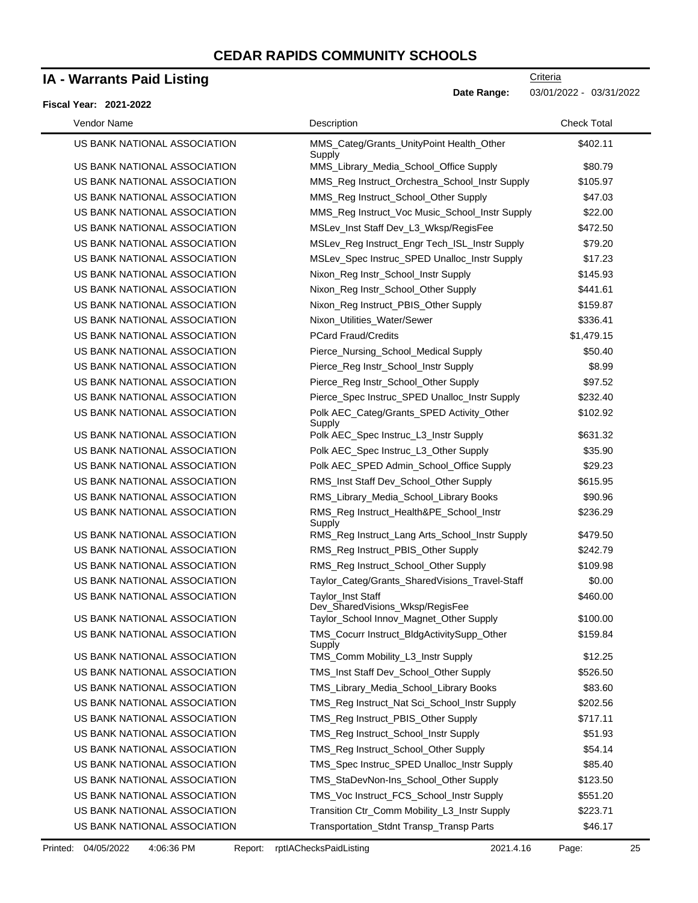### **IA - Warrants Paid Listing**

#### **Fiscal Year: 2021-2022**

| Vendor Name                  | Description                                          | <b>Check Total</b> |
|------------------------------|------------------------------------------------------|--------------------|
| US BANK NATIONAL ASSOCIATION | MMS_Categ/Grants_UnityPoint Health_Other<br>Supply   | \$402.11           |
| US BANK NATIONAL ASSOCIATION | MMS_Library_Media_School_Office Supply               | \$80.79            |
| US BANK NATIONAL ASSOCIATION | MMS_Reg Instruct_Orchestra_School_Instr Supply       | \$105.97           |
| US BANK NATIONAL ASSOCIATION | MMS_Reg Instruct_School_Other Supply                 | \$47.03            |
| US BANK NATIONAL ASSOCIATION | MMS_Reg Instruct_Voc Music_School_Instr Supply       | \$22.00            |
| US BANK NATIONAL ASSOCIATION | MSLev_Inst Staff Dev_L3_Wksp/RegisFee                | \$472.50           |
| US BANK NATIONAL ASSOCIATION | MSLev_Reg Instruct_Engr Tech_ISL_Instr Supply        | \$79.20            |
| US BANK NATIONAL ASSOCIATION | MSLev_Spec Instruc_SPED Unalloc_Instr Supply         | \$17.23            |
| US BANK NATIONAL ASSOCIATION | Nixon_Reg Instr_School_Instr Supply                  | \$145.93           |
| US BANK NATIONAL ASSOCIATION | Nixon_Reg Instr_School_Other Supply                  | \$441.61           |
| US BANK NATIONAL ASSOCIATION | Nixon_Reg Instruct_PBIS_Other Supply                 | \$159.87           |
| US BANK NATIONAL ASSOCIATION | Nixon_Utilities_Water/Sewer                          | \$336.41           |
| US BANK NATIONAL ASSOCIATION | <b>PCard Fraud/Credits</b>                           | \$1,479.15         |
| US BANK NATIONAL ASSOCIATION | Pierce_Nursing_School_Medical Supply                 | \$50.40            |
| US BANK NATIONAL ASSOCIATION | Pierce_Reg Instr_School_Instr Supply                 | \$8.99             |
| US BANK NATIONAL ASSOCIATION | Pierce_Reg Instr_School_Other Supply                 | \$97.52            |
| US BANK NATIONAL ASSOCIATION | Pierce_Spec Instruc_SPED Unalloc_Instr Supply        | \$232.40           |
| US BANK NATIONAL ASSOCIATION | Polk AEC_Categ/Grants_SPED Activity_Other<br>Supply  | \$102.92           |
| US BANK NATIONAL ASSOCIATION | Polk AEC_Spec Instruc_L3_Instr Supply                | \$631.32           |
| US BANK NATIONAL ASSOCIATION | Polk AEC_Spec Instruc_L3_Other Supply                | \$35.90            |
| US BANK NATIONAL ASSOCIATION | Polk AEC_SPED Admin_School_Office Supply             | \$29.23            |
| US BANK NATIONAL ASSOCIATION | RMS_Inst Staff Dev_School_Other Supply               | \$615.95           |
| US BANK NATIONAL ASSOCIATION | RMS_Library_Media_School_Library Books               | \$90.96            |
| US BANK NATIONAL ASSOCIATION | RMS_Reg Instruct_Health&PE_School_Instr<br>Supply    | \$236.29           |
| US BANK NATIONAL ASSOCIATION | RMS_Reg Instruct_Lang Arts_School_Instr Supply       | \$479.50           |
| US BANK NATIONAL ASSOCIATION | RMS_Reg Instruct_PBIS_Other Supply                   | \$242.79           |
| US BANK NATIONAL ASSOCIATION | RMS_Reg Instruct_School_Other Supply                 | \$109.98           |
| US BANK NATIONAL ASSOCIATION | Taylor_Categ/Grants_SharedVisions_Travel-Staff       | \$0.00             |
| US BANK NATIONAL ASSOCIATION | Taylor_Inst Staff<br>Dev_SharedVisions_Wksp/RegisFee | \$460.00           |
| US BANK NATIONAL ASSOCIATION | Taylor_School Innov_Magnet_Other Supply              | \$100.00           |
| US BANK NATIONAL ASSOCIATION | TMS_Cocurr Instruct_BIdgActivitySupp_Other<br>Supply | \$159.84           |
| US BANK NATIONAL ASSOCIATION | TMS_Comm Mobility_L3_Instr Supply                    | \$12.25            |
| US BANK NATIONAL ASSOCIATION | TMS_Inst Staff Dev_School_Other Supply               | \$526.50           |
| US BANK NATIONAL ASSOCIATION | TMS_Library_Media_School_Library Books               | \$83.60            |
| US BANK NATIONAL ASSOCIATION | TMS_Reg Instruct_Nat Sci_School_Instr Supply         | \$202.56           |
| US BANK NATIONAL ASSOCIATION | TMS_Reg Instruct_PBIS_Other Supply                   | \$717.11           |
| US BANK NATIONAL ASSOCIATION | TMS_Reg Instruct_School_Instr Supply                 | \$51.93            |
| US BANK NATIONAL ASSOCIATION | TMS_Reg Instruct_School_Other Supply                 | \$54.14            |
| US BANK NATIONAL ASSOCIATION | TMS_Spec Instruc_SPED Unalloc_Instr Supply           | \$85.40            |
| US BANK NATIONAL ASSOCIATION | TMS_StaDevNon-Ins_School_Other Supply                | \$123.50           |
| US BANK NATIONAL ASSOCIATION | TMS_Voc Instruct_FCS_School_Instr Supply             | \$551.20           |
| US BANK NATIONAL ASSOCIATION | Transition Ctr_Comm Mobility_L3_Instr Supply         | \$223.71           |
| US BANK NATIONAL ASSOCIATION | Transportation_Stdnt Transp_Transp Parts             | \$46.17            |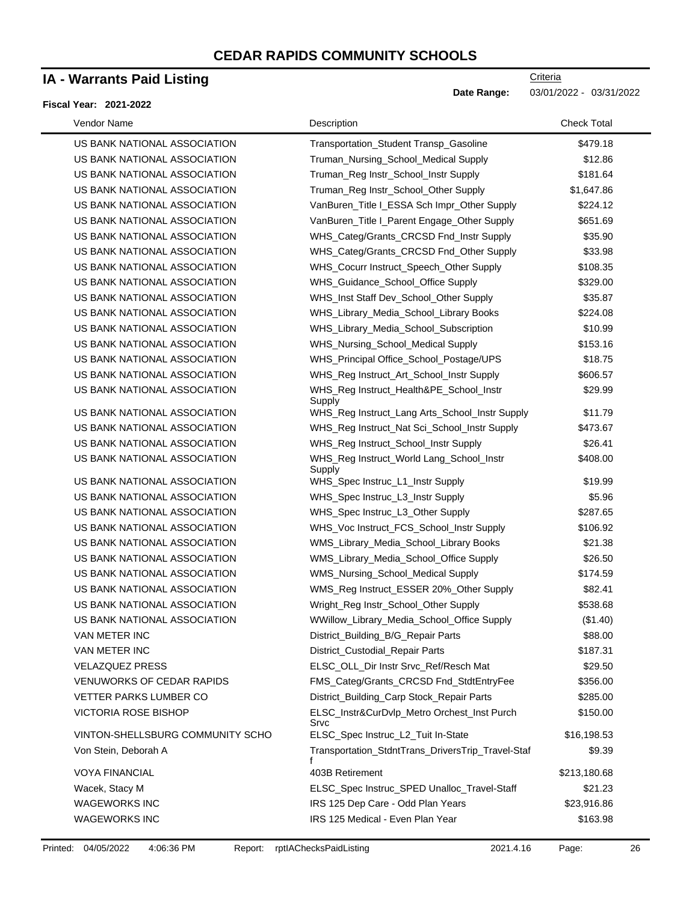### **IA - Warrants Paid Listing**

#### **Fiscal Year: 2021-2022**

| Vendor Name                      | Description                                         | <b>Check Total</b> |
|----------------------------------|-----------------------------------------------------|--------------------|
| US BANK NATIONAL ASSOCIATION     | Transportation_Student Transp_Gasoline              | \$479.18           |
| US BANK NATIONAL ASSOCIATION     | Truman_Nursing_School_Medical Supply                | \$12.86            |
| US BANK NATIONAL ASSOCIATION     | Truman_Reg Instr_School_Instr Supply                | \$181.64           |
| US BANK NATIONAL ASSOCIATION     | Truman_Reg Instr_School_Other Supply                | \$1,647.86         |
| US BANK NATIONAL ASSOCIATION     | VanBuren_Title I_ESSA Sch Impr_Other Supply         | \$224.12           |
| US BANK NATIONAL ASSOCIATION     | VanBuren_Title I_Parent Engage_Other Supply         | \$651.69           |
| US BANK NATIONAL ASSOCIATION     | WHS_Categ/Grants_CRCSD Fnd_Instr Supply             | \$35.90            |
| US BANK NATIONAL ASSOCIATION     | WHS_Categ/Grants_CRCSD Fnd_Other Supply             | \$33.98            |
| US BANK NATIONAL ASSOCIATION     | WHS_Cocurr Instruct_Speech_Other Supply             | \$108.35           |
| US BANK NATIONAL ASSOCIATION     | WHS_Guidance_School_Office Supply                   | \$329.00           |
| US BANK NATIONAL ASSOCIATION     | WHS_Inst Staff Dev_School_Other Supply              | \$35.87            |
| US BANK NATIONAL ASSOCIATION     | WHS_Library_Media_School_Library Books              | \$224.08           |
| US BANK NATIONAL ASSOCIATION     | WHS_Library_Media_School_Subscription               | \$10.99            |
| US BANK NATIONAL ASSOCIATION     | WHS_Nursing_School_Medical Supply                   | \$153.16           |
| US BANK NATIONAL ASSOCIATION     | WHS_Principal Office_School_Postage/UPS             | \$18.75            |
| US BANK NATIONAL ASSOCIATION     | WHS_Reg Instruct_Art_School_Instr Supply            | \$606.57           |
| US BANK NATIONAL ASSOCIATION     | WHS_Reg Instruct_Health&PE_School_Instr<br>Supply   | \$29.99            |
| US BANK NATIONAL ASSOCIATION     | WHS_Reg Instruct_Lang Arts_School_Instr Supply      | \$11.79            |
| US BANK NATIONAL ASSOCIATION     | WHS_Reg Instruct_Nat Sci_School_Instr Supply        | \$473.67           |
| US BANK NATIONAL ASSOCIATION     | WHS_Reg Instruct_School_Instr Supply                | \$26.41            |
| US BANK NATIONAL ASSOCIATION     | WHS_Reg Instruct_World Lang_School_Instr<br>Supply  | \$408.00           |
| US BANK NATIONAL ASSOCIATION     | WHS_Spec Instruc_L1_Instr Supply                    | \$19.99            |
| US BANK NATIONAL ASSOCIATION     | WHS_Spec Instruc_L3_Instr Supply                    | \$5.96             |
| US BANK NATIONAL ASSOCIATION     | WHS_Spec Instruc_L3_Other Supply                    | \$287.65           |
| US BANK NATIONAL ASSOCIATION     | WHS_Voc Instruct_FCS_School_Instr Supply            | \$106.92           |
| US BANK NATIONAL ASSOCIATION     | WMS_Library_Media_School_Library Books              | \$21.38            |
| US BANK NATIONAL ASSOCIATION     | WMS_Library_Media_School_Office Supply              | \$26.50            |
| US BANK NATIONAL ASSOCIATION     | WMS_Nursing_School_Medical Supply                   | \$174.59           |
| US BANK NATIONAL ASSOCIATION     | WMS_Reg Instruct_ESSER 20%_Other Supply             | \$82.41            |
| US BANK NATIONAL ASSOCIATION     | Wright_Reg Instr_School_Other Supply                | \$538.68           |
| US BANK NATIONAL ASSOCIATION     | WWillow_Library_Media_School_Office Supply          | (\$1.40)           |
| VAN METER INC                    | District_Building_B/G_Repair Parts                  | \$88.00            |
| VAN METER INC                    | District_Custodial_Repair Parts                     | \$187.31           |
| <b>VELAZQUEZ PRESS</b>           | ELSC_OLL_Dir Instr Srvc_Ref/Resch Mat               | \$29.50            |
| <b>VENUWORKS OF CEDAR RAPIDS</b> | FMS_Categ/Grants_CRCSD Fnd_StdtEntryFee             | \$356.00           |
| VETTER PARKS LUMBER CO           | District_Building_Carp Stock_Repair Parts           | \$285.00           |
| <b>VICTORIA ROSE BISHOP</b>      | ELSC_Instr&CurDvlp_Metro Orchest_Inst Purch<br>Srvc | \$150.00           |
| VINTON-SHELLSBURG COMMUNITY SCHO | ELSC_Spec Instruc_L2_Tuit In-State                  | \$16,198.53        |
| Von Stein, Deborah A             | Transportation_StdntTrans_DriversTrip_Travel-Staf   | \$9.39             |
| <b>VOYA FINANCIAL</b>            | 403B Retirement                                     | \$213,180.68       |
| Wacek, Stacy M                   | ELSC_Spec Instruc_SPED Unalloc_Travel-Staff         | \$21.23            |
| <b>WAGEWORKS INC</b>             | IRS 125 Dep Care - Odd Plan Years                   | \$23,916.86        |
| <b>WAGEWORKS INC</b>             | IRS 125 Medical - Even Plan Year                    | \$163.98           |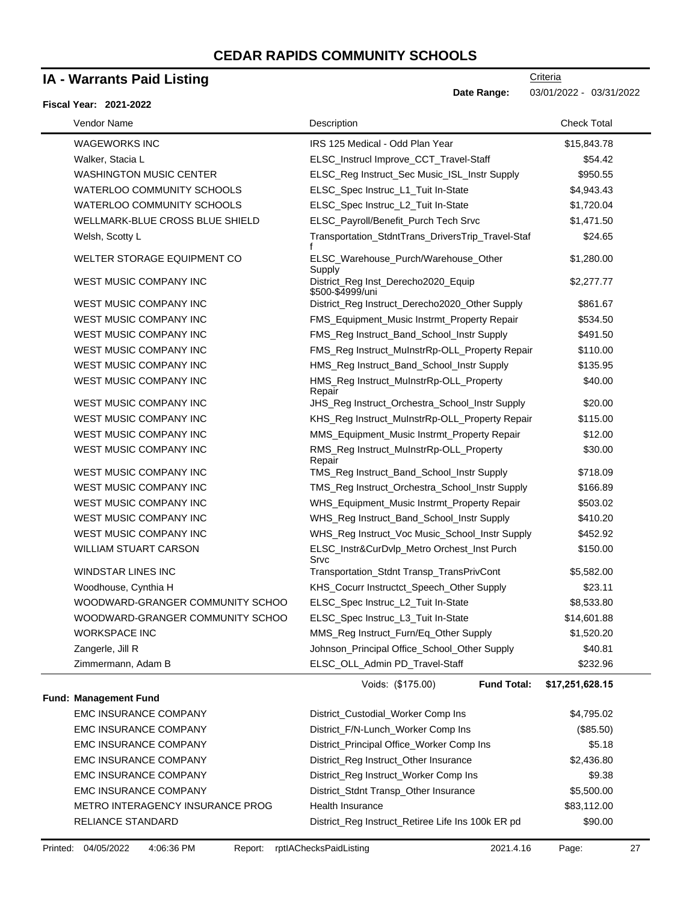### **IA - Warrants Paid Listing**

#### **Fiscal Year: 2021-2022**

| Vendor Name                                           | Description                                                                        | <b>Check Total</b>   |
|-------------------------------------------------------|------------------------------------------------------------------------------------|----------------------|
| <b>WAGEWORKS INC</b>                                  | IRS 125 Medical - Odd Plan Year                                                    | \$15,843.78          |
| Walker, Stacia L                                      | ELSC_Instrucl Improve_CCT_Travel-Staff                                             | \$54.42              |
| <b>WASHINGTON MUSIC CENTER</b>                        | ELSC_Reg Instruct_Sec Music_ISL_Instr Supply                                       | \$950.55             |
| <b>WATERLOO COMMUNITY SCHOOLS</b>                     | ELSC_Spec Instruc_L1_Tuit In-State                                                 | \$4,943.43           |
| <b>WATERLOO COMMUNITY SCHOOLS</b>                     | ELSC_Spec Instruc_L2_Tuit In-State                                                 | \$1,720.04           |
| WELLMARK-BLUE CROSS BLUE SHIELD                       | ELSC_Payroll/Benefit_Purch Tech Srvc                                               | \$1,471.50           |
| Welsh, Scotty L                                       | Transportation_StdntTrans_DriversTrip_Travel-Staf                                  | \$24.65              |
| WELTER STORAGE EQUIPMENT CO                           | ELSC_Warehouse_Purch/Warehouse_Other<br>Supply                                     | \$1,280.00           |
| <b>WEST MUSIC COMPANY INC</b>                         | District_Reg Inst_Derecho2020_Equip<br>\$500-\$4999/uni                            | \$2,277.77           |
| WEST MUSIC COMPANY INC                                | District_Reg Instruct_Derecho2020_Other Supply                                     | \$861.67             |
| WEST MUSIC COMPANY INC                                | FMS_Equipment_Music Instrmt_Property Repair                                        | \$534.50             |
| WEST MUSIC COMPANY INC                                | FMS_Reg Instruct_Band_School_Instr Supply                                          | \$491.50             |
| WEST MUSIC COMPANY INC                                | FMS_Reg Instruct_MuInstrRp-OLL_Property Repair                                     | \$110.00             |
| <b>WEST MUSIC COMPANY INC</b>                         | HMS_Reg Instruct_Band_School_Instr Supply                                          | \$135.95             |
| WEST MUSIC COMPANY INC                                | HMS_Reg Instruct_MuInstrRp-OLL_Property<br>Repair                                  | \$40.00              |
| <b>WEST MUSIC COMPANY INC</b>                         | JHS_Reg Instruct_Orchestra_School_Instr Supply                                     | \$20.00              |
| WEST MUSIC COMPANY INC                                | KHS_Reg Instruct_MuInstrRp-OLL_Property Repair                                     | \$115.00             |
| WEST MUSIC COMPANY INC                                | MMS_Equipment_Music Instrmt_Property Repair                                        | \$12.00              |
| WEST MUSIC COMPANY INC                                | RMS_Reg Instruct_MuInstrRp-OLL_Property<br>Repair                                  | \$30.00              |
| WEST MUSIC COMPANY INC                                | TMS_Reg Instruct_Band_School_Instr Supply                                          | \$718.09             |
| WEST MUSIC COMPANY INC                                | TMS_Reg Instruct_Orchestra_School_Instr Supply                                     | \$166.89             |
| WEST MUSIC COMPANY INC                                | WHS_Equipment_Music Instrmt_Property Repair                                        | \$503.02             |
| WEST MUSIC COMPANY INC                                | WHS_Reg Instruct_Band_School_Instr Supply                                          | \$410.20             |
| WEST MUSIC COMPANY INC                                | WHS_Reg Instruct_Voc Music_School_Instr Supply                                     | \$452.92             |
| WILLIAM STUART CARSON                                 | ELSC_Instr&CurDvlp_Metro Orchest_Inst Purch<br>Srvc                                | \$150.00             |
| <b>WINDSTAR LINES INC</b>                             | Transportation_Stdnt Transp_TransPrivCont                                          | \$5,582.00           |
| Woodhouse, Cynthia H                                  | KHS_Cocurr Instructct_Speech_Other Supply                                          | \$23.11              |
| WOODWARD-GRANGER COMMUNITY SCHOO                      | ELSC_Spec Instruc_L2_Tuit In-State                                                 | \$8,533.80           |
| WOODWARD-GRANGER COMMUNITY SCHOO                      | ELSC_Spec Instruc_L3_Tuit In-State                                                 | \$14,601.88          |
| <b>WORKSPACE INC</b>                                  | MMS_Reg Instruct_Furn/Eq_Other Supply                                              | \$1,520.20           |
| Zangerle, Jill R                                      | Johnson_Principal Office_School_Other Supply                                       | \$40.81              |
| Zimmermann, Adam B                                    | ELSC_OLL_Admin PD_Travel-Staff                                                     | \$232.96             |
|                                                       | Voids: (\$175.00)<br><b>Fund Total:</b>                                            | \$17,251,628.15      |
| Fund: Management Fund                                 |                                                                                    |                      |
| <b>EMC INSURANCE COMPANY</b>                          | District Custodial Worker Comp Ins                                                 | \$4,795.02           |
| <b>EMC INSURANCE COMPANY</b>                          | District_F/N-Lunch_Worker Comp Ins                                                 | (\$85.50)            |
| EMC INSURANCE COMPANY<br><b>EMC INSURANCE COMPANY</b> | District_Principal Office_Worker Comp Ins<br>District_Reg Instruct_Other Insurance | \$5.18<br>\$2,436.80 |
| EMC INSURANCE COMPANY                                 | District_Reg Instruct_Worker Comp Ins                                              | \$9.38               |
| EMC INSURANCE COMPANY                                 | District_Stdnt Transp_Other Insurance                                              | \$5,500.00           |
| METRO INTERAGENCY INSURANCE PROG                      | Health Insurance                                                                   | \$83,112.00          |
|                                                       |                                                                                    |                      |
| RELIANCE STANDARD                                     | District_Reg Instruct_Retiree Life Ins 100k ER pd                                  | \$90.00              |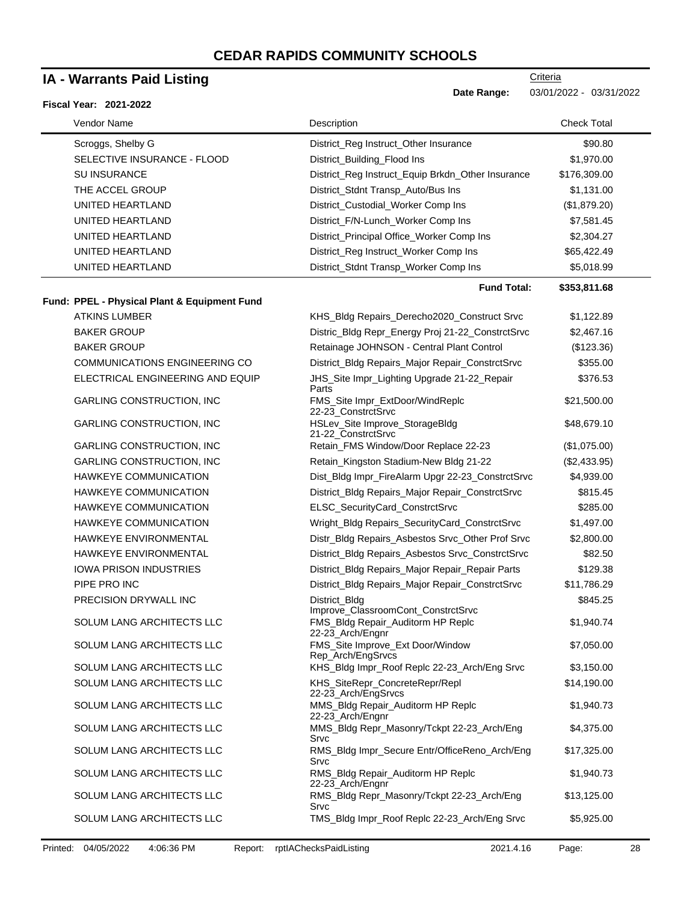# **IA - Warrants Paid Listing**

| <b>IA - Warrants Paid Listing</b>            | Criteria                                                                                    |                         |
|----------------------------------------------|---------------------------------------------------------------------------------------------|-------------------------|
| Fiscal Year: 2021-2022                       | Date Range:                                                                                 | 03/01/2022 - 03/31/2022 |
| Vendor Name                                  | Description                                                                                 | <b>Check Total</b>      |
| Scroggs, Shelby G                            | District_Reg Instruct_Other Insurance                                                       | \$90.80                 |
| SELECTIVE INSURANCE - FLOOD                  | District_Building_Flood Ins                                                                 | \$1,970.00              |
| <b>SU INSURANCE</b>                          | District_Reg Instruct_Equip Brkdn_Other Insurance                                           | \$176,309.00            |
| THE ACCEL GROUP                              | District_Stdnt Transp_Auto/Bus Ins                                                          | \$1,131.00              |
| UNITED HEARTLAND                             | District_Custodial_Worker Comp Ins                                                          | (\$1,879.20)            |
| UNITED HEARTLAND                             | District_F/N-Lunch_Worker Comp Ins                                                          | \$7,581.45              |
| UNITED HEARTLAND                             | District_Principal Office_Worker Comp Ins                                                   | \$2,304.27              |
| UNITED HEARTLAND                             | District_Reg Instruct_Worker Comp Ins                                                       | \$65,422.49             |
| UNITED HEARTLAND                             | District_Stdnt Transp_Worker Comp Ins                                                       | \$5,018.99              |
|                                              | <b>Fund Total:</b>                                                                          | \$353,811.68            |
| Fund: PPEL - Physical Plant & Equipment Fund |                                                                                             |                         |
| ATKINS LUMBER                                | KHS_Bldg Repairs_Derecho2020_Construct Srvc                                                 | \$1,122.89              |
| <b>BAKER GROUP</b>                           | Distric_Bldg Repr_Energy Proj 21-22_ConstrctSrvc                                            | \$2,467.16              |
| <b>BAKER GROUP</b>                           | Retainage JOHNSON - Central Plant Control                                                   | (\$123.36)              |
| COMMUNICATIONS ENGINEERING CO                | District_Bldg Repairs_Major Repair_ConstrctSrvc                                             | \$355.00                |
| ELECTRICAL ENGINEERING AND EQUIP             | JHS_Site Impr_Lighting Upgrade 21-22_Repair<br>Parts                                        | \$376.53                |
| <b>GARLING CONSTRUCTION, INC</b>             | FMS_Site Impr_ExtDoor/WindReplc<br>22-23_ConstrctSrvc                                       | \$21,500.00             |
| <b>GARLING CONSTRUCTION, INC</b>             | HSLev_Site Improve_StorageBldg<br>21-22_ConstrctSrvc                                        | \$48,679.10             |
| <b>GARLING CONSTRUCTION, INC</b>             | Retain_FMS Window/Door Replace 22-23                                                        | (\$1,075.00)            |
| <b>GARLING CONSTRUCTION, INC</b>             | Retain_Kingston Stadium-New Bldg 21-22                                                      | (\$2,433.95)            |
| HAWKEYE COMMUNICATION                        | Dist_Bldg Impr_FireAlarm Upgr 22-23_ConstrctSrvc                                            | \$4,939.00              |
| HAWKEYE COMMUNICATION                        | District_Bldg Repairs_Major Repair_ConstrctSrvc                                             | \$815.45                |
| HAWKEYE COMMUNICATION                        | ELSC_SecurityCard_ConstrctSrvc                                                              | \$285.00                |
| <b>HAWKEYE COMMUNICATION</b>                 | Wright_Bldg Repairs_SecurityCard_ConstrctSrvc                                               | \$1,497.00              |
| HAWKEYE ENVIRONMENTAL                        | Distr_Bldg Repairs_Asbestos Srvc_Other Prof Srvc                                            | \$2,800.00              |
| HAWKEYE ENVIRONMENTAL                        | District_Bldg Repairs_Asbestos Srvc_ConstrctSrvc                                            | \$82.50                 |
| <b>IOWA PRISON INDUSTRIES</b>                | District_Bldg Repairs_Major Repair_Repair Parts                                             | \$129.38                |
| PIPE PRO INC                                 | District_Bldg Repairs_Major Repair_ConstrctSrvc                                             | \$11,786.29             |
| PRECISION DRYWALL INC                        | District_Bldg                                                                               | \$845.25                |
| SOLUM LANG ARCHITECTS LLC                    | Improve_ClassroomCont_ConstrctSrvc<br>FMS_Bldg Repair_Auditorm HP Replc<br>22-23_Arch/Engnr | \$1,940.74              |
| SOLUM LANG ARCHITECTS LLC                    | FMS_Site Improve_Ext Door/Window<br>Rep_Arch/EngSrvcs                                       | \$7,050.00              |
| SOLUM LANG ARCHITECTS LLC                    | KHS_Bldg Impr_Roof Replc 22-23_Arch/Eng Srvc                                                | \$3,150.00              |
| SOLUM LANG ARCHITECTS LLC                    | KHS_SiteRepr_ConcreteRepr/Repl<br>22-23_Arch/EngSrvcs                                       | \$14,190.00             |
| SOLUM LANG ARCHITECTS LLC                    | MMS_Bldg Repair_Auditorm HP Replc<br>22-23_Arch/Engnr                                       | \$1,940.73              |
| SOLUM LANG ARCHITECTS LLC                    | MMS_Bldg Repr_Masonry/Tckpt 22-23_Arch/Eng<br>Srvc                                          | \$4,375.00              |
| SOLUM LANG ARCHITECTS LLC                    | RMS_Bldg Impr_Secure Entr/OfficeReno_Arch/Eng<br>Srvc                                       | \$17,325.00             |
| SOLUM LANG ARCHITECTS LLC                    | RMS_Bldg Repair_Auditorm HP Replc<br>22-23_Arch/Engnr                                       | \$1,940.73              |
| SOLUM LANG ARCHITECTS LLC                    | RMS_Bldg Repr_Masonry/Tckpt 22-23_Arch/Eng<br>Srvc                                          | \$13,125.00             |
| SOLUM LANG ARCHITECTS LLC                    | TMS_Bldg Impr_Roof Replc 22-23_Arch/Eng Srvc                                                | \$5,925.00              |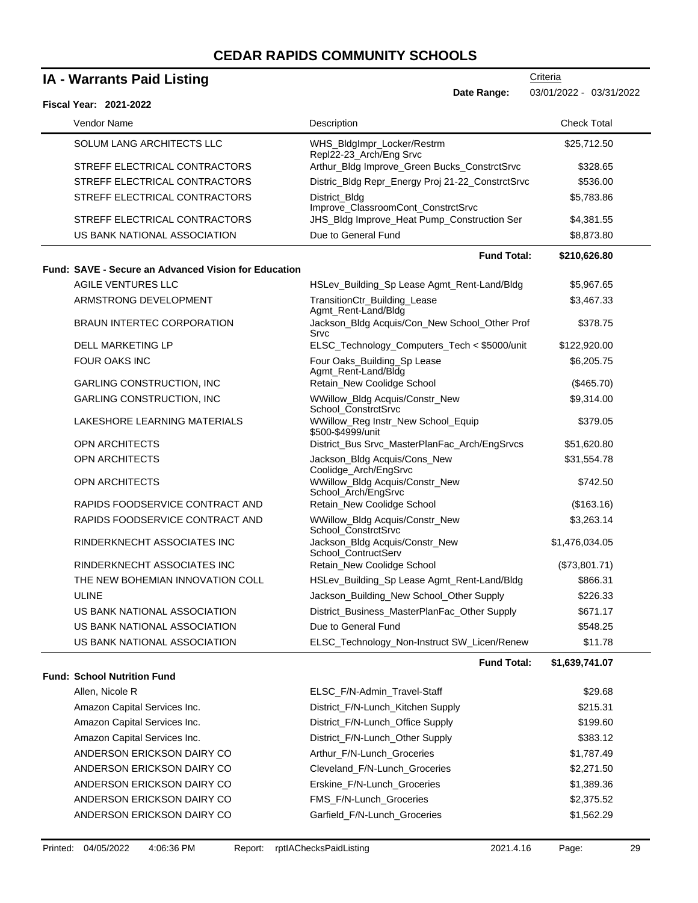| Criteria<br><b>IA - Warrants Paid Listing</b>                    |                                                         |                    |  |
|------------------------------------------------------------------|---------------------------------------------------------|--------------------|--|
| Date Range:<br>03/01/2022 - 03/31/2022<br>Fiscal Year: 2021-2022 |                                                         |                    |  |
| Vendor Name                                                      | Description                                             | <b>Check Total</b> |  |
| SOLUM LANG ARCHITECTS LLC                                        | WHS_BldgImpr_Locker/Restrm<br>Repl22-23_Arch/Eng Srvc   | \$25,712.50        |  |
| STREFF ELECTRICAL CONTRACTORS                                    | Arthur_Bldg Improve_Green Bucks_ConstrctSrvc            | \$328.65           |  |
| STREFF ELECTRICAL CONTRACTORS                                    | Distric_Bldg Repr_Energy Proj 21-22_ConstrctSrvc        | \$536.00           |  |
| STREFF ELECTRICAL CONTRACTORS                                    | District Blda<br>Improve_ClassroomCont_ConstrctSrvc     | \$5,783.86         |  |
| STREFF ELECTRICAL CONTRACTORS                                    | JHS_Bldg Improve_Heat Pump_Construction Ser             | \$4,381.55         |  |
| US BANK NATIONAL ASSOCIATION                                     | Due to General Fund                                     | \$8,873.80         |  |
|                                                                  | <b>Fund Total:</b>                                      | \$210,626.80       |  |
| Fund: SAVE - Secure an Advanced Vision for Education             |                                                         |                    |  |
| AGILE VENTURES LLC                                               | HSLev_Building_Sp Lease Agmt_Rent-Land/Bldg             | \$5,967.65         |  |
| ARMSTRONG DEVELOPMENT                                            | TransitionCtr_Building_Lease<br>Agmt_Rent-Land/Bldg     | \$3,467.33         |  |
| <b>BRAUN INTERTEC CORPORATION</b>                                | Jackson_Bldg Acquis/Con_New School_Other Prof<br>Srvc   | \$378.75           |  |
| <b>DELL MARKETING LP</b>                                         | ELSC_Technology_Computers_Tech < \$5000/unit            | \$122,920.00       |  |
| <b>FOUR OAKS INC</b>                                             | Four Oaks_Building_Sp Lease<br>Agmt_Rent-Land/Bldg      | \$6,205.75         |  |
| <b>GARLING CONSTRUCTION, INC</b>                                 | Retain_New Coolidge School                              | (\$465.70)         |  |
| <b>GARLING CONSTRUCTION, INC</b>                                 | WWillow_Bldg Acquis/Constr_New<br>School_ConstrctSrvc   | \$9,314.00         |  |
| LAKESHORE LEARNING MATERIALS                                     | WWillow_Reg Instr_New School_Equip<br>\$500-\$4999/unit | \$379.05           |  |
| <b>OPN ARCHITECTS</b>                                            | District_Bus Srvc_MasterPlanFac_Arch/EngSrvcs           | \$51,620.80        |  |
| <b>OPN ARCHITECTS</b>                                            | Jackson_Bldg Acquis/Cons_New<br>Coolidge_Arch/EngSrvc   | \$31,554.78        |  |
| <b>OPN ARCHITECTS</b>                                            | WWillow_Bldg Acquis/Constr_New<br>School_Arch/EngSrvc   | \$742.50           |  |
| RAPIDS FOODSERVICE CONTRACT AND                                  | Retain_New Coolidge School                              | (\$163.16)         |  |
| RAPIDS FOODSERVICE CONTRACT AND                                  | WWillow_Bldg Acquis/Constr_New<br>School_ConstrctSrvc   | \$3,263.14         |  |
| RINDERKNECHT ASSOCIATES INC                                      | Jackson_Bldg Acquis/Constr_New<br>School_ContructServ   | \$1,476,034.05     |  |
| RINDERKNECHT ASSOCIATES INC                                      | Retain_New Coolidge School                              | (\$73,801.71)      |  |
| THE NEW BOHEMIAN INNOVATION COLL                                 | HSLev_Building_Sp Lease Agmt_Rent-Land/Bldg             | \$866.31           |  |
| <b>ULINE</b>                                                     | Jackson_Building_New School_Other Supply                | \$226.33           |  |
| US BANK NATIONAL ASSOCIATION                                     | District_Business_MasterPlanFac_Other Supply            | \$671.17           |  |
| US BANK NATIONAL ASSOCIATION                                     | Due to General Fund                                     | \$548.25           |  |
| US BANK NATIONAL ASSOCIATION                                     | ELSC_Technology_Non-Instruct SW_Licen/Renew             | \$11.78            |  |
|                                                                  | <b>Fund Total:</b>                                      | \$1,639,741.07     |  |
| <b>Fund: School Nutrition Fund</b>                               |                                                         |                    |  |
| Allen, Nicole R                                                  | ELSC_F/N-Admin_Travel-Staff                             | \$29.68            |  |
| Amazon Capital Services Inc.                                     | District_F/N-Lunch_Kitchen Supply                       | \$215.31           |  |
| Amazon Capital Services Inc.                                     | District_F/N-Lunch_Office Supply                        | \$199.60           |  |
| Amazon Capital Services Inc.                                     | District_F/N-Lunch_Other Supply                         | \$383.12           |  |
| ANDERSON ERICKSON DAIRY CO                                       | Arthur_F/N-Lunch_Groceries                              | \$1,787.49         |  |
| ANDERSON ERICKSON DAIRY CO                                       | Cleveland_F/N-Lunch_Groceries                           | \$2,271.50         |  |
| ANDERSON ERICKSON DAIRY CO                                       | Erskine_F/N-Lunch_Groceries                             | \$1,389.36         |  |
| ANDERSON ERICKSON DAIRY CO                                       | FMS_F/N-Lunch_Groceries                                 | \$2,375.52         |  |
| ANDERSON ERICKSON DAIRY CO                                       | Garfield_F/N-Lunch_Groceries                            | \$1,562.29         |  |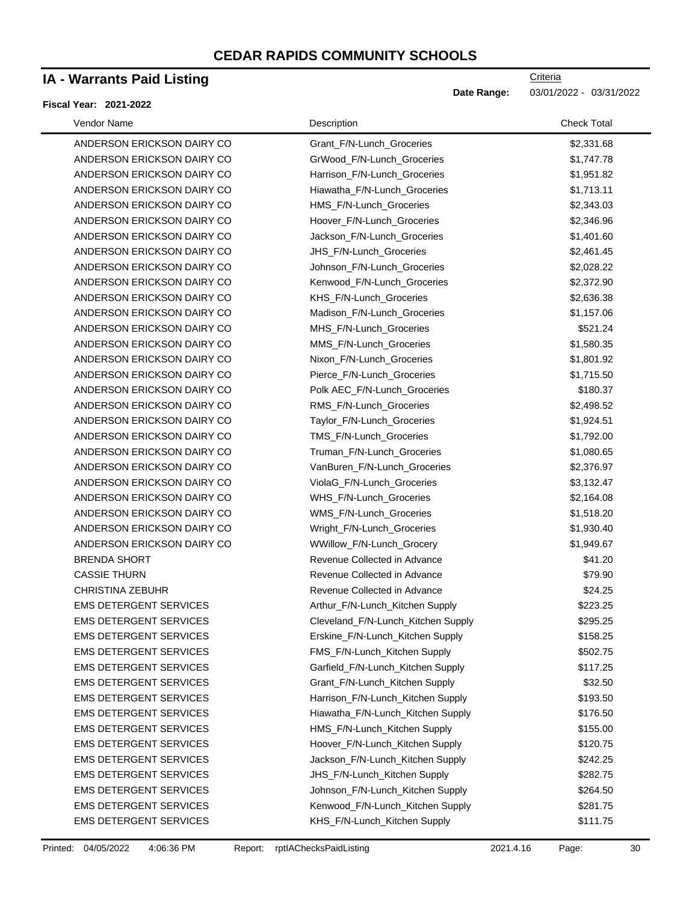## **IA - Warrants Paid Listing**

#### **Fiscal Year: 2021-2022**

**Criteria** 

**Date Range:** 03/01/2022 - 03/31/2022

| Vendor Name                   | Description                        | <b>Check Total</b> |
|-------------------------------|------------------------------------|--------------------|
| ANDERSON ERICKSON DAIRY CO    | Grant_F/N-Lunch_Groceries          | \$2,331.68         |
| ANDERSON ERICKSON DAIRY CO    | GrWood_F/N-Lunch_Groceries         | \$1,747.78         |
| ANDERSON ERICKSON DAIRY CO    | Harrison_F/N-Lunch_Groceries       | \$1,951.82         |
| ANDERSON ERICKSON DAIRY CO    | Hiawatha_F/N-Lunch_Groceries       | \$1,713.11         |
| ANDERSON ERICKSON DAIRY CO    | HMS_F/N-Lunch_Groceries            | \$2,343.03         |
| ANDERSON ERICKSON DAIRY CO    | Hoover_F/N-Lunch_Groceries         | \$2,346.96         |
| ANDERSON ERICKSON DAIRY CO    | Jackson_F/N-Lunch_Groceries        | \$1,401.60         |
| ANDERSON ERICKSON DAIRY CO    | JHS_F/N-Lunch_Groceries            | \$2,461.45         |
| ANDERSON ERICKSON DAIRY CO    | Johnson_F/N-Lunch_Groceries        | \$2,028.22         |
| ANDERSON ERICKSON DAIRY CO    | Kenwood_F/N-Lunch_Groceries        | \$2,372.90         |
| ANDERSON ERICKSON DAIRY CO    | KHS_F/N-Lunch_Groceries            | \$2,636.38         |
| ANDERSON ERICKSON DAIRY CO    | Madison_F/N-Lunch_Groceries        | \$1,157.06         |
| ANDERSON ERICKSON DAIRY CO    | MHS_F/N-Lunch_Groceries            | \$521.24           |
| ANDERSON ERICKSON DAIRY CO    | MMS_F/N-Lunch_Groceries            | \$1,580.35         |
| ANDERSON ERICKSON DAIRY CO    | Nixon_F/N-Lunch_Groceries          | \$1,801.92         |
| ANDERSON ERICKSON DAIRY CO    | Pierce_F/N-Lunch_Groceries         | \$1,715.50         |
| ANDERSON ERICKSON DAIRY CO    | Polk AEC_F/N-Lunch_Groceries       | \$180.37           |
| ANDERSON ERICKSON DAIRY CO    | RMS_F/N-Lunch_Groceries            | \$2,498.52         |
| ANDERSON ERICKSON DAIRY CO    | Taylor_F/N-Lunch_Groceries         | \$1,924.51         |
| ANDERSON ERICKSON DAIRY CO    | TMS_F/N-Lunch_Groceries            | \$1,792.00         |
| ANDERSON ERICKSON DAIRY CO    | Truman_F/N-Lunch_Groceries         | \$1,080.65         |
| ANDERSON ERICKSON DAIRY CO    | VanBuren_F/N-Lunch_Groceries       | \$2,376.97         |
| ANDERSON ERICKSON DAIRY CO    | ViolaG_F/N-Lunch_Groceries         | \$3,132.47         |
| ANDERSON ERICKSON DAIRY CO    | WHS_F/N-Lunch_Groceries            | \$2,164.08         |
| ANDERSON ERICKSON DAIRY CO    | WMS_F/N-Lunch_Groceries            | \$1,518.20         |
| ANDERSON ERICKSON DAIRY CO    | Wright_F/N-Lunch_Groceries         | \$1,930.40         |
| ANDERSON ERICKSON DAIRY CO    | WWillow_F/N-Lunch_Grocery          | \$1,949.67         |
| <b>BRENDA SHORT</b>           | Revenue Collected in Advance       | \$41.20            |
| <b>CASSIE THURN</b>           | Revenue Collected in Advance       | \$79.90            |
| <b>CHRISTINA ZEBUHR</b>       | Revenue Collected in Advance       | \$24.25            |
| <b>EMS DETERGENT SERVICES</b> | Arthur_F/N-Lunch_Kitchen Supply    | \$223.25           |
| <b>EMS DETERGENT SERVICES</b> | Cleveland_F/N-Lunch_Kitchen Supply | \$295.25           |
| <b>EMS DETERGENT SERVICES</b> | Erskine_F/N-Lunch_Kitchen Supply   | \$158.25           |
| <b>EMS DETERGENT SERVICES</b> | FMS_F/N-Lunch_Kitchen Supply       | \$502.75           |
| <b>EMS DETERGENT SERVICES</b> | Garfield_F/N-Lunch_Kitchen Supply  | \$117.25           |
| <b>EMS DETERGENT SERVICES</b> | Grant_F/N-Lunch_Kitchen Supply     | \$32.50            |
| <b>EMS DETERGENT SERVICES</b> | Harrison_F/N-Lunch_Kitchen Supply  | \$193.50           |
| <b>EMS DETERGENT SERVICES</b> | Hiawatha_F/N-Lunch_Kitchen Supply  | \$176.50           |
| <b>EMS DETERGENT SERVICES</b> | HMS_F/N-Lunch_Kitchen Supply       | \$155.00           |
| <b>EMS DETERGENT SERVICES</b> | Hoover_F/N-Lunch_Kitchen Supply    | \$120.75           |
| <b>EMS DETERGENT SERVICES</b> | Jackson F/N-Lunch Kitchen Supply   | \$242.25           |
| <b>EMS DETERGENT SERVICES</b> | JHS_F/N-Lunch_Kitchen Supply       | \$282.75           |
| <b>EMS DETERGENT SERVICES</b> | Johnson_F/N-Lunch_Kitchen Supply   | \$264.50           |
| <b>EMS DETERGENT SERVICES</b> | Kenwood_F/N-Lunch_Kitchen Supply   | \$281.75           |
| <b>EMS DETERGENT SERVICES</b> | KHS_F/N-Lunch_Kitchen Supply       | \$111.75           |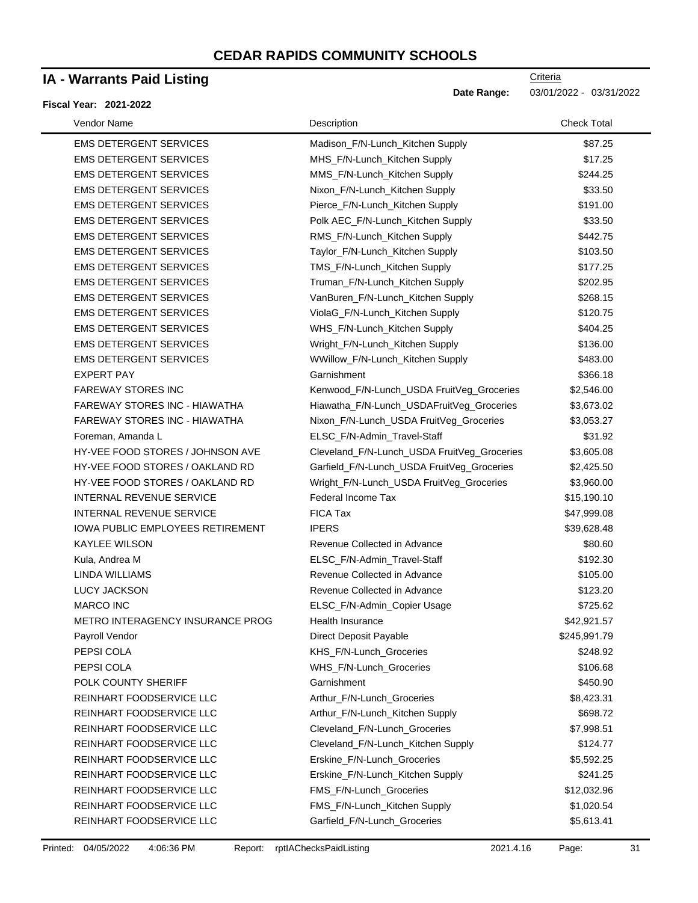# **IA - Warrants Paid Listing**

#### **Fisc**

| cal Year: 2021-2022                     |                                             |                    |  |  |
|-----------------------------------------|---------------------------------------------|--------------------|--|--|
| Vendor Name                             | Description                                 | <b>Check Total</b> |  |  |
| <b>EMS DETERGENT SERVICES</b>           | Madison_F/N-Lunch_Kitchen Supply            | \$87.25            |  |  |
| <b>EMS DETERGENT SERVICES</b>           | MHS_F/N-Lunch_Kitchen Supply                | \$17.25            |  |  |
| <b>EMS DETERGENT SERVICES</b>           | MMS_F/N-Lunch_Kitchen Supply                | \$244.25           |  |  |
| <b>EMS DETERGENT SERVICES</b>           | Nixon_F/N-Lunch_Kitchen Supply              | \$33.50            |  |  |
| <b>EMS DETERGENT SERVICES</b>           | Pierce_F/N-Lunch_Kitchen Supply             | \$191.00           |  |  |
| <b>EMS DETERGENT SERVICES</b>           | Polk AEC_F/N-Lunch_Kitchen Supply           | \$33.50            |  |  |
| <b>EMS DETERGENT SERVICES</b>           | RMS_F/N-Lunch_Kitchen Supply                | \$442.75           |  |  |
| <b>EMS DETERGENT SERVICES</b>           | Taylor_F/N-Lunch_Kitchen Supply             | \$103.50           |  |  |
| <b>EMS DETERGENT SERVICES</b>           | TMS_F/N-Lunch_Kitchen Supply                | \$177.25           |  |  |
| <b>EMS DETERGENT SERVICES</b>           | Truman_F/N-Lunch_Kitchen Supply             | \$202.95           |  |  |
| <b>EMS DETERGENT SERVICES</b>           | VanBuren_F/N-Lunch_Kitchen Supply           | \$268.15           |  |  |
| <b>EMS DETERGENT SERVICES</b>           | ViolaG_F/N-Lunch_Kitchen Supply             | \$120.75           |  |  |
| <b>EMS DETERGENT SERVICES</b>           | WHS_F/N-Lunch_Kitchen Supply                | \$404.25           |  |  |
| <b>EMS DETERGENT SERVICES</b>           | Wright_F/N-Lunch_Kitchen Supply             | \$136.00           |  |  |
| <b>EMS DETERGENT SERVICES</b>           | WWillow_F/N-Lunch_Kitchen Supply            | \$483.00           |  |  |
| <b>EXPERT PAY</b>                       | Garnishment                                 | \$366.18           |  |  |
| <b>FAREWAY STORES INC</b>               | Kenwood_F/N-Lunch_USDA FruitVeg_Groceries   | \$2,546.00         |  |  |
| FAREWAY STORES INC - HIAWATHA           | Hiawatha_F/N-Lunch_USDAFruitVeg_Groceries   | \$3,673.02         |  |  |
| FAREWAY STORES INC - HIAWATHA           | Nixon_F/N-Lunch_USDA FruitVeg_Groceries     | \$3,053.27         |  |  |
| Foreman, Amanda L                       | ELSC_F/N-Admin_Travel-Staff                 | \$31.92            |  |  |
| HY-VEE FOOD STORES / JOHNSON AVE        | Cleveland_F/N-Lunch_USDA FruitVeg_Groceries | \$3,605.08         |  |  |
| HY-VEE FOOD STORES / OAKLAND RD         | Garfield_F/N-Lunch_USDA FruitVeg_Groceries  | \$2,425.50         |  |  |
| HY-VEE FOOD STORES / OAKLAND RD         | Wright_F/N-Lunch_USDA FruitVeg_Groceries    | \$3,960.00         |  |  |
| INTERNAL REVENUE SERVICE                | Federal Income Tax                          | \$15,190.10        |  |  |
| INTERNAL REVENUE SERVICE                | FICA Tax                                    | \$47,999.08        |  |  |
| <b>IOWA PUBLIC EMPLOYEES RETIREMENT</b> | <b>IPERS</b>                                | \$39,628.48        |  |  |
| <b>KAYLEE WILSON</b>                    | Revenue Collected in Advance                | \$80.60            |  |  |
| Kula, Andrea M                          | ELSC_F/N-Admin_Travel-Staff                 | \$192.30           |  |  |
| LINDA WILLIAMS                          | Revenue Collected in Advance                | \$105.00           |  |  |
| <b>LUCY JACKSON</b>                     | Revenue Collected in Advance                | \$123.20           |  |  |
| <b>MARCO INC</b>                        | ELSC_F/N-Admin_Copier Usage                 | \$725.62           |  |  |
| METRO INTERAGENCY INSURANCE PROG        | Health Insurance                            | \$42,921.57        |  |  |
| Payroll Vendor                          | Direct Deposit Payable                      | \$245,991.79       |  |  |
| PEPSI COLA                              | KHS_F/N-Lunch_Groceries                     | \$248.92           |  |  |
| PEPSI COLA                              | WHS_F/N-Lunch_Groceries                     | \$106.68           |  |  |
| POLK COUNTY SHERIFF                     | Garnishment                                 | \$450.90           |  |  |
| REINHART FOODSERVICE LLC                | Arthur_F/N-Lunch_Groceries                  | \$8,423.31         |  |  |
| REINHART FOODSERVICE LLC                | Arthur_F/N-Lunch_Kitchen Supply             | \$698.72           |  |  |
| REINHART FOODSERVICE LLC                | Cleveland_F/N-Lunch_Groceries               | \$7,998.51         |  |  |
| REINHART FOODSERVICE LLC                | Cleveland_F/N-Lunch_Kitchen Supply          | \$124.77           |  |  |
| REINHART FOODSERVICE LLC                | Erskine_F/N-Lunch_Groceries                 | \$5,592.25         |  |  |
| REINHART FOODSERVICE LLC                | Erskine_F/N-Lunch_Kitchen Supply            | \$241.25           |  |  |
| REINHART FOODSERVICE LLC                | FMS_F/N-Lunch_Groceries                     | \$12,032.96        |  |  |
| REINHART FOODSERVICE LLC                | FMS_F/N-Lunch_Kitchen Supply                | \$1,020.54         |  |  |
| REINHART FOODSERVICE LLC                | Garfield_F/N-Lunch_Groceries                | \$5,613.41         |  |  |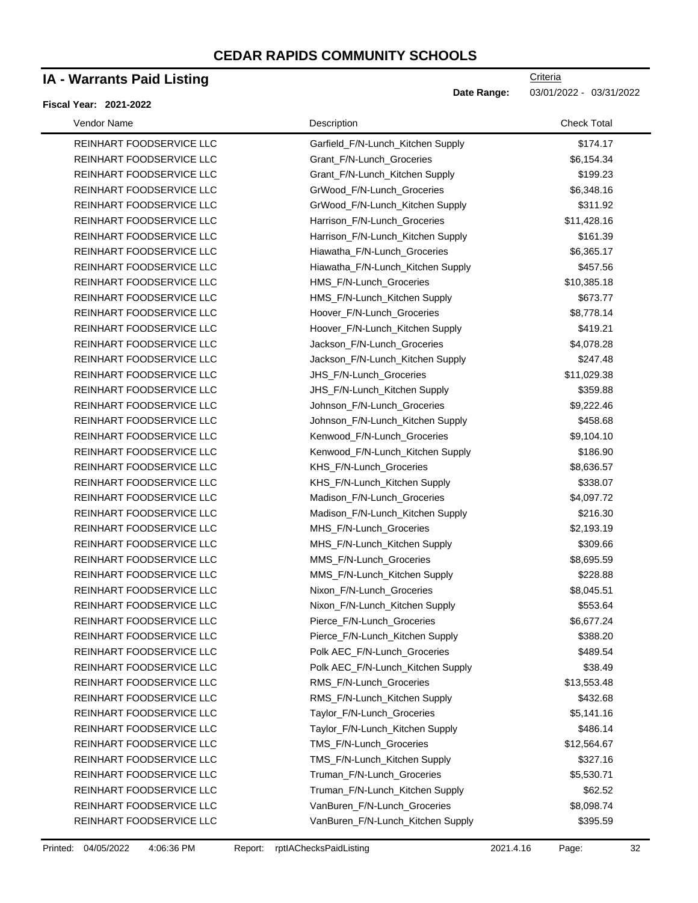## **IA - Warrants Paid Listing**

#### **Fiscal Year: 2021-2022**

**Criteria** 

**Date Range:** 03/01/2022 - 03/31/2022

| Vendor Name              | Description                       | <b>Check Total</b> |
|--------------------------|-----------------------------------|--------------------|
| REINHART FOODSERVICE LLC | Garfield_F/N-Lunch_Kitchen Supply | \$174.17           |
| REINHART FOODSERVICE LLC | Grant_F/N-Lunch_Groceries         | \$6,154.34         |
| REINHART FOODSERVICE LLC | Grant_F/N-Lunch_Kitchen Supply    | \$199.23           |
| REINHART FOODSERVICE LLC | GrWood_F/N-Lunch_Groceries        | \$6,348.16         |
| REINHART FOODSERVICE LLC | GrWood_F/N-Lunch_Kitchen Supply   | \$311.92           |
| REINHART FOODSERVICE LLC | Harrison_F/N-Lunch_Groceries      | \$11,428.16        |
| REINHART FOODSERVICE LLC | Harrison_F/N-Lunch_Kitchen Supply | \$161.39           |
| REINHART FOODSERVICE LLC | Hiawatha_F/N-Lunch_Groceries      | \$6,365.17         |
| REINHART FOODSERVICE LLC | Hiawatha_F/N-Lunch_Kitchen Supply | \$457.56           |
| REINHART FOODSERVICE LLC | HMS_F/N-Lunch_Groceries           | \$10,385.18        |
| REINHART FOODSERVICE LLC | HMS_F/N-Lunch_Kitchen Supply      | \$673.77           |
| REINHART FOODSERVICE LLC | Hoover_F/N-Lunch_Groceries        | \$8,778.14         |
| REINHART FOODSERVICE LLC | Hoover_F/N-Lunch_Kitchen Supply   | \$419.21           |
| REINHART FOODSERVICE LLC | Jackson_F/N-Lunch_Groceries       | \$4,078.28         |
| REINHART FOODSERVICE LLC | Jackson_F/N-Lunch_Kitchen Supply  | \$247.48           |
| REINHART FOODSERVICE LLC | JHS_F/N-Lunch_Groceries           | \$11,029.38        |
| REINHART FOODSERVICE LLC | JHS_F/N-Lunch_Kitchen Supply      | \$359.88           |
| REINHART FOODSERVICE LLC | Johnson_F/N-Lunch_Groceries       | \$9,222.46         |
| REINHART FOODSERVICE LLC | Johnson_F/N-Lunch_Kitchen Supply  | \$458.68           |
| REINHART FOODSERVICE LLC | Kenwood_F/N-Lunch_Groceries       | \$9,104.10         |
| REINHART FOODSERVICE LLC | Kenwood_F/N-Lunch_Kitchen Supply  | \$186.90           |
| REINHART FOODSERVICE LLC | KHS_F/N-Lunch_Groceries           | \$8,636.57         |
| REINHART FOODSERVICE LLC | KHS_F/N-Lunch_Kitchen Supply      | \$338.07           |
| REINHART FOODSERVICE LLC | Madison_F/N-Lunch_Groceries       | \$4,097.72         |
| REINHART FOODSERVICE LLC | Madison_F/N-Lunch_Kitchen Supply  | \$216.30           |
| REINHART FOODSERVICE LLC | MHS_F/N-Lunch_Groceries           | \$2,193.19         |
| REINHART FOODSERVICE LLC | MHS_F/N-Lunch_Kitchen Supply      | \$309.66           |
| REINHART FOODSERVICE LLC | MMS_F/N-Lunch_Groceries           | \$8,695.59         |
| REINHART FOODSERVICE LLC | MMS_F/N-Lunch_Kitchen Supply      | \$228.88           |
| REINHART FOODSERVICE LLC | Nixon_F/N-Lunch_Groceries         | \$8,045.51         |
| REINHART FOODSERVICE LLC | Nixon_F/N-Lunch_Kitchen Supply    | \$553.64           |
| REINHART FOODSERVICE LLC | Pierce_F/N-Lunch_Groceries        | \$6,677.24         |
| REINHART FOODSERVICE LLC | Pierce_F/N-Lunch_Kitchen Supply   | \$388.20           |
| REINHART FOODSERVICE LLC | Polk AEC_F/N-Lunch_Groceries      | \$489.54           |
| REINHART FOODSERVICE LLC | Polk AEC_F/N-Lunch_Kitchen Supply | \$38.49            |
| REINHART FOODSERVICE LLC | RMS_F/N-Lunch_Groceries           | \$13,553.48        |
| REINHART FOODSERVICE LLC | RMS_F/N-Lunch_Kitchen Supply      | \$432.68           |
| REINHART FOODSERVICE LLC | Taylor_F/N-Lunch_Groceries        | \$5,141.16         |
| REINHART FOODSERVICE LLC | Taylor_F/N-Lunch_Kitchen Supply   | \$486.14           |
| REINHART FOODSERVICE LLC | TMS_F/N-Lunch_Groceries           | \$12,564.67        |
| REINHART FOODSERVICE LLC | TMS_F/N-Lunch_Kitchen Supply      | \$327.16           |
| REINHART FOODSERVICE LLC | Truman_F/N-Lunch_Groceries        | \$5,530.71         |
| REINHART FOODSERVICE LLC | Truman_F/N-Lunch_Kitchen Supply   | \$62.52            |
| REINHART FOODSERVICE LLC | VanBuren_F/N-Lunch_Groceries      | \$8,098.74         |
| REINHART FOODSERVICE LLC | VanBuren_F/N-Lunch_Kitchen Supply | \$395.59           |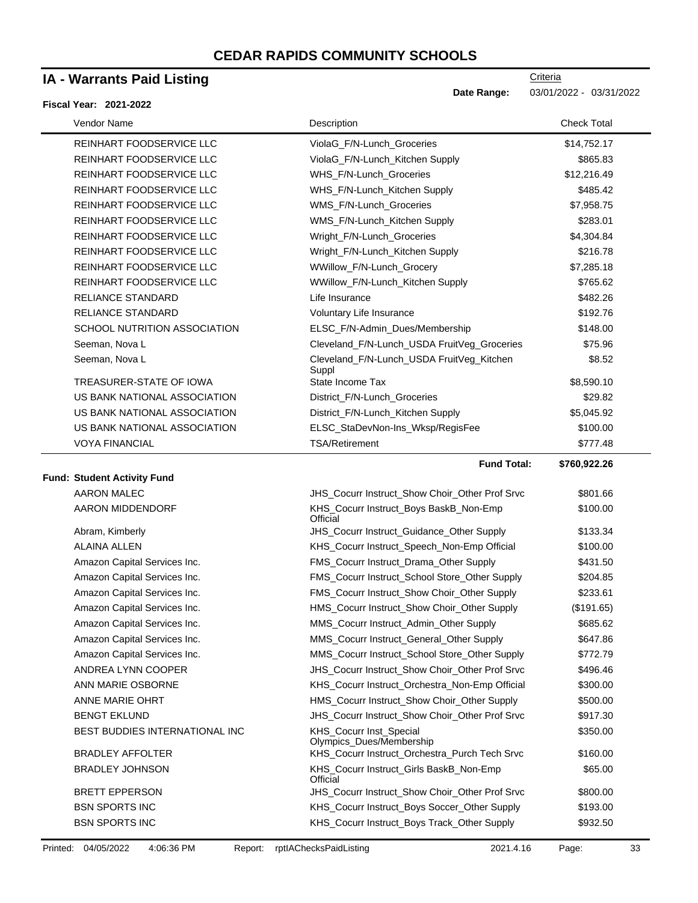### **IA - Warrants Paid Listing**

#### **Fiscal Year: 2021-2022**

| Vendor Name                        | Description                                         | <b>Check Total</b> |
|------------------------------------|-----------------------------------------------------|--------------------|
| REINHART FOODSERVICE LLC           | ViolaG_F/N-Lunch_Groceries                          | \$14,752.17        |
| REINHART FOODSERVICE LLC           | ViolaG_F/N-Lunch_Kitchen Supply                     | \$865.83           |
| REINHART FOODSERVICE LLC           | WHS_F/N-Lunch_Groceries                             | \$12,216.49        |
| REINHART FOODSERVICE LLC           | WHS_F/N-Lunch_Kitchen Supply                        | \$485.42           |
| REINHART FOODSERVICE LLC           | WMS_F/N-Lunch_Groceries                             | \$7,958.75         |
| REINHART FOODSERVICE LLC           | WMS_F/N-Lunch_Kitchen Supply                        | \$283.01           |
| REINHART FOODSERVICE LLC           | Wright_F/N-Lunch_Groceries                          | \$4,304.84         |
| REINHART FOODSERVICE LLC           | Wright_F/N-Lunch_Kitchen Supply                     | \$216.78           |
| REINHART FOODSERVICE LLC           | WWillow_F/N-Lunch_Grocery                           | \$7,285.18         |
| REINHART FOODSERVICE LLC           | WWillow_F/N-Lunch_Kitchen Supply                    | \$765.62           |
| <b>RELIANCE STANDARD</b>           | Life Insurance                                      | \$482.26           |
| <b>RELIANCE STANDARD</b>           | Voluntary Life Insurance                            | \$192.76           |
| SCHOOL NUTRITION ASSOCIATION       | ELSC_F/N-Admin_Dues/Membership                      | \$148.00           |
| Seeman, Nova L                     | Cleveland_F/N-Lunch_USDA FruitVeg_Groceries         | \$75.96            |
| Seeman, Nova L                     | Cleveland_F/N-Lunch_USDA FruitVeg_Kitchen<br>Suppl  | \$8.52             |
| TREASURER-STATE OF IOWA            | State Income Tax                                    | \$8,590.10         |
| US BANK NATIONAL ASSOCIATION       | District_F/N-Lunch_Groceries                        | \$29.82            |
| US BANK NATIONAL ASSOCIATION       | District_F/N-Lunch_Kitchen Supply                   | \$5,045.92         |
| US BANK NATIONAL ASSOCIATION       | ELSC_StaDevNon-Ins_Wksp/RegisFee                    | \$100.00           |
| <b>VOYA FINANCIAL</b>              | <b>TSA/Retirement</b>                               | \$777.48           |
|                                    | <b>Fund Total:</b>                                  | \$760,922.26       |
| <b>Fund: Student Activity Fund</b> |                                                     |                    |
| AARON MALEC                        | JHS_Cocurr Instruct_Show Choir_Other Prof Srvc      | \$801.66           |
| AARON MIDDENDORF                   | KHS_Cocurr Instruct_Boys BaskB_Non-Emp<br>Official  | \$100.00           |
| Abram, Kimberly                    | JHS_Cocurr Instruct_Guidance_Other Supply           | \$133.34           |
| <b>ALAINA ALLEN</b>                | KHS_Cocurr Instruct_Speech_Non-Emp Official         | \$100.00           |
| Amazon Capital Services Inc.       | FMS_Cocurr Instruct_Drama_Other Supply              | \$431.50           |
| Amazon Capital Services Inc.       | FMS_Cocurr Instruct_School Store_Other Supply       | \$204.85           |
| Amazon Capital Services Inc.       | FMS_Cocurr Instruct_Show Choir_Other Supply         | \$233.61           |
| Amazon Capital Services Inc.       | HMS_Cocurr Instruct_Show Choir_Other Supply         | (\$191.65)         |
| Amazon Capital Services Inc.       | MMS_Cocurr Instruct_Admin_Other Supply              | \$685.62           |
| Amazon Capital Services Inc.       | MMS_Cocurr Instruct_General_Other Supply            | \$647.86           |
| Amazon Capital Services Inc.       | MMS_Cocurr Instruct_School Store_Other Supply       | \$772.79           |
| ANDREA LYNN COOPER                 | JHS_Cocurr Instruct_Show Choir_Other Prof Srvc      | \$496.46           |
| ANN MARIE OSBORNE                  | KHS_Cocurr Instruct_Orchestra_Non-Emp Official      | \$300.00           |
| ANNE MARIE OHRT                    | HMS_Cocurr Instruct_Show Choir_Other Supply         | \$500.00           |
| <b>BENGT EKLUND</b>                | JHS_Cocurr Instruct_Show Choir_Other Prof Srvc      | \$917.30           |
| BEST BUDDIES INTERNATIONAL INC     | KHS_Cocurr Inst_Special<br>Olympics_Dues/Membership | \$350.00           |
| <b>BRADLEY AFFOLTER</b>            | KHS_Cocurr Instruct_Orchestra_Purch Tech Srvc       | \$160.00           |
| BRADLEY JOHNSON                    | KHS_Cocurr Instruct_Girls BaskB_Non-Emp<br>Official | \$65.00            |
| <b>BRETT EPPERSON</b>              | JHS_Cocurr Instruct_Show Choir_Other Prof Srvc      | \$800.00           |
| <b>BSN SPORTS INC</b>              | KHS_Cocurr Instruct_Boys Soccer_Other Supply        | \$193.00           |
| <b>BSN SPORTS INC</b>              | KHS_Cocurr Instruct_Boys Track_Other Supply         | \$932.50           |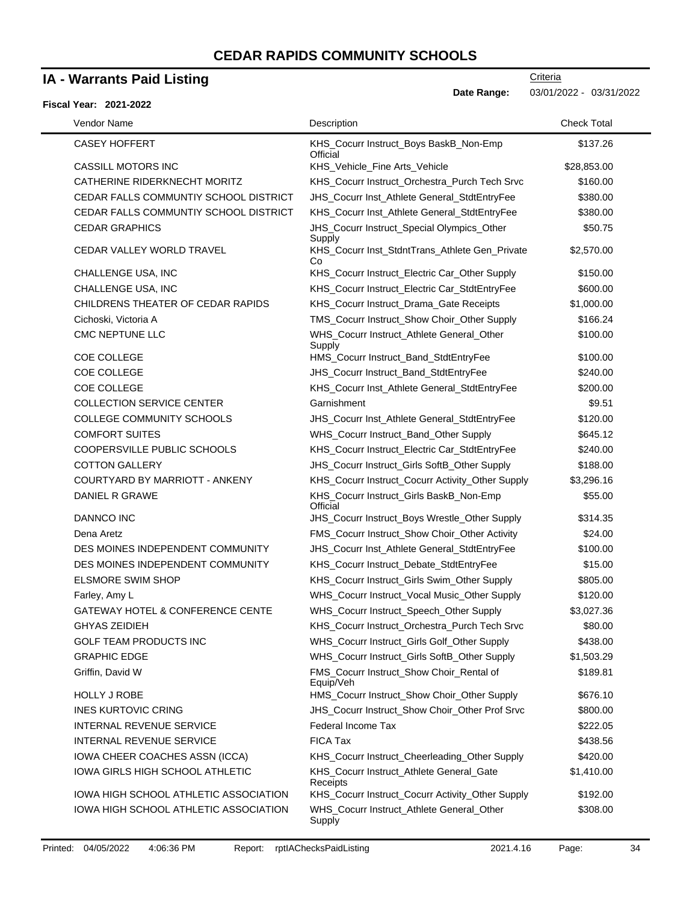# **IA - Warrants Paid Listing**

|  | Fiscal Year: 2021-2022 |
|--|------------------------|
|  |                        |

**Date Range:** 03/01/2022 - 03/31/2022

| Vendor Name                                 | Description                                           | <b>Check Total</b> |
|---------------------------------------------|-------------------------------------------------------|--------------------|
| <b>CASEY HOFFERT</b>                        | KHS_Cocurr Instruct_Boys BaskB_Non-Emp<br>Official    | \$137.26           |
| CASSILL MOTORS INC                          | KHS_Vehicle_Fine Arts_Vehicle                         | \$28,853.00        |
| CATHERINE RIDERKNECHT MORITZ                | KHS_Cocurr Instruct_Orchestra_Purch Tech Srvc         | \$160.00           |
| CEDAR FALLS COMMUNTIY SCHOOL DISTRICT       | JHS_Cocurr Inst_Athlete General_StdtEntryFee          | \$380.00           |
| CEDAR FALLS COMMUNTIY SCHOOL DISTRICT       | KHS_Cocurr Inst_Athlete General_StdtEntryFee          | \$380.00           |
| <b>CEDAR GRAPHICS</b>                       | JHS_Cocurr Instruct_Special Olympics_Other<br>Supply  | \$50.75            |
| CEDAR VALLEY WORLD TRAVEL                   | KHS_Cocurr Inst_StdntTrans_Athlete Gen_Private<br>Co  | \$2,570.00         |
| CHALLENGE USA, INC                          | KHS_Cocurr Instruct_Electric Car_Other Supply         | \$150.00           |
| CHALLENGE USA, INC                          | KHS_Cocurr Instruct_Electric Car_StdtEntryFee         | \$600.00           |
| CHILDRENS THEATER OF CEDAR RAPIDS           | KHS_Cocurr Instruct_Drama_Gate Receipts               | \$1,000.00         |
| Cichoski, Victoria A                        | TMS_Cocurr Instruct_Show Choir_Other Supply           | \$166.24           |
| CMC NEPTUNE LLC                             | WHS_Cocurr Instruct_Athlete General_Other<br>Supply   | \$100.00           |
| <b>COE COLLEGE</b>                          | HMS_Cocurr Instruct_Band_StdtEntryFee                 | \$100.00           |
| COE COLLEGE                                 | JHS_Cocurr Instruct_Band_StdtEntryFee                 | \$240.00           |
| COE COLLEGE                                 | KHS_Cocurr Inst_Athlete General_StdtEntryFee          | \$200.00           |
| <b>COLLECTION SERVICE CENTER</b>            | Garnishment                                           | \$9.51             |
| COLLEGE COMMUNITY SCHOOLS                   | JHS_Cocurr Inst_Athlete General_StdtEntryFee          | \$120.00           |
| <b>COMFORT SUITES</b>                       | WHS_Cocurr Instruct_Band_Other Supply                 | \$645.12           |
| COOPERSVILLE PUBLIC SCHOOLS                 | KHS_Cocurr Instruct_Electric Car_StdtEntryFee         | \$240.00           |
| <b>COTTON GALLERY</b>                       | JHS_Cocurr Instruct_Girls SoftB_Other Supply          | \$188.00           |
| COURTYARD BY MARRIOTT - ANKENY              | KHS_Cocurr Instruct_Cocurr Activity_Other Supply      | \$3,296.16         |
| DANIEL R GRAWE                              | KHS_Cocurr Instruct_Girls BaskB_Non-Emp<br>Official   | \$55.00            |
| <b>DANNCO INC</b>                           | JHS_Cocurr Instruct_Boys Wrestle_Other Supply         | \$314.35           |
| Dena Aretz                                  | FMS_Cocurr Instruct_Show Choir_Other Activity         | \$24.00            |
| DES MOINES INDEPENDENT COMMUNITY            | JHS_Cocurr Inst_Athlete General_StdtEntryFee          | \$100.00           |
| DES MOINES INDEPENDENT COMMUNITY            | KHS_Cocurr Instruct_Debate_StdtEntryFee               | \$15.00            |
| <b>ELSMORE SWIM SHOP</b>                    | KHS_Cocurr Instruct_Girls Swim_Other Supply           | \$805.00           |
| Farley, Amy L                               | WHS_Cocurr Instruct_Vocal Music_Other Supply          | \$120.00           |
| <b>GATEWAY HOTEL &amp; CONFERENCE CENTE</b> | WHS_Cocurr Instruct_Speech_Other Supply               | \$3,027.36         |
| <b>GHYAS ZEIDIEH</b>                        | KHS_Cocurr Instruct_Orchestra_Purch Tech Srvc         | \$80.00            |
| GOLF TEAM PRODUCTS INC                      | WHS_Cocurr Instruct_Girls Golf_Other Supply           | \$438.00           |
| <b>GRAPHIC EDGE</b>                         | WHS_Cocurr Instruct_Girls SoftB_Other Supply          | \$1,503.29         |
| Griffin, David W                            | FMS_Cocurr Instruct_Show Choir_Rental of<br>Equip/Veh | \$189.81           |
| <b>HOLLY J ROBE</b>                         | HMS_Cocurr Instruct_Show Choir_Other Supply           | \$676.10           |
| <b>INES KURTOVIC CRING</b>                  | JHS_Cocurr Instruct_Show Choir_Other Prof Srvc        | \$800.00           |
| INTERNAL REVENUE SERVICE                    | Federal Income Tax                                    | \$222.05           |
| <b>INTERNAL REVENUE SERVICE</b>             | <b>FICA Tax</b>                                       | \$438.56           |
| IOWA CHEER COACHES ASSN (ICCA)              | KHS_Cocurr Instruct_Cheerleading_Other Supply         | \$420.00           |
| <b>IOWA GIRLS HIGH SCHOOL ATHLETIC</b>      | KHS_Cocurr Instruct_Athlete General_Gate<br>Receipts  | \$1,410.00         |
| IOWA HIGH SCHOOL ATHLETIC ASSOCIATION       | KHS_Cocurr Instruct_Cocurr Activity_Other Supply      | \$192.00           |
| IOWA HIGH SCHOOL ATHLETIC ASSOCIATION       | WHS_Cocurr Instruct_Athlete General_Other<br>Supply   | \$308.00           |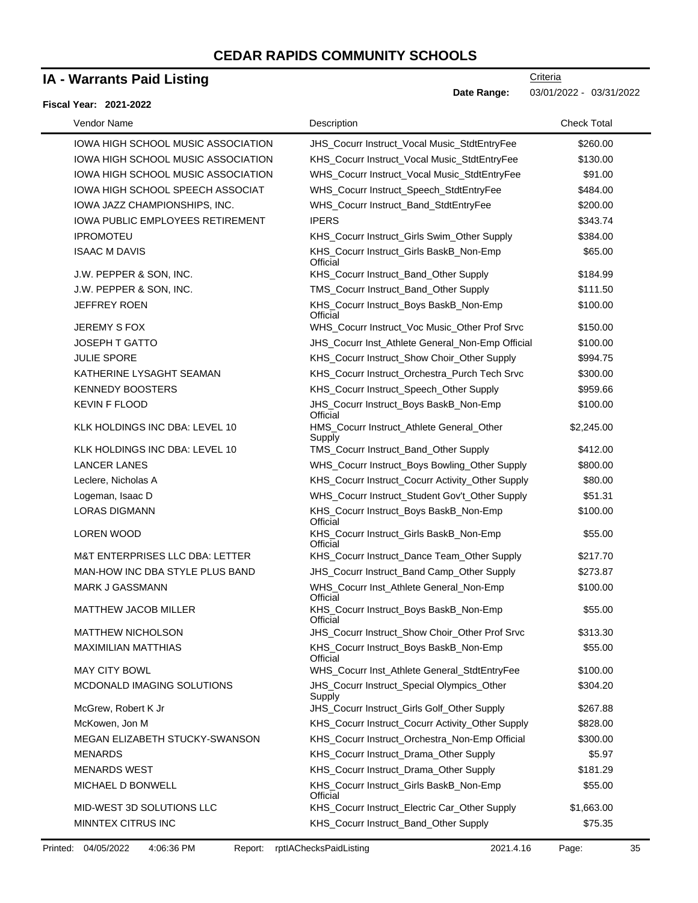### **IA - Warrants Paid Listing**

#### **Fiscal Year: 2021-2022**

| Vendor Name                                | Description                                          | <b>Check Total</b> |
|--------------------------------------------|------------------------------------------------------|--------------------|
| <b>IOWA HIGH SCHOOL MUSIC ASSOCIATION</b>  | JHS_Cocurr Instruct_Vocal Music_StdtEntryFee         | \$260.00           |
| IOWA HIGH SCHOOL MUSIC ASSOCIATION         | KHS_Cocurr Instruct_Vocal Music_StdtEntryFee         | \$130.00           |
| <b>IOWA HIGH SCHOOL MUSIC ASSOCIATION</b>  | WHS_Cocurr Instruct_Vocal Music_StdtEntryFee         | \$91.00            |
| IOWA HIGH SCHOOL SPEECH ASSOCIAT           | WHS_Cocurr Instruct_Speech_StdtEntryFee              | \$484.00           |
| IOWA JAZZ CHAMPIONSHIPS, INC.              | WHS_Cocurr Instruct_Band_StdtEntryFee                | \$200.00           |
| <b>IOWA PUBLIC EMPLOYEES RETIREMENT</b>    | <b>IPERS</b>                                         | \$343.74           |
| <b>IPROMOTEU</b>                           | KHS_Cocurr Instruct_Girls Swim_Other Supply          | \$384.00           |
| <b>ISAAC M DAVIS</b>                       | KHS_Cocurr Instruct_Girls BaskB_Non-Emp<br>Official  | \$65.00            |
| J.W. PEPPER & SON, INC.                    | KHS_Cocurr Instruct_Band_Other Supply                | \$184.99           |
| J.W. PEPPER & SON, INC.                    | TMS_Cocurr Instruct_Band_Other Supply                | \$111.50           |
| <b>JEFFREY ROEN</b>                        | KHS_Cocurr Instruct_Boys BaskB_Non-Emp<br>Official   | \$100.00           |
| <b>JEREMY S FOX</b>                        | WHS_Cocurr Instruct_Voc Music_Other Prof Srvc        | \$150.00           |
| JOSEPH T GATTO                             | JHS_Cocurr Inst_Athlete General_Non-Emp Official     | \$100.00           |
| <b>JULIE SPORE</b>                         | KHS_Cocurr Instruct_Show Choir_Other Supply          | \$994.75           |
| KATHERINE LYSAGHT SEAMAN                   | KHS_Cocurr Instruct_Orchestra_Purch Tech Srvc        | \$300.00           |
| <b>KENNEDY BOOSTERS</b>                    | KHS_Cocurr Instruct_Speech_Other Supply              | \$959.66           |
| <b>KEVIN F FLOOD</b>                       | JHS_Cocurr Instruct_Boys BaskB_Non-Emp<br>Official   | \$100.00           |
| KLK HOLDINGS INC DBA: LEVEL 10             | HMS_Cocurr Instruct_Athlete General_Other<br>Supply  | \$2,245.00         |
| KLK HOLDINGS INC DBA: LEVEL 10             | TMS_Cocurr Instruct_Band_Other Supply                | \$412.00           |
| <b>LANCER LANES</b>                        | WHS_Cocurr Instruct_Boys Bowling_Other Supply        | \$800.00           |
| Leclere, Nicholas A                        | KHS_Cocurr Instruct_Cocurr Activity_Other Supply     | \$80.00            |
| Logeman, Isaac D                           | WHS_Cocurr Instruct_Student Gov't_Other Supply       | \$51.31            |
| <b>LORAS DIGMANN</b>                       | KHS_Cocurr Instruct_Boys BaskB_Non-Emp<br>Official   | \$100.00           |
| <b>LOREN WOOD</b>                          | KHS_Cocurr Instruct_Girls BaskB_Non-Emp<br>Official  | \$55.00            |
| <b>M&amp;T ENTERPRISES LLC DBA: LETTER</b> | KHS_Cocurr Instruct_Dance Team_Other Supply          | \$217.70           |
| MAN-HOW INC DBA STYLE PLUS BAND            | JHS_Cocurr Instruct_Band Camp_Other Supply           | \$273.87           |
| <b>MARK J GASSMANN</b>                     | WHS_Cocurr Inst_Athlete General_Non-Emp<br>Official  | \$100.00           |
| <b>MATTHEW JACOB MILLER</b>                | KHS_Cocurr Instruct_Boys BaskB_Non-Emp<br>Official   | \$55.00            |
| <b>MATTHEW NICHOLSON</b>                   | JHS_Cocurr Instruct_Show Choir_Other Prof Srvc       | \$313.30           |
| <b>MAXIMILIAN MATTHIAS</b>                 | KHS_Cocurr Instruct_Boys BaskB_Non-Emp<br>Official   | \$55.00            |
| MAY CITY BOWL                              | WHS_Cocurr Inst_Athlete General_StdtEntryFee         | \$100.00           |
| MCDONALD IMAGING SOLUTIONS                 | JHS_Cocurr Instruct_Special Olympics_Other<br>Supply | \$304.20           |
| McGrew, Robert K Jr                        | JHS_Cocurr Instruct_Girls Golf_Other Supply          | \$267.88           |
| McKowen, Jon M                             | KHS_Cocurr Instruct_Cocurr Activity_Other Supply     | \$828.00           |
| MEGAN ELIZABETH STUCKY-SWANSON             | KHS_Cocurr Instruct_Orchestra_Non-Emp Official       | \$300.00           |
| <b>MENARDS</b>                             | KHS_Cocurr Instruct_Drama_Other Supply               | \$5.97             |
| <b>MENARDS WEST</b>                        | KHS_Cocurr Instruct_Drama_Other Supply               | \$181.29           |
| MICHAEL D BONWELL                          | KHS_Cocurr Instruct_Girls BaskB_Non-Emp<br>Official  | \$55.00            |
| MID-WEST 3D SOLUTIONS LLC                  | KHS_Cocurr Instruct_Electric Car_Other Supply        | \$1,663.00         |
| MINNTEX CITRUS INC                         | KHS_Cocurr Instruct_Band_Other Supply                | \$75.35            |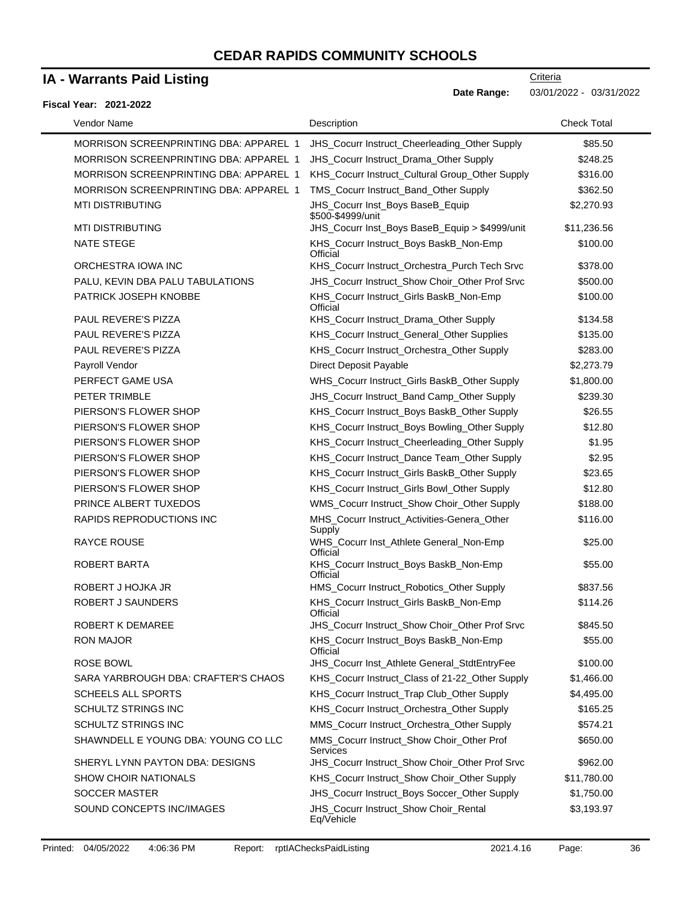### **IA - Warrants Paid Listing**

#### **Fiscal Year: 2021-2022**

**Date Range:** 03/01/2022 - 03/31/2022

| Vendor Name                                      | Description                                                                                     | <b>Check Total</b> |
|--------------------------------------------------|-------------------------------------------------------------------------------------------------|--------------------|
| <b>MORRISON SCREENPRINTING DBA: APPAREL 1</b>    | JHS_Cocurr Instruct_Cheerleading_Other Supply                                                   | \$85.50            |
| <b>MORRISON SCREENPRINTING DBA: APPAREL 1</b>    | JHS_Cocurr Instruct_Drama_Other Supply                                                          | \$248.25           |
| <b>MORRISON SCREENPRINTING DBA: APPAREL 1</b>    | KHS_Cocurr Instruct_Cultural Group_Other Supply                                                 | \$316.00           |
| <b>MORRISON SCREENPRINTING DBA: APPAREL 1</b>    | TMS_Cocurr Instruct_Band_Other Supply                                                           | \$362.50           |
| <b>MTI DISTRIBUTING</b>                          | JHS_Cocurr Inst_Boys BaseB_Equip<br>\$500-\$4999/unit                                           | \$2,270.93         |
| <b>MTI DISTRIBUTING</b>                          | JHS_Cocurr Inst_Boys BaseB_Equip > \$4999/unit                                                  | \$11,236.56        |
| <b>NATE STEGE</b>                                | KHS_Cocurr Instruct_Boys BaskB_Non-Emp<br>Official                                              | \$100.00           |
| ORCHESTRA IOWA INC                               | KHS_Cocurr Instruct_Orchestra_Purch Tech Srvc                                                   | \$378.00           |
| PALU, KEVIN DBA PALU TABULATIONS                 | JHS_Cocurr Instruct_Show Choir_Other Prof Srvc                                                  | \$500.00           |
| PATRICK JOSEPH KNOBBE                            | KHS_Cocurr Instruct_Girls BaskB_Non-Emp<br>Official                                             | \$100.00           |
| PAUL REVERE'S PIZZA                              | KHS_Cocurr Instruct_Drama_Other Supply                                                          | \$134.58           |
| PAUL REVERE'S PIZZA                              | KHS_Cocurr Instruct_General_Other Supplies                                                      | \$135.00           |
| PAUL REVERE'S PIZZA                              | KHS_Cocurr Instruct_Orchestra_Other Supply                                                      | \$283.00           |
| Payroll Vendor                                   | Direct Deposit Payable                                                                          | \$2,273.79         |
| PERFECT GAME USA                                 | WHS_Cocurr Instruct_Girls BaskB_Other Supply                                                    | \$1,800.00         |
| PETER TRIMBLE                                    | JHS_Cocurr Instruct_Band Camp_Other Supply                                                      | \$239.30           |
| PIERSON'S FLOWER SHOP                            | KHS_Cocurr Instruct_Boys BaskB_Other Supply                                                     | \$26.55            |
| PIERSON'S FLOWER SHOP                            | KHS_Cocurr Instruct_Boys Bowling_Other Supply                                                   | \$12.80            |
| PIERSON'S FLOWER SHOP                            | KHS_Cocurr Instruct_Cheerleading_Other Supply                                                   | \$1.95             |
| PIERSON'S FLOWER SHOP                            | KHS_Cocurr Instruct_Dance Team_Other Supply                                                     | \$2.95             |
| PIERSON'S FLOWER SHOP                            | KHS_Cocurr Instruct_Girls BaskB_Other Supply                                                    | \$23.65            |
| PIERSON'S FLOWER SHOP                            | KHS_Cocurr Instruct_Girls Bowl_Other Supply                                                     | \$12.80            |
| PRINCE ALBERT TUXEDOS                            | WMS_Cocurr Instruct_Show Choir_Other Supply                                                     | \$188.00           |
| RAPIDS REPRODUCTIONS INC                         | MHS_Cocurr Instruct_Activities-Genera_Other<br>Supply                                           | \$116.00           |
| <b>RAYCE ROUSE</b>                               | WHS_Cocurr Inst_Athlete General_Non-Emp<br>Official                                             | \$25.00            |
| ROBERT BARTA                                     | KHS_Cocurr Instruct_Boys BaskB_Non-Emp<br>Official                                              | \$55.00            |
| ROBERT J HOJKA JR                                | HMS Cocurr Instruct Robotics Other Supply                                                       | \$837.56           |
| ROBERT J SAUNDERS                                | KHS_Cocurr Instruct_Girls BaskB_Non-Emp<br>Official                                             | \$114.26           |
| ROBERT K DEMAREE                                 | JHS_Cocurr Instruct_Show Choir_Other Prof Srvc                                                  | \$845.50           |
| <b>RON MAJOR</b>                                 | KHS_Cocurr Instruct_Boys BaskB_Non-Emp<br>Official                                              | \$55.00            |
| ROSE BOWL<br>SARA YARBROUGH DBA: CRAFTER'S CHAOS | JHS_Cocurr Inst_Athlete General_StdtEntryFee<br>KHS_Cocurr Instruct_Class of 21-22_Other Supply | \$100.00           |
|                                                  | KHS_Cocurr Instruct_Trap Club_Other Supply                                                      | \$1,466.00         |
| SCHEELS ALL SPORTS<br>SCHULTZ STRINGS INC        | KHS_Cocurr Instruct_Orchestra_Other Supply                                                      | \$4,495.00         |
| SCHULTZ STRINGS INC                              |                                                                                                 | \$165.25           |
|                                                  | MMS_Cocurr Instruct_Orchestra_Other Supply                                                      | \$574.21           |
| SHAWNDELL E YOUNG DBA: YOUNG CO LLC              | MMS_Cocurr Instruct_Show Choir_Other Prof<br>Services                                           | \$650.00           |
| SHERYL LYNN PAYTON DBA: DESIGNS                  | JHS_Cocurr Instruct_Show Choir_Other Prof Srvc                                                  | \$962.00           |
| <b>SHOW CHOIR NATIONALS</b>                      | KHS_Cocurr Instruct_Show Choir_Other Supply                                                     | \$11,780.00        |
| <b>SOCCER MASTER</b>                             | JHS_Cocurr Instruct_Boys Soccer_Other Supply                                                    | \$1,750.00         |
| SOUND CONCEPTS INC/IMAGES                        | JHS_Cocurr Instruct_Show Choir_Rental<br>Eq/Vehicle                                             | \$3,193.97         |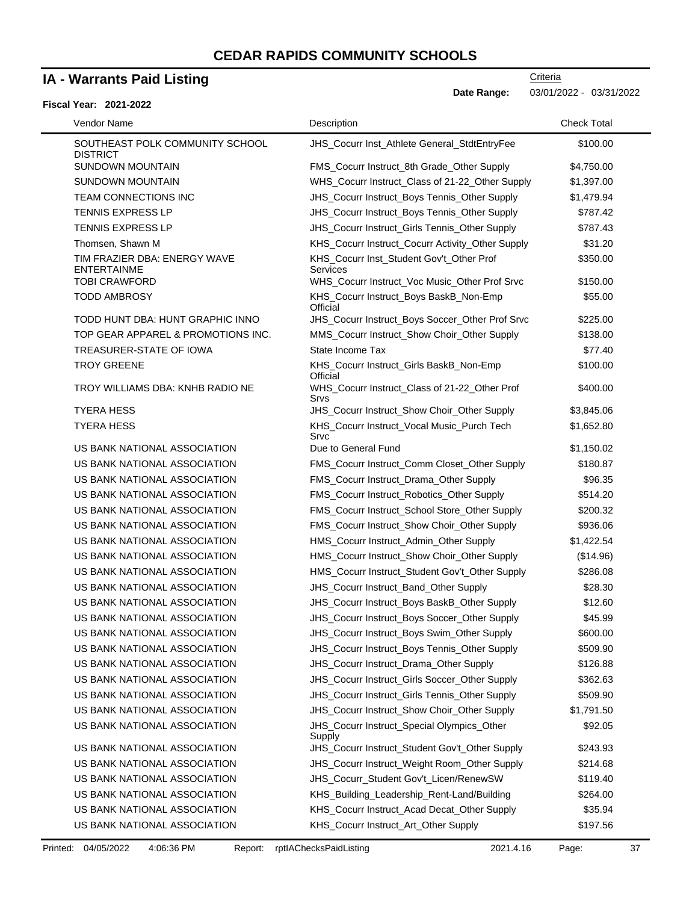# **IA - Warrants Paid Listing**

| <b>Fiscal Year: 2021-2022</b> |  |  |  |
|-------------------------------|--|--|--|
|-------------------------------|--|--|--|

Date Range: 03/01/2022 - 03/31/2022

| Vendor Name                                        | Description                                           | <b>Check Total</b> |
|----------------------------------------------------|-------------------------------------------------------|--------------------|
| SOUTHEAST POLK COMMUNITY SCHOOL<br><b>DISTRICT</b> | JHS_Cocurr Inst_Athlete General_StdtEntryFee          | \$100.00           |
| SUNDOWN MOUNTAIN                                   | FMS_Cocurr Instruct_8th Grade_Other Supply            | \$4,750.00         |
| SUNDOWN MOUNTAIN                                   | WHS_Cocurr Instruct_Class of 21-22_Other Supply       | \$1,397.00         |
| <b>TEAM CONNECTIONS INC</b>                        | JHS_Cocurr Instruct_Boys Tennis_Other Supply          | \$1,479.94         |
| <b>TENNIS EXPRESS LP</b>                           | JHS_Cocurr Instruct_Boys Tennis_Other Supply          | \$787.42           |
| <b>TENNIS EXPRESS LP</b>                           | JHS_Cocurr Instruct_Girls Tennis_Other Supply         | \$787.43           |
| Thomsen, Shawn M                                   | KHS_Cocurr Instruct_Cocurr Activity_Other Supply      | \$31.20            |
| TIM FRAZIER DBA: ENERGY WAVE<br><b>ENTERTAINME</b> | KHS_Cocurr Inst_Student Gov't_Other Prof<br>Services  | \$350.00           |
| <b>TOBI CRAWFORD</b>                               | WHS_Cocurr Instruct_Voc Music_Other Prof Srvc         | \$150.00           |
| <b>TODD AMBROSY</b>                                | KHS_Cocurr Instruct_Boys BaskB_Non-Emp<br>Official    | \$55.00            |
| TODD HUNT DBA: HUNT GRAPHIC INNO                   | JHS_Cocurr Instruct_Boys Soccer_Other Prof Srvc       | \$225.00           |
| TOP GEAR APPAREL & PROMOTIONS INC.                 | MMS_Cocurr Instruct_Show Choir_Other Supply           | \$138.00           |
| TREASURER-STATE OF IOWA                            | State Income Tax                                      | \$77.40            |
| <b>TROY GREENE</b>                                 | KHS_Cocurr Instruct_Girls BaskB_Non-Emp<br>Official   | \$100.00           |
| TROY WILLIAMS DBA: KNHB RADIO NE                   | WHS_Cocurr Instruct_Class of 21-22_Other Prof<br>Srvs | \$400.00           |
| <b>TYERA HESS</b>                                  | JHS_Cocurr Instruct_Show Choir_Other Supply           | \$3,845.06         |
| <b>TYERA HESS</b>                                  | KHS_Cocurr Instruct_Vocal Music_Purch Tech<br>Srvc    | \$1,652.80         |
| US BANK NATIONAL ASSOCIATION                       | Due to General Fund                                   | \$1,150.02         |
| US BANK NATIONAL ASSOCIATION                       | FMS_Cocurr Instruct_Comm Closet_Other Supply          | \$180.87           |
| US BANK NATIONAL ASSOCIATION                       | FMS_Cocurr Instruct_Drama_Other Supply                | \$96.35            |
| US BANK NATIONAL ASSOCIATION                       | FMS_Cocurr Instruct_Robotics_Other Supply             | \$514.20           |
| US BANK NATIONAL ASSOCIATION                       | FMS_Cocurr Instruct_School Store_Other Supply         | \$200.32           |
| US BANK NATIONAL ASSOCIATION                       | FMS_Cocurr Instruct_Show Choir_Other Supply           | \$936.06           |
| US BANK NATIONAL ASSOCIATION                       | HMS_Cocurr Instruct_Admin_Other Supply                | \$1,422.54         |
| US BANK NATIONAL ASSOCIATION                       | HMS_Cocurr Instruct_Show Choir_Other Supply           | (\$14.96)          |
| US BANK NATIONAL ASSOCIATION                       | HMS_Cocurr Instruct_Student Gov't_Other Supply        | \$286.08           |
| US BANK NATIONAL ASSOCIATION                       | JHS_Cocurr Instruct_Band_Other Supply                 | \$28.30            |
| US BANK NATIONAL ASSOCIATION                       | JHS_Cocurr Instruct_Boys BaskB_Other Supply           | \$12.60            |
| US BANK NATIONAL ASSOCIATION                       | JHS_Cocurr Instruct_Boys Soccer_Other Supply          | \$45.99            |
| US BANK NATIONAL ASSOCIATION                       | JHS_Cocurr Instruct_Boys Swim_Other Supply            | \$600.00           |
| US BANK NATIONAL ASSOCIATION                       | JHS_Cocurr Instruct_Boys Tennis_Other Supply          | \$509.90           |
| US BANK NATIONAL ASSOCIATION                       | JHS_Cocurr Instruct_Drama_Other Supply                | \$126.88           |
| US BANK NATIONAL ASSOCIATION                       | JHS_Cocurr Instruct_Girls Soccer_Other Supply         | \$362.63           |
| US BANK NATIONAL ASSOCIATION                       | JHS_Cocurr Instruct_Girls Tennis_Other Supply         | \$509.90           |
| US BANK NATIONAL ASSOCIATION                       | JHS_Cocurr Instruct_Show Choir_Other Supply           | \$1,791.50         |
| US BANK NATIONAL ASSOCIATION                       | JHS_Cocurr Instruct_Special Olympics_Other<br>Supply  | \$92.05            |
| US BANK NATIONAL ASSOCIATION                       | JHS_Cocurr Instruct_Student Gov't_Other Supply        | \$243.93           |
| US BANK NATIONAL ASSOCIATION                       | JHS_Cocurr Instruct_Weight Room_Other Supply          | \$214.68           |
| US BANK NATIONAL ASSOCIATION                       | JHS_Cocurr_Student Gov't_Licen/RenewSW                | \$119.40           |
| US BANK NATIONAL ASSOCIATION                       | KHS_Building_Leadership_Rent-Land/Building            | \$264.00           |
| US BANK NATIONAL ASSOCIATION                       | KHS_Cocurr Instruct_Acad Decat_Other Supply           | \$35.94            |
| US BANK NATIONAL ASSOCIATION                       | KHS_Cocurr Instruct_Art_Other Supply                  | \$197.56           |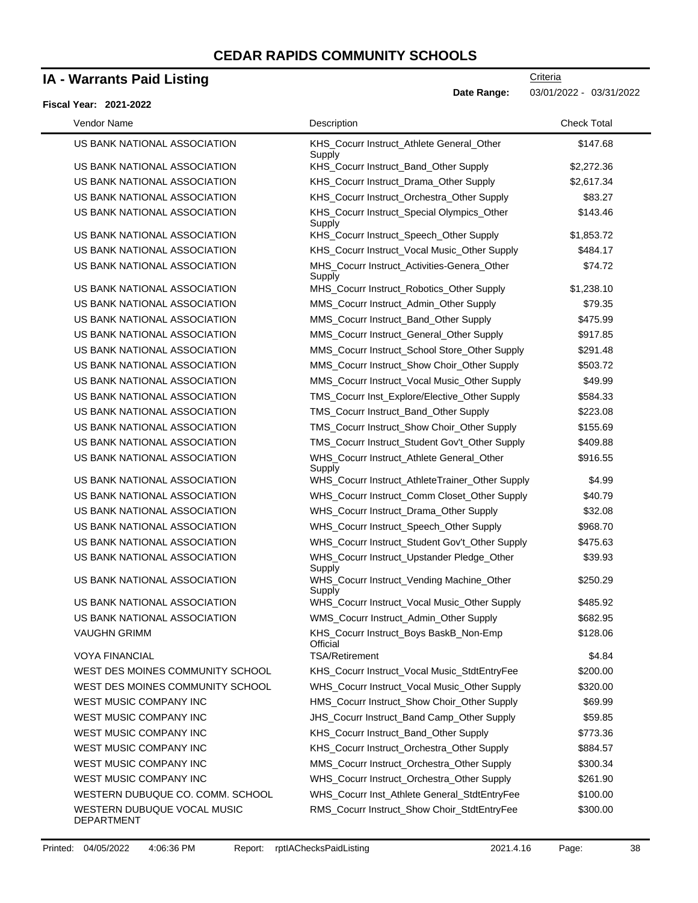## **IA - Warrants Paid Listing**

### **Fiscal Year: 2021-2022**

 $\blacksquare$ 

| Vendor Name                                      | Description                                           | <b>Check Total</b> |
|--------------------------------------------------|-------------------------------------------------------|--------------------|
|                                                  |                                                       |                    |
| US BANK NATIONAL ASSOCIATION                     | KHS_Cocurr Instruct_Athlete General_Other<br>Supply   | \$147.68           |
| US BANK NATIONAL ASSOCIATION                     | KHS_Cocurr Instruct_Band_Other Supply                 | \$2,272.36         |
| US BANK NATIONAL ASSOCIATION                     | KHS_Cocurr Instruct_Drama_Other Supply                | \$2,617.34         |
| US BANK NATIONAL ASSOCIATION                     | KHS_Cocurr Instruct_Orchestra_Other Supply            | \$83.27            |
| US BANK NATIONAL ASSOCIATION                     | KHS_Cocurr Instruct_Special Olympics_Other<br>Supply  | \$143.46           |
| US BANK NATIONAL ASSOCIATION                     | KHS_Cocurr Instruct_Speech_Other Supply               | \$1,853.72         |
| US BANK NATIONAL ASSOCIATION                     | KHS_Cocurr Instruct_Vocal Music_Other Supply          | \$484.17           |
| US BANK NATIONAL ASSOCIATION                     | MHS_Cocurr Instruct_Activities-Genera_Other<br>Supply | \$74.72            |
| US BANK NATIONAL ASSOCIATION                     | MHS_Cocurr Instruct_Robotics_Other Supply             | \$1,238.10         |
| US BANK NATIONAL ASSOCIATION                     | MMS_Cocurr Instruct_Admin_Other Supply                | \$79.35            |
| US BANK NATIONAL ASSOCIATION                     | MMS_Cocurr Instruct_Band_Other Supply                 | \$475.99           |
| US BANK NATIONAL ASSOCIATION                     | MMS_Cocurr Instruct_General_Other Supply              | \$917.85           |
| US BANK NATIONAL ASSOCIATION                     | MMS_Cocurr Instruct_School Store_Other Supply         | \$291.48           |
| US BANK NATIONAL ASSOCIATION                     | MMS_Cocurr Instruct_Show Choir_Other Supply           | \$503.72           |
| US BANK NATIONAL ASSOCIATION                     | MMS_Cocurr Instruct_Vocal Music_Other Supply          | \$49.99            |
| US BANK NATIONAL ASSOCIATION                     | TMS_Cocurr Inst_Explore/Elective_Other Supply         | \$584.33           |
| US BANK NATIONAL ASSOCIATION                     | TMS_Cocurr Instruct_Band_Other Supply                 | \$223.08           |
| US BANK NATIONAL ASSOCIATION                     | TMS_Cocurr Instruct_Show Choir_Other Supply           | \$155.69           |
| US BANK NATIONAL ASSOCIATION                     | TMS_Cocurr Instruct_Student Gov't_Other Supply        | \$409.88           |
| US BANK NATIONAL ASSOCIATION                     | WHS_Cocurr Instruct_Athlete General_Other<br>Supply   | \$916.55           |
| US BANK NATIONAL ASSOCIATION                     | WHS_Cocurr Instruct_AthleteTrainer_Other Supply       | \$4.99             |
| US BANK NATIONAL ASSOCIATION                     | WHS_Cocurr Instruct_Comm Closet_Other Supply          | \$40.79            |
| US BANK NATIONAL ASSOCIATION                     | WHS_Cocurr Instruct_Drama_Other Supply                | \$32.08            |
| US BANK NATIONAL ASSOCIATION                     | WHS_Cocurr Instruct_Speech_Other Supply               | \$968.70           |
| US BANK NATIONAL ASSOCIATION                     | WHS_Cocurr Instruct_Student Gov't_Other Supply        | \$475.63           |
| US BANK NATIONAL ASSOCIATION                     | WHS_Cocurr Instruct_Upstander Pledge_Other<br>Supply  | \$39.93            |
| US BANK NATIONAL ASSOCIATION                     | WHS_Cocurr Instruct_Vending Machine_Other<br>Supply   | \$250.29           |
| US BANK NATIONAL ASSOCIATION                     | WHS_Cocurr Instruct_Vocal Music_Other Supply          | \$485.92           |
| US BANK NATIONAL ASSOCIATION                     | WMS_Cocurr Instruct_Admin_Other Supply                | \$682.95           |
| <b>VAUGHN GRIMM</b>                              | KHS_Cocurr Instruct_Boys BaskB_Non-Emp<br>Official    | \$128.06           |
| <b>VOYA FINANCIAL</b>                            | <b>TSA/Retirement</b>                                 | \$4.84             |
| WEST DES MOINES COMMUNITY SCHOOL                 | KHS_Cocurr Instruct_Vocal Music_StdtEntryFee          | \$200.00           |
| WEST DES MOINES COMMUNITY SCHOOL                 | WHS_Cocurr Instruct_Vocal Music_Other Supply          | \$320.00           |
| WEST MUSIC COMPANY INC                           | HMS_Cocurr Instruct_Show Choir_Other Supply           | \$69.99            |
| WEST MUSIC COMPANY INC                           | JHS_Cocurr Instruct_Band Camp_Other Supply            | \$59.85            |
| WEST MUSIC COMPANY INC                           | KHS_Cocurr Instruct_Band_Other Supply                 | \$773.36           |
| WEST MUSIC COMPANY INC                           | KHS_Cocurr Instruct_Orchestra_Other Supply            | \$884.57           |
| <b>WEST MUSIC COMPANY INC</b>                    | MMS_Cocurr Instruct_Orchestra_Other Supply            | \$300.34           |
| WEST MUSIC COMPANY INC                           | WHS_Cocurr Instruct_Orchestra_Other Supply            | \$261.90           |
| WESTERN DUBUQUE CO. COMM. SCHOOL                 | WHS_Cocurr Inst_Athlete General_StdtEntryFee          | \$100.00           |
| WESTERN DUBUQUE VOCAL MUSIC<br><b>DEPARTMENT</b> | RMS_Cocurr Instruct_Show Choir_StdtEntryFee           | \$300.00           |